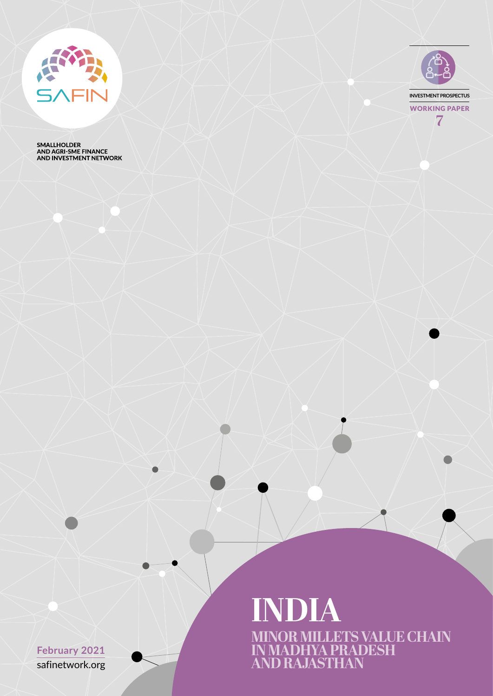

SMALLHOLDER<br>AND AGRI-SME FINANCE<br>AND INVESTMENT NETWORK



**MINOR MILLETS VALUE CHAIN IN MADHYA PRADESH AND RAJASTHAN INDIA**

safinetwork.org **February 2021**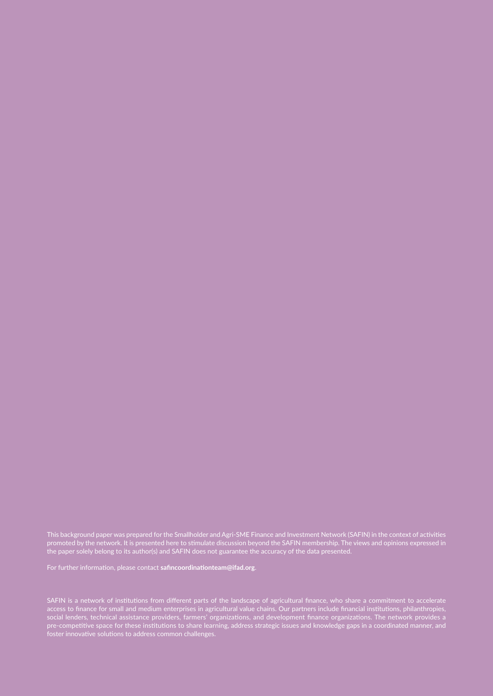This background paper was prepared for the Smallholder and Agri-SME Finance and Investment Network (SAFIN) in the context of activities promoted by the network. It is presented here to stimulate discussion beyond the SAFIN membership. The views and opinions expressed in the paper solely belong to its author(s) and SAFIN does not guarantee the accuracy of the data presented.

For further information, please contact **safincoordinationteam@ifad.org**.

SAFIN is a network of institutions from different parts of the landscape of agricultural finance, who share a commitment to accelerate access to finance for small and medium enterprises in agricultural value chains. Our partners include financial institutions, philanthropies, social lenders, technical assistance providers, farmers' organizations, and development finance organizations. The network provides a pre-competitive space for these institutions to share learning, address strategic issues and knowledge gaps in a coordinated manner, and foster innovative solutions to address common challenges.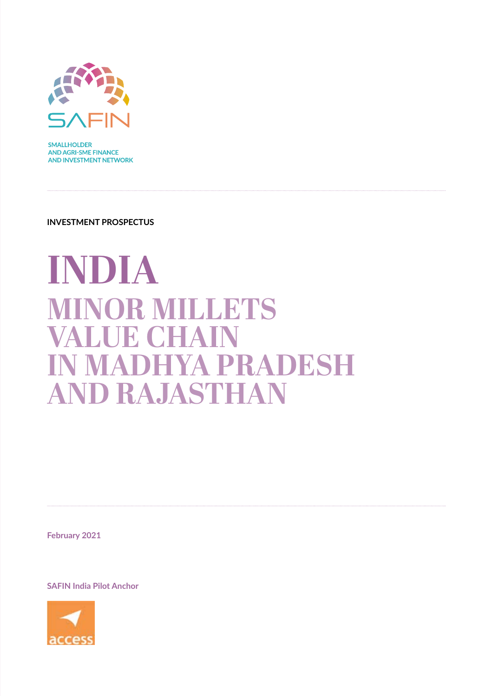

**SMALLHOLDER AND AGRI-SME FINANCE AND INVESTMENT NETWORK** 

**INVESTMENT PROSPECTUS**

# **INDIA MINOR MILLETS VALUE CHAIN**<br>**IN MADHYA I IN MADHYA PRADESH AND RAJASTHAN**

**February 2021**

**SAFIN India Pilot Anchor**

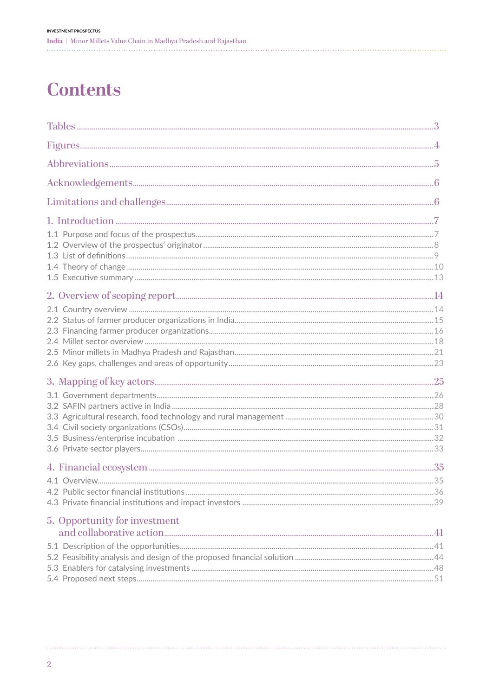## **Contents**

| 5. Opportunity for investment |  |
|-------------------------------|--|
|                               |  |
|                               |  |
|                               |  |
|                               |  |
|                               |  |
|                               |  |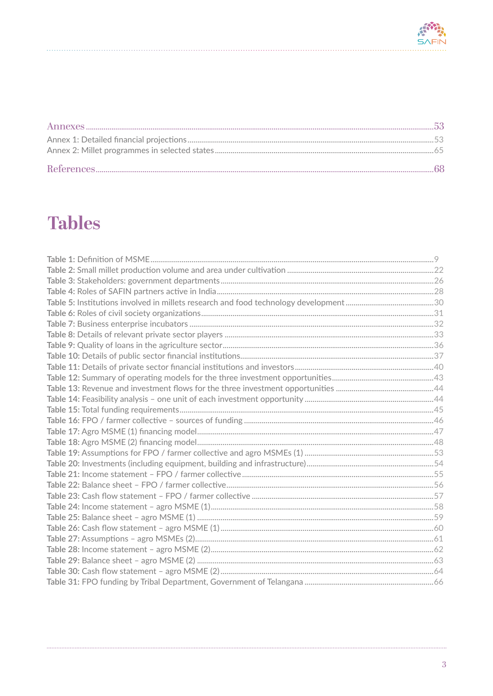<span id="page-4-0"></span>

## **Tables**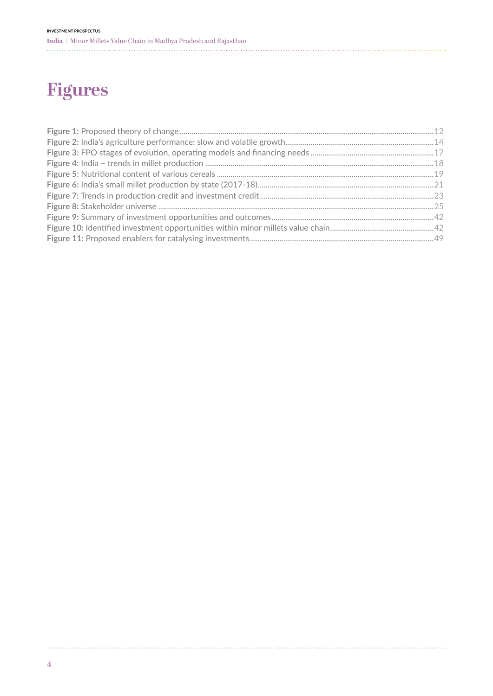## <span id="page-5-0"></span>**Figures**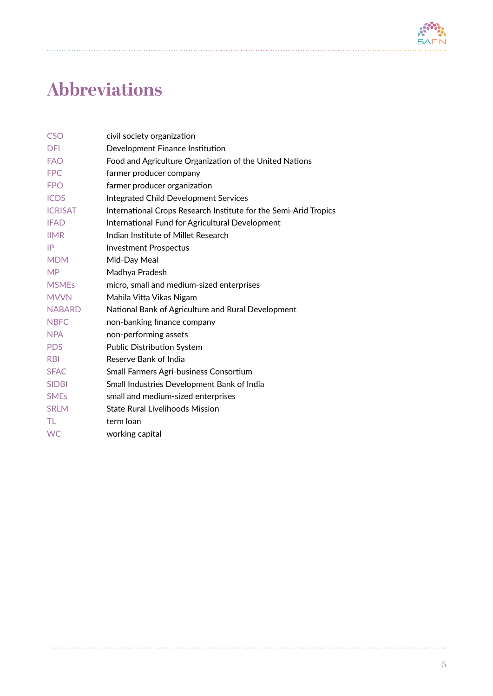

## <span id="page-6-0"></span>**Abbreviations**

| <b>CSO</b>             | civil society organization                                       |
|------------------------|------------------------------------------------------------------|
| <b>DFI</b>             | Development Finance Institution                                  |
| <b>FAO</b>             | Food and Agriculture Organization of the United Nations          |
| <b>FPC</b>             | farmer producer company                                          |
| <b>FPO</b>             | farmer producer organization                                     |
| <b>ICDS</b>            | <b>Integrated Child Development Services</b>                     |
| <b>ICRISAT</b>         | International Crops Research Institute for the Semi-Arid Tropics |
| <b>IFAD</b>            | International Fund for Agricultural Development                  |
| <b>IIMR</b>            | Indian Institute of Millet Research                              |
| IP                     | <b>Investment Prospectus</b>                                     |
| <b>MDM</b>             | Mid-Day Meal                                                     |
| <b>MP</b>              | Madhya Pradesh                                                   |
| <b>MSMEs</b>           | micro, small and medium-sized enterprises                        |
| <b>MVVN</b>            | Mahila Vitta Vikas Nigam                                         |
| <b>NABARD</b>          | National Bank of Agriculture and Rural Development               |
| <b>NBFC</b>            | non-banking finance company                                      |
| <b>NPA</b>             | non-performing assets                                            |
| <b>PDS</b>             | <b>Public Distribution System</b>                                |
| <b>RBI</b>             | Reserve Bank of India                                            |
| <b>SFAC</b>            | Small Farmers Agri-business Consortium                           |
| <b>SIDBI</b>           | Small Industries Development Bank of India                       |
| <b>SME<sub>s</sub></b> | small and medium-sized enterprises                               |
| <b>SRLM</b>            | <b>State Rural Livelihoods Mission</b>                           |
| TL                     | term loan                                                        |
| <b>WC</b>              | working capital                                                  |

. . . . . . .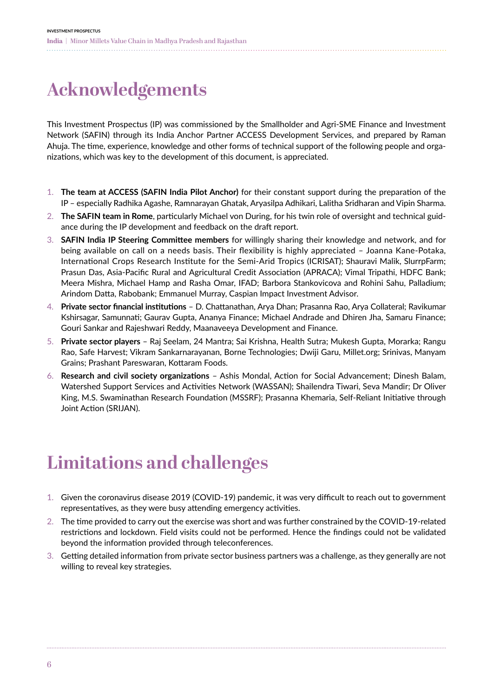<span id="page-7-0"></span>

## **Acknowledgements**

This Investment Prospectus (IP) was commissioned by the Smallholder and Agri-SME Finance and Investment Network (SAFIN) through its India Anchor Partner ACCESS Development Services, and prepared by Raman Ahuja. The time, experience, knowledge and other forms of technical support of the following people and organizations, which was key to the development of this document, is appreciated.

- 1. **The team at ACCESS (SAFIN India Pilot Anchor)** for their constant support during the preparation of the IP – especially Radhika Agashe, Ramnarayan Ghatak, Aryasilpa Adhikari, Lalitha Sridharan and Vipin Sharma.
- 2. **The SAFIN team in Rome**, particularly Michael von During, for his twin role of oversight and technical guidance during the IP development and feedback on the draft report.
- 3. **SAFIN India IP Steering Committee members** for willingly sharing their knowledge and network, and for being available on call on a needs basis. Their flexibility is highly appreciated – Joanna Kane-Potaka, International Crops Research Institute for the Semi-Arid Tropics (ICRISAT); Shauravi Malik, SlurrpFarm; Prasun Das, Asia-Pacific Rural and Agricultural Credit Association (APRACA); Vimal Tripathi, HDFC Bank; Meera Mishra, Michael Hamp and Rasha Omar, IFAD; Barbora Stankovicova and Rohini Sahu, Palladium; Arindom Datta, Rabobank; Emmanuel Murray, Caspian Impact Investment Advisor.
- 4. **Private sector financial institutions** D. Chattanathan, Arya Dhan; Prasanna Rao, Arya Collateral; Ravikumar Kshirsagar, Samunnati; Gaurav Gupta, Ananya Finance; Michael Andrade and Dhiren Jha, Samaru Finance; Gouri Sankar and Rajeshwari Reddy, Maanaveeya Development and Finance.
- 5. **Private sector players** Raj Seelam, 24 Mantra; Sai Krishna, Health Sutra; Mukesh Gupta, Morarka; Rangu Rao, Safe Harvest; Vikram Sankarnarayanan, Borne Technologies; Dwiji Garu, Millet.org; Srinivas, Manyam Grains; Prashant Pareswaran, Kottaram Foods.
- 6. **Research and civil society organizations** Ashis Mondal, Action for Social Advancement; Dinesh Balam, Watershed Support Services and Activities Network (WASSAN); Shailendra Tiwari, Seva Mandir; Dr Oliver King, M.S. Swaminathan Research Foundation (MSSRF); Prasanna Khemaria, Self-Reliant Initiative through Joint Action (SRIJAN).

## **Limitations and challenges**

- 1. Given the coronavirus disease 2019 (COVID-19) pandemic, it was very difficult to reach out to government representatives, as they were busy attending emergency activities.
- 2. The time provided to carry out the exercise was short and was further constrained by the COVID-19-related restrictions and lockdown. Field visits could not be performed. Hence the findings could not be validated beyond the information provided through teleconferences.
- 3. Getting detailed information from private sector business partners was a challenge, as they generally are not willing to reveal key strategies.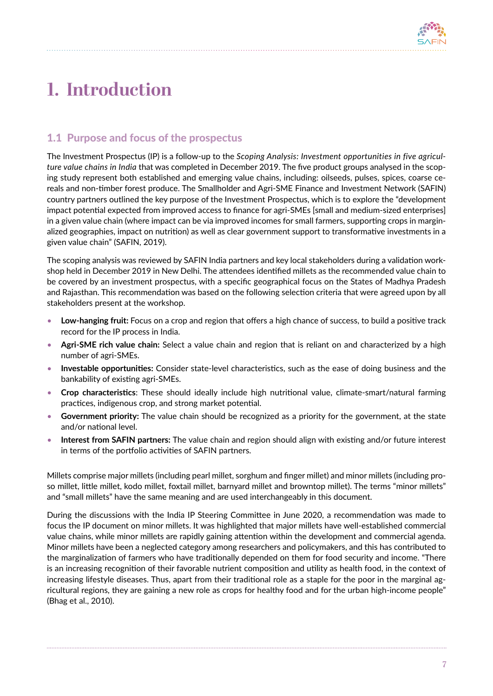

## <span id="page-8-0"></span>**1. Introduction**

### 1.1 Purpose and focus of the prospectus

The Investment Prospectus (IP) is a follow-up to the *Scoping Analysis: Investment opportunities in five agriculture value chains in India* that was completed in December 2019. The five product groups analysed in the scoping study represent both established and emerging value chains, including: oilseeds, pulses, spices, coarse cereals and non-timber forest produce. The Smallholder and Agri-SME Finance and Investment Network (SAFIN) country partners outlined the key purpose of the Investment Prospectus, which is to explore the "development impact potential expected from improved access to finance for agri-SMEs [small and medium-sized enterprises] in a given value chain (where impact can be via improved incomes for small farmers, supporting crops in marginalized geographies, impact on nutrition) as well as clear government support to transformative investments in a given value chain" (SAFIN, 2019).

The scoping analysis was reviewed by SAFIN India partners and key local stakeholders during a validation workshop held in December 2019 in New Delhi. The attendees identified millets as the recommended value chain to be covered by an investment prospectus, with a specific geographical focus on the States of Madhya Pradesh and Rajasthan. This recommendation was based on the following selection criteria that were agreed upon by all stakeholders present at the workshop.

- **Low-hanging fruit:** Focus on a crop and region that offers a high chance of success, to build a positive track record for the IP process in India.
- **Agri-SME rich value chain:** Select a value chain and region that is reliant on and characterized by a high number of agri-SMEs.
- **Investable opportunities:** Consider state-level characteristics, such as the ease of doing business and the bankability of existing agri-SMEs.
- **Crop characteristics**: These should ideally include high nutritional value, climate-smart/natural farming practices, indigenous crop, and strong market potential.
- **Government priority:** The value chain should be recognized as a priority for the government, at the state and/or national level.
- **Interest from SAFIN partners:** The value chain and region should align with existing and/or future interest in terms of the portfolio activities of SAFIN partners.

Millets comprise major millets (including pearl millet, sorghum and finger millet) and minor millets (including proso millet, little millet, kodo millet, foxtail millet, barnyard millet and browntop millet). The terms "minor millets" and "small millets" have the same meaning and are used interchangeably in this document.

During the discussions with the India IP Steering Committee in June 2020, a recommendation was made to focus the IP document on minor millets. It was highlighted that major millets have well-established commercial value chains, while minor millets are rapidly gaining attention within the development and commercial agenda. Minor millets have been a neglected category among researchers and policymakers, and this has contributed to the marginalization of farmers who have traditionally depended on them for food security and income. "There is an increasing recognition of their favorable nutrient composition and utility as health food, in the context of increasing lifestyle diseases. Thus, apart from their traditional role as a staple for the poor in the marginal agricultural regions, they are gaining a new role as crops for healthy food and for the urban high-income people" (Bhag et al., 2010).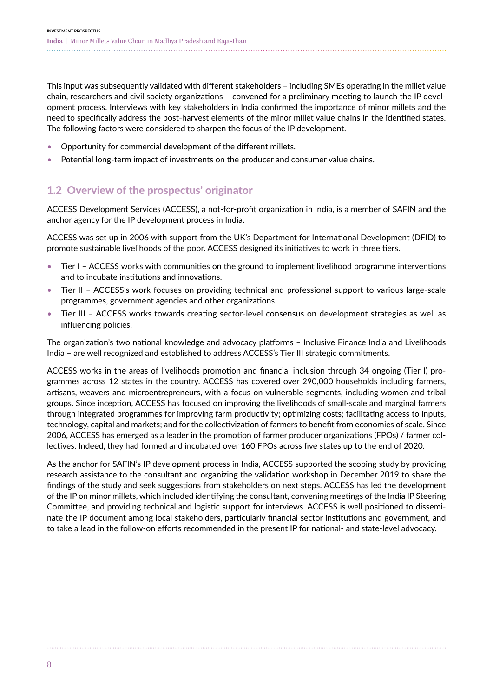<span id="page-9-0"></span>This input was subsequently validated with different stakeholders – including SMEs operating in the millet value chain, researchers and civil society organizations – convened for a preliminary meeting to launch the IP development process. Interviews with key stakeholders in India confirmed the importance of minor millets and the need to specifically address the post-harvest elements of the minor millet value chains in the identified states. The following factors were considered to sharpen the focus of the IP development.

- Opportunity for commercial development of the different millets.
- Potential long-term impact of investments on the producer and consumer value chains.

## 1.2 Overview of the prospectus' originator

ACCESS Development Services (ACCESS), a not-for-profit organization in India, is a member of SAFIN and the anchor agency for the IP development process in India.

ACCESS was set up in 2006 with support from the UK's Department for International Development (DFID) to promote sustainable livelihoods of the poor. ACCESS designed its initiatives to work in three tiers.

- Tier I ACCESS works with communities on the ground to implement livelihood programme interventions and to incubate institutions and innovations.
- Tier II ACCESS's work focuses on providing technical and professional support to various large-scale programmes, government agencies and other organizations.
- Tier III ACCESS works towards creating sector-level consensus on development strategies as well as influencing policies.

The organization's two national knowledge and advocacy platforms – Inclusive Finance India and Livelihoods India – are well recognized and established to address ACCESS's Tier III strategic commitments.

ACCESS works in the areas of livelihoods promotion and financial inclusion through 34 ongoing (Tier I) programmes across 12 states in the country. ACCESS has covered over 290,000 households including farmers, artisans, weavers and microentrepreneurs, with a focus on vulnerable segments, including women and tribal groups. Since inception, ACCESS has focused on improving the livelihoods of small-scale and marginal farmers through integrated programmes for improving farm productivity; optimizing costs; facilitating access to inputs, technology, capital and markets; and for the collectivization of farmers to benefit from economies of scale. Since 2006, ACCESS has emerged as a leader in the promotion of farmer producer organizations (FPOs) / farmer collectives. Indeed, they had formed and incubated over 160 FPOs across five states up to the end of 2020.

As the anchor for SAFIN's IP development process in India, ACCESS supported the scoping study by providing research assistance to the consultant and organizing the validation workshop in December 2019 to share the findings of the study and seek suggestions from stakeholders on next steps. ACCESS has led the development of the IP on minor millets, which included identifying the consultant, convening meetings of the India IP Steering Committee, and providing technical and logistic support for interviews. ACCESS is well positioned to disseminate the IP document among local stakeholders, particularly financial sector institutions and government, and to take a lead in the follow-on efforts recommended in the present IP for national- and state-level advocacy.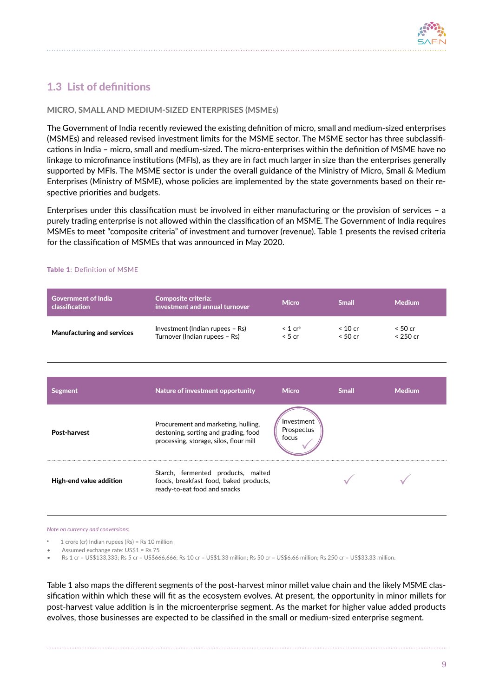

## <span id="page-10-0"></span>1.3 List of definitions

#### **MICRO, SMALL AND MEDIUM-SIZED ENTERPRISES (MSMEs)**

The Government of India recently reviewed the existing definition of micro, small and medium-sized enterprises (MSMEs) and released revised investment limits for the MSME sector. The MSME sector has three subclassifications in India – micro, small and medium-sized. The micro-enterprises within the definition of MSME have no linkage to microfinance institutions (MFIs), as they are in fact much larger in size than the enterprises generally supported by MFIs. The MSME sector is under the overall guidance of the Ministry of Micro, Small & Medium Enterprises (Ministry of MSME), whose policies are implemented by the state governments based on their respective priorities and budgets.

Enterprises under this classification must be involved in either manufacturing or the provision of services – a purely trading enterprise is not allowed within the classification of an MSME. The Government of India requires MSMEs to meet "composite criteria" of investment and turnover (revenue). Table 1 presents the revised criteria for the classification of MSMEs that was announced in May 2020.

| <b>Government of India</b><br>classification | <b>Composite criteria:</b><br>investment and annual turnover                                                          | <b>Micro</b>                      | <b>Small</b>         | <b>Medium</b>         |
|----------------------------------------------|-----------------------------------------------------------------------------------------------------------------------|-----------------------------------|----------------------|-----------------------|
| <b>Manufacturing and services</b>            | Investment (Indian rupees - Rs)<br>Turnover (Indian rupees - Rs)                                                      | $< 1$ cr <sup>a</sup><br>< 5 cr   | $< 10$ cr<br>< 50 cr | < 50 cr<br>$< 250$ cr |
|                                              |                                                                                                                       |                                   |                      |                       |
| <b>Segment</b>                               | Nature of investment opportunity                                                                                      | <b>Micro</b>                      | <b>Small</b>         | <b>Medium</b>         |
| Post-harvest                                 | Procurement and marketing, hulling,<br>destoning, sorting and grading, food<br>processing, storage, silos, flour mill | Investment<br>Prospectus<br>focus |                      |                       |
| High-end value addition                      | Starch, fermented products, malted<br>foods, breakfast food, baked products,<br>ready-to-eat food and snacks          |                                   |                      |                       |
|                                              |                                                                                                                       |                                   |                      |                       |

#### Table 1: Definition of MSME

*Note on currency and conversions:*

- a 1 crore (cr) Indian rupees (Rs) = Rs 10 million
- Assumed exchange rate: US\$1 = Rs 75
- Rs 1 cr = US\$133,333; Rs 5 cr = US\$666,666; Rs 10 cr = US\$1.33 million; Rs 50 cr = US\$6.66 million; Rs 250 cr = US\$33.33 million.

Table 1 also maps the different segments of the post-harvest minor millet value chain and the likely MSME classification within which these will fit as the ecosystem evolves. At present, the opportunity in minor millets for post-harvest value addition is in the microenterprise segment. As the market for higher value added products evolves, those businesses are expected to be classified in the small or medium-sized enterprise segment.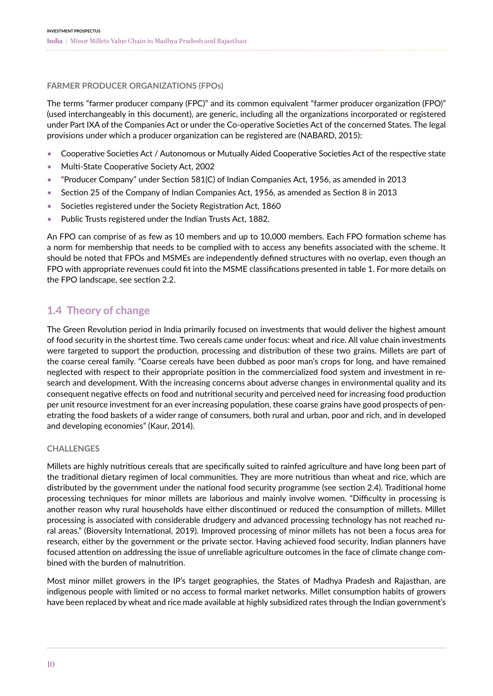<span id="page-11-0"></span>**FARMER PRODUCER ORGANIZATIONS (FPOs)**

The terms "farmer producer company (FPC)" and its common equivalent "farmer producer organization (FPO)" (used interchangeably in this document), are generic, including all the organizations incorporated or registered under Part IXA of the Companies Act or under the Co-operative Societies Act of the concerned States. The legal provisions under which a producer organization can be registered are (NABARD, 2015):

- Cooperative Societies Act / Autonomous or Mutually Aided Cooperative Societies Act of the respective state
- Multi-State Cooperative Society Act, 2002
- "Producer Company" under Section 581(C) of Indian Companies Act, 1956, as amended in 2013
- Section 25 of the Company of Indian Companies Act, 1956, as amended as Section 8 in 2013
- Societies registered under the Society Registration Act, 1860
- Public Trusts registered under the Indian Trusts Act, 1882.

An FPO can comprise of as few as 10 members and up to 10,000 members. Each FPO formation scheme has a norm for membership that needs to be complied with to access any benefits associated with the scheme. It should be noted that FPOs and MSMEs are independently defined structures with no overlap, even though an FPO with appropriate revenues could fit into the MSME classifications presented in table 1. For more details on the FPO landscape, see section 2.2.

### 1.4 Theory of change

The Green Revolution period in India primarily focused on investments that would deliver the highest amount of food security in the shortest time. Two cereals came under focus: wheat and rice. All value chain investments were targeted to support the production, processing and distribution of these two grains. Millets are part of the coarse cereal family. "Coarse cereals have been dubbed as poor man's crops for long, and have remained neglected with respect to their appropriate position in the commercialized food system and investment in research and development. With the increasing concerns about adverse changes in environmental quality and its consequent negative effects on food and nutritional security and perceived need for increasing food production per unit resource investment for an ever increasing population, these coarse grains have good prospects of penetrating the food baskets of a wider range of consumers, both rural and urban, poor and rich, and in developed and developing economies" (Kaur, 2014).

#### **CHALLENGES**

Millets are highly nutritious cereals that are specifically suited to rainfed agriculture and have long been part of the traditional dietary regimen of local communities. They are more nutritious than wheat and rice, which are distributed by the government under the national food security programme (see section 2.4). Traditional home processing techniques for minor millets are laborious and mainly involve women. "Difficulty in processing is another reason why rural households have either discontinued or reduced the consumption of millets. Millet processing is associated with considerable drudgery and advanced processing technology has not reached rural areas." (Bioversity International, 2019). Improved processing of minor millets has not been a focus area for research, either by the government or the private sector. Having achieved food security, Indian planners have focused attention on addressing the issue of unreliable agriculture outcomes in the face of climate change combined with the burden of malnutrition.

Most minor millet growers in the IP's target geographies, the States of Madhya Pradesh and Rajasthan, are indigenous people with limited or no access to formal market networks. Millet consumption habits of growers have been replaced by wheat and rice made available at highly subsidized rates through the Indian government's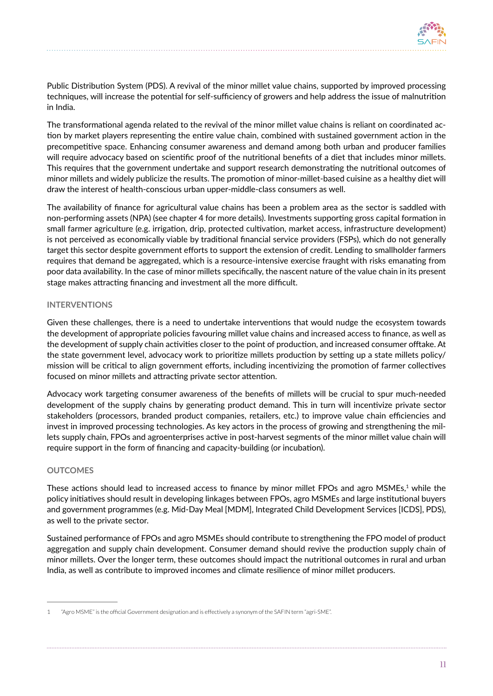

Public Distribution System (PDS). A revival of the minor millet value chains, supported by improved processing techniques, will increase the potential for self-sufficiency of growers and help address the issue of malnutrition in India.

The transformational agenda related to the revival of the minor millet value chains is reliant on coordinated action by market players representing the entire value chain, combined with sustained government action in the precompetitive space. Enhancing consumer awareness and demand among both urban and producer families will require advocacy based on scientific proof of the nutritional benefits of a diet that includes minor millets. This requires that the government undertake and support research demonstrating the nutritional outcomes of minor millets and widely publicize the results. The promotion of minor-millet-based cuisine as a healthy diet will draw the interest of health-conscious urban upper-middle-class consumers as well.

The availability of finance for agricultural value chains has been a problem area as the sector is saddled with non-performing assets (NPA) (see chapter 4 for more details). Investments supporting gross capital formation in small farmer agriculture (e.g. irrigation, drip, protected cultivation, market access, infrastructure development) is not perceived as economically viable by traditional financial service providers (FSPs), which do not generally target this sector despite government efforts to support the extension of credit. Lending to smallholder farmers requires that demand be aggregated, which is a resource-intensive exercise fraught with risks emanating from poor data availability. In the case of minor millets specifically, the nascent nature of the value chain in its present stage makes attracting financing and investment all the more difficult.

#### **INTERVENTIONS**

Given these challenges, there is a need to undertake interventions that would nudge the ecosystem towards the development of appropriate policies favouring millet value chains and increased access to finance, as well as the development of supply chain activities closer to the point of production, and increased consumer offtake. At the state government level, advocacy work to prioritize millets production by setting up a state millets policy/ mission will be critical to align government efforts, including incentivizing the promotion of farmer collectives focused on minor millets and attracting private sector attention.

Advocacy work targeting consumer awareness of the benefits of millets will be crucial to spur much-needed development of the supply chains by generating product demand. This in turn will incentivize private sector stakeholders (processors, branded product companies, retailers, etc.) to improve value chain efficiencies and invest in improved processing technologies. As key actors in the process of growing and strengthening the millets supply chain, FPOs and agroenterprises active in post-harvest segments of the minor millet value chain will require support in the form of financing and capacity-building (or incubation).

#### **OUTCOMES**

These actions should lead to increased access to finance by minor millet FPOs and agro MSMEs,<sup>1</sup> while the policy initiatives should result in developing linkages between FPOs, agro MSMEs and large institutional buyers and government programmes (e.g. Mid-Day Meal [MDM], Integrated Child Development Services [ICDS], PDS), as well to the private sector.

Sustained performance of FPOs and agro MSMEs should contribute to strengthening the FPO model of product aggregation and supply chain development. Consumer demand should revive the production supply chain of minor millets. Over the longer term, these outcomes should impact the nutritional outcomes in rural and urban India, as well as contribute to improved incomes and climate resilience of minor millet producers.

<sup>1 &</sup>quot;Agro MSME" is the official Government designation and is effectively a synonym of the SAFIN term "agri-SME".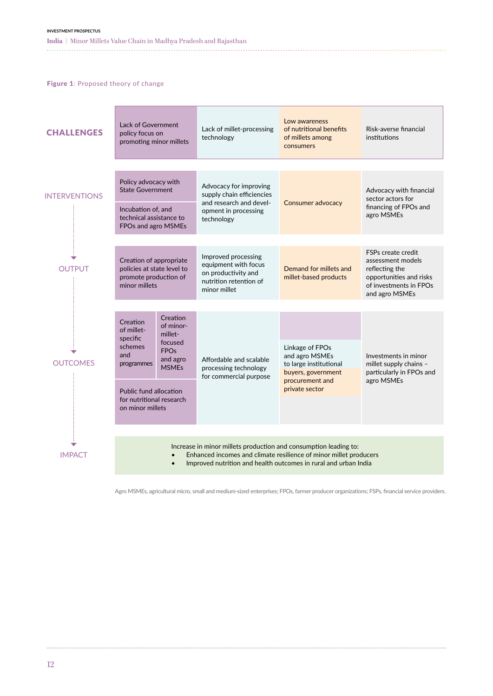<span id="page-13-0"></span>**India |** Minor Millets Value Chain in Madhya Pradesh and Rajasthan

Figure 1: Proposed theory of change

| <b>CHALLENGES</b>    | Lack of Government<br>policy focus on<br>promoting minor millets                                                                                                                                         |  | Lack of millet-processing<br>technology                                                                      | Low awareness<br>of nutritional benefits<br>of millets among<br>consumers                            | Risk-averse financial<br>institutions                                                                                            |  |  |
|----------------------|----------------------------------------------------------------------------------------------------------------------------------------------------------------------------------------------------------|--|--------------------------------------------------------------------------------------------------------------|------------------------------------------------------------------------------------------------------|----------------------------------------------------------------------------------------------------------------------------------|--|--|
|                      |                                                                                                                                                                                                          |  |                                                                                                              |                                                                                                      |                                                                                                                                  |  |  |
| <b>INTERVENTIONS</b> | Policy advocacy with<br><b>State Government</b>                                                                                                                                                          |  | Advocacy for improving<br>supply chain efficiencies<br>and research and devel-                               | Consumer advocacy                                                                                    | Advocacy with financial<br>sector actors for                                                                                     |  |  |
|                      | Incubation of, and<br>technical assistance to<br>FPOs and agro MSMEs                                                                                                                                     |  | opment in processing<br>technology                                                                           |                                                                                                      | financing of FPOs and<br>agro MSMEs                                                                                              |  |  |
|                      |                                                                                                                                                                                                          |  |                                                                                                              |                                                                                                      |                                                                                                                                  |  |  |
| <b>OUTPUT</b>        | Creation of appropriate<br>policies at state level to<br>promote production of<br>minor millets                                                                                                          |  | Improved processing<br>equipment with focus<br>on productivity and<br>nutrition retention of<br>minor millet | Demand for millets and<br>millet-based products                                                      | FSPs create credit<br>assessment models<br>reflecting the<br>opportunities and risks<br>of investments in FPOs<br>and agro MSMEs |  |  |
|                      |                                                                                                                                                                                                          |  |                                                                                                              |                                                                                                      |                                                                                                                                  |  |  |
| <b>OUTCOMES</b>      | Creation<br>Creation<br>of minor-<br>of millet-<br>millet-<br>specific<br>focused<br>schemes<br><b>FPO<sub>s</sub></b><br>and<br>and agro<br>programmes<br><b>MSMEs</b>                                  |  | Affordable and scalable<br>processing technology<br>for commercial purpose                                   | Linkage of FPOs<br>and agro MSMEs<br>to large institutional<br>buyers, government<br>procurement and | Investments in minor<br>millet supply chains –<br>particularly in FPOs and<br>agro MSMEs                                         |  |  |
|                      | <b>Public fund allocation</b><br>for nutritional research<br>on minor millets                                                                                                                            |  |                                                                                                              | private sector                                                                                       |                                                                                                                                  |  |  |
|                      |                                                                                                                                                                                                          |  |                                                                                                              |                                                                                                      |                                                                                                                                  |  |  |
| <b>IMPACT</b>        | Increase in minor millets production and consumption leading to:<br>Enhanced incomes and climate resilience of minor millet producers<br>Improved nutrition and health outcomes in rural and urban India |  |                                                                                                              |                                                                                                      |                                                                                                                                  |  |  |

Agro MSMEs, agricultural micro, small and medium-sized enterprises; FPOs, farmer producer organizations; FSPs, financial service providers.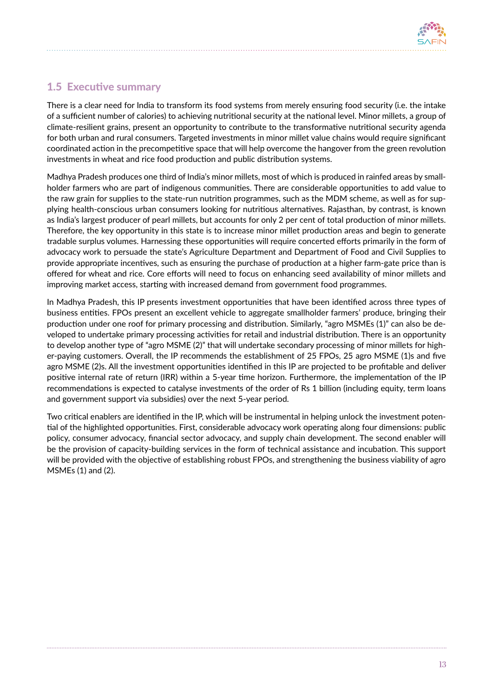

### <span id="page-14-0"></span>1.5 Executive summary

There is a clear need for India to transform its food systems from merely ensuring food security (i.e. the intake of a sufficient number of calories) to achieving nutritional security at the national level. Minor millets, a group of climate-resilient grains, present an opportunity to contribute to the transformative nutritional security agenda for both urban and rural consumers. Targeted investments in minor millet value chains would require significant coordinated action in the precompetitive space that will help overcome the hangover from the green revolution investments in wheat and rice food production and public distribution systems.

Madhya Pradesh produces one third of India's minor millets, most of which is produced in rainfed areas by smallholder farmers who are part of indigenous communities. There are considerable opportunities to add value to the raw grain for supplies to the state-run nutrition programmes, such as the MDM scheme, as well as for supplying health-conscious urban consumers looking for nutritious alternatives. Rajasthan, by contrast, is known as India's largest producer of pearl millets, but accounts for only 2 per cent of total production of minor millets. Therefore, the key opportunity in this state is to increase minor millet production areas and begin to generate tradable surplus volumes. Harnessing these opportunities will require concerted efforts primarily in the form of advocacy work to persuade the state's Agriculture Department and Department of Food and Civil Supplies to provide appropriate incentives, such as ensuring the purchase of production at a higher farm-gate price than is offered for wheat and rice. Core efforts will need to focus on enhancing seed availability of minor millets and improving market access, starting with increased demand from government food programmes.

In Madhya Pradesh, this IP presents investment opportunities that have been identified across three types of business entities. FPOs present an excellent vehicle to aggregate smallholder farmers' produce, bringing their production under one roof for primary processing and distribution. Similarly, "agro MSMEs (1)" can also be developed to undertake primary processing activities for retail and industrial distribution. There is an opportunity to develop another type of "agro MSME (2)" that will undertake secondary processing of minor millets for higher-paying customers. Overall, the IP recommends the establishment of 25 FPOs, 25 agro MSME (1)s and five agro MSME (2)s. All the investment opportunities identified in this IP are projected to be profitable and deliver positive internal rate of return (IRR) within a 5-year time horizon. Furthermore, the implementation of the IP recommendations is expected to catalyse investments of the order of Rs 1 billion (including equity, term loans and government support via subsidies) over the next 5-year period.

Two critical enablers are identified in the IP, which will be instrumental in helping unlock the investment potential of the highlighted opportunities. First, considerable advocacy work operating along four dimensions: public policy, consumer advocacy, financial sector advocacy, and supply chain development. The second enabler will be the provision of capacity-building services in the form of technical assistance and incubation. This support will be provided with the objective of establishing robust FPOs, and strengthening the business viability of agro MSMEs (1) and (2).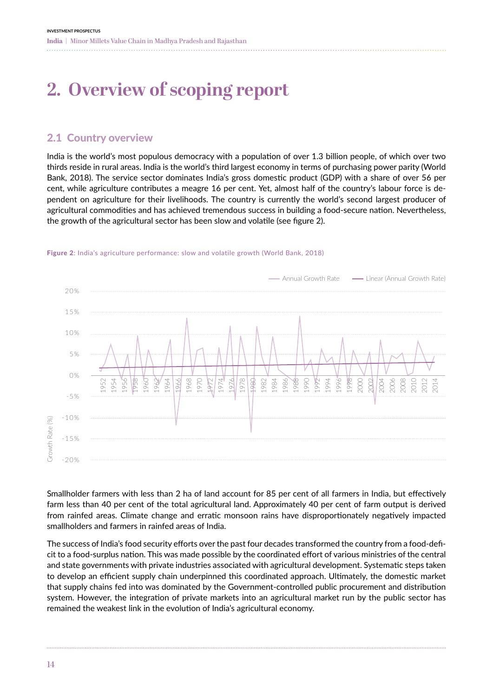## <span id="page-15-0"></span>**2. Overview of scoping report**

### 2.1 Country overview

India is the world's most populous democracy with a population of over 1.3 billion people, of which over two thirds reside in rural areas. India is the world's third largest economy in terms of purchasing power parity (World Bank, 2018). The service sector dominates India's gross domestic product (GDP) with a share of over 56 per cent, while agriculture contributes a meagre 16 per cent. Yet, almost half of the country's labour force is dependent on agriculture for their livelihoods. The country is currently the world's second largest producer of agricultural commodities and has achieved tremendous success in building a food-secure nation. Nevertheless, the growth of the agricultural sector has been slow and volatile (see figure 2).



#### Figure 2: India's agriculture performance: slow and volatile growth (World Bank, 2018)

Smallholder farmers with less than 2 ha of land account for 85 per cent of all farmers in India, but effectively farm less than 40 per cent of the total agricultural land. Approximately 40 per cent of farm output is derived from rainfed areas. Climate change and erratic monsoon rains have disproportionately negatively impacted smallholders and farmers in rainfed areas of India.

The success of India's food security efforts over the past four decades transformed the country from a food-deficit to a food-surplus nation. This was made possible by the coordinated effort of various ministries of the central and state governments with private industries associated with agricultural development. Systematic steps taken to develop an efficient supply chain underpinned this coordinated approach. Ultimately, the domestic market that supply chains fed into was dominated by the Government-controlled public procurement and distribution system. However, the integration of private markets into an agricultural market run by the public sector has remained the weakest link in the evolution of India's agricultural economy.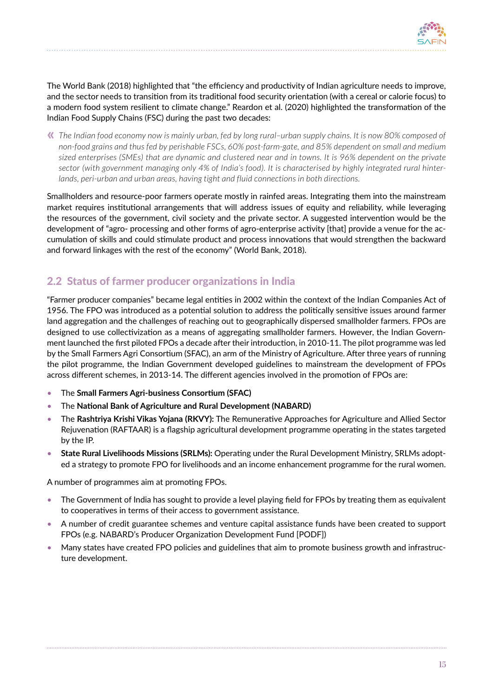

<span id="page-16-0"></span>The World Bank (2018) highlighted that "the efficiency and productivity of Indian agriculture needs to improve, and the sector needs to transition from its traditional food security orientation (with a cereal or calorie focus) to a modern food system resilient to climate change." Reardon et al. (2020) highlighted the transformation of the Indian Food Supply Chains (FSC) during the past two decades:

*The Indian food economy now is mainly urban, fed by long rural–urban supply chains. It is now 80% composed of*  **«***non-food grains and thus fed by perishable FSCs, 60% post-farm-gate, and 85% dependent on small and medium sized enterprises (SMEs) that are dynamic and clustered near and in towns. It is 96% dependent on the private sector (with government managing only 4% of India's food). It is characterised by highly integrated rural hinterlands, peri-urban and urban areas, having tight and fluid connections in both directions.*

Smallholders and resource-poor farmers operate mostly in rainfed areas. Integrating them into the mainstream market requires institutional arrangements that will address issues of equity and reliability, while leveraging the resources of the government, civil society and the private sector. A suggested intervention would be the development of "agro- processing and other forms of agro-enterprise activity [that] provide a venue for the accumulation of skills and could stimulate product and process innovations that would strengthen the backward and forward linkages with the rest of the economy" (World Bank, 2018).

### 2.2 Status of farmer producer organizations in India

"Farmer producer companies" became legal entities in 2002 within the context of the Indian Companies Act of 1956. The FPO was introduced as a potential solution to address the politically sensitive issues around farmer land aggregation and the challenges of reaching out to geographically dispersed smallholder farmers. FPOs are designed to use collectivization as a means of aggregating smallholder farmers. However, the Indian Government launched the first piloted FPOs a decade after their introduction, in 2010-11. The pilot programme was led by the Small Farmers Agri Consortium (SFAC), an arm of the Ministry of Agriculture. After three years of running the pilot programme, the Indian Government developed guidelines to mainstream the development of FPOs across different schemes, in 2013-14. The different agencies involved in the promotion of FPOs are:

- The **Small Farmers Agri-business Consortium (SFAC)**
- The **National Bank of Agriculture and Rural Development (NABARD)**
- The **Rashtriya Krishi Vikas Yojana (RKVY):** The Remunerative Approaches for Agriculture and Allied Sector Rejuvenation (RAFTAAR) is a flagship agricultural development programme operating in the states targeted by the IP.
- **State Rural Livelihoods Missions (SRLMs):** Operating under the Rural Development Ministry, SRLMs adopted a strategy to promote FPO for livelihoods and an income enhancement programme for the rural women.

A number of programmes aim at promoting FPOs.

- The Government of India has sought to provide a level playing field for FPOs by treating them as equivalent to cooperatives in terms of their access to government assistance.
- A number of credit guarantee schemes and venture capital assistance funds have been created to support FPOs (e.g. NABARD's Producer Organization Development Fund [PODF])
- Many states have created FPO policies and guidelines that aim to promote business growth and infrastructure development.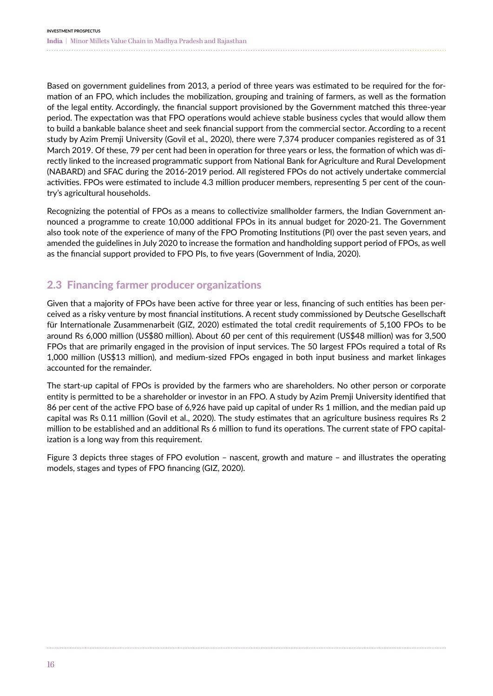<span id="page-17-0"></span>Based on government guidelines from 2013, a period of three years was estimated to be required for the formation of an FPO, which includes the mobilization, grouping and training of farmers, as well as the formation of the legal entity. Accordingly, the financial support provisioned by the Government matched this three-year period. The expectation was that FPO operations would achieve stable business cycles that would allow them to build a bankable balance sheet and seek financial support from the commercial sector. According to a recent study by Azim Premji University (Govil et al., 2020), there were 7,374 producer companies registered as of 31 March 2019. Of these, 79 per cent had been in operation for three years or less, the formation of which was directly linked to the increased programmatic support from National Bank for Agriculture and Rural Development (NABARD) and SFAC during the 2016-2019 period. All registered FPOs do not actively undertake commercial activities. FPOs were estimated to include 4.3 million producer members, representing 5 per cent of the country's agricultural households.

Recognizing the potential of FPOs as a means to collectivize smallholder farmers, the Indian Government announced a programme to create 10,000 additional FPOs in its annual budget for 2020-21. The Government also took note of the experience of many of the FPO Promoting Institutions (PI) over the past seven years, and amended the guidelines in July 2020 to increase the formation and handholding support period of FPOs, as well as the financial support provided to FPO PIs, to five years (Government of India, 2020).

## 2.3 Financing farmer producer organizations

Given that a majority of FPOs have been active for three year or less, financing of such entities has been perceived as a risky venture by most financial institutions. A recent study commissioned by Deutsche Gesellschaft für Internationale Zusammenarbeit (GIZ, 2020) estimated the total credit requirements of 5,100 FPOs to be around Rs 6,000 million (US\$80 million). About 60 per cent of this requirement (US\$48 million) was for 3,500 FPOs that are primarily engaged in the provision of input services. The 50 largest FPOs required a total of Rs 1,000 million (US\$13 million), and medium-sized FPOs engaged in both input business and market linkages accounted for the remainder.

The start-up capital of FPOs is provided by the farmers who are shareholders. No other person or corporate entity is permitted to be a shareholder or investor in an FPO. A study by Azim Premji University identified that 86 per cent of the active FPO base of 6,926 have paid up capital of under Rs 1 million, and the median paid up capital was Rs 0.11 million (Govil et al., 2020). The study estimates that an agriculture business requires Rs 2 million to be established and an additional Rs 6 million to fund its operations. The current state of FPO capitalization is a long way from this requirement.

Figure 3 depicts three stages of FPO evolution – nascent, growth and mature – and illustrates the operating models, stages and types of FPO financing (GIZ, 2020).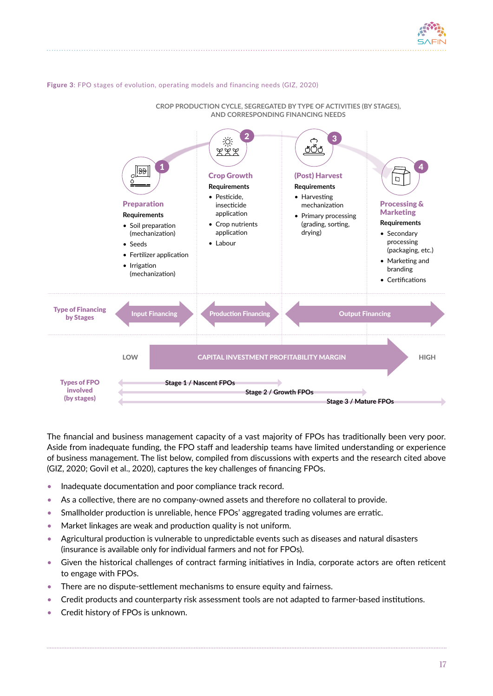

#### <span id="page-18-0"></span>Figure 3: FPO stages of evolution, operating models and financing needs (GIZ, 2020)



**CROP PRODUCTION CYCLE, SEGREGATED BY TYPE OF ACTIVITIES (BY STAGES), AND CORRESPONDING FINANCING NEEDS**

The financial and business management capacity of a vast majority of FPOs has traditionally been very poor. Aside from inadequate funding, the FPO staff and leadership teams have limited understanding or experience of business management. The list below, compiled from discussions with experts and the research cited above (GIZ, 2020; Govil et al., 2020), captures the key challenges of financing FPOs.

- Inadequate documentation and poor compliance track record.
- As a collective, there are no company-owned assets and therefore no collateral to provide.
- Smallholder production is unreliable, hence FPOs' aggregated trading volumes are erratic.
- Market linkages are weak and production quality is not uniform.
- Agricultural production is vulnerable to unpredictable events such as diseases and natural disasters (insurance is available only for individual farmers and not for FPOs).
- Given the historical challenges of contract farming initiatives in India, corporate actors are often reticent to engage with FPOs.
- There are no dispute-settlement mechanisms to ensure equity and fairness.
- **•** Credit products and counterparty risk assessment tools are not adapted to farmer-based institutions.
- **[** 10 **] [** 10 **]** Credit history of FPOs is unknown.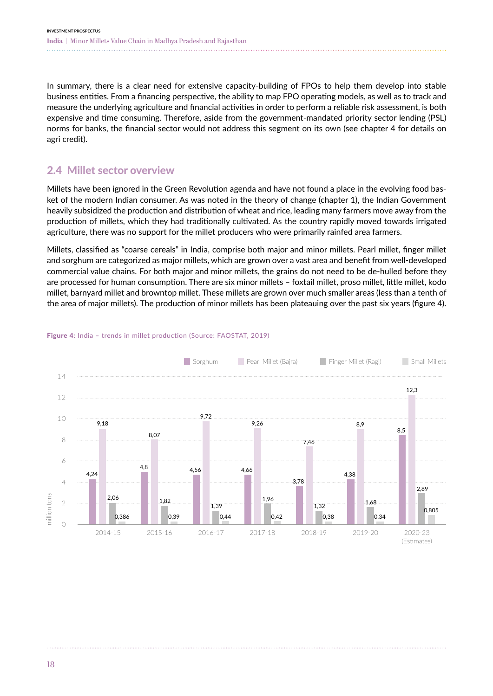<span id="page-19-0"></span>In summary, there is a clear need for extensive capacity-building of FPOs to help them develop into stable business entities. From a financing perspective, the ability to map FPO operating models, as well as to track and measure the underlying agriculture and financial activities in order to perform a reliable risk assessment, is both expensive and time consuming. Therefore, aside from the government-mandated priority sector lending (PSL) norms for banks, the financial sector would not address this segment on its own (see chapter 4 for details on agri credit).

## 2.4 Millet sector overview

Millets have been ignored in the Green Revolution agenda and have not found a place in the evolving food basket of the modern Indian consumer. As was noted in the theory of change (chapter 1), the Indian Government heavily subsidized the production and distribution of wheat and rice, leading many farmers move away from the production of millets, which they had traditionally cultivated. As the country rapidly moved towards irrigated agriculture, there was no support for the millet producers who were primarily rainfed area farmers.

Millets, classified as "coarse cereals" in India, comprise both major and minor millets. Pearl millet, finger millet and sorghum are categorized as major millets, which are grown over a vast area and benefit from well-developed commercial value chains. For both major and minor millets, the grains do not need to be de-hulled before they are processed for human consumption. There are six minor millets – foxtail millet, proso millet, little millet, kodo millet, barnyard millet and browntop millet. These millets are grown over much smaller areas (less than a tenth of the area of major millets). The production of minor millets has been plateauing over the past six years (figure 4).



#### Figure 4: India – trends in millet production (Source: FAOSTAT, 2019)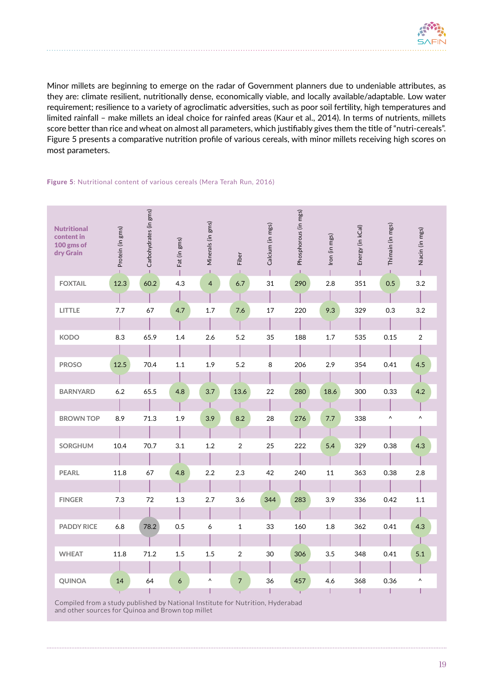<span id="page-20-0"></span>Minor millets are beginning to emerge on the radar of Government planners due to undeniable attributes, as they are: climate resilient, nutritionally dense, economically viable, and locally available/adaptable. Low water requirement; resilience to a variety of agroclimatic adversities, such as poor soil fertility, high temperatures and limited rainfall – make millets an ideal choice for rainfed areas (Kaur et al., 2014). In terms of nutrients, millets score better than rice and wheat on almost all parameters, which justifiably gives them the title of "nutri-cereals". Figure 5 presents a comparative nutrition profile of various cereals, with minor millets receiving high scores on most parameters.

#### Figure 5: Nutritional content of various cereals (Mera Terah Run, 2016)

| <b>Nutritional</b><br>content in<br>100 gms of<br>dry Grain | Protein (in gms) | Carbohydrates (in gms) | Fat (in gms) | Minerals (in gms) | Fiber          | Calcium (in mgs) | Phosphorous (in mgs) | Iron (in mgs) | Energy (in kCal) | Thimain (in mgs) | Niacin (in mgs)       |
|-------------------------------------------------------------|------------------|------------------------|--------------|-------------------|----------------|------------------|----------------------|---------------|------------------|------------------|-----------------------|
| <b>FOXTAIL</b>                                              | 12.3             | 60.2                   | 4.3          | $\overline{4}$    | 6.7            | 31               | 290                  | 2.8           | 351              | 0.5              | 3.2                   |
|                                                             |                  |                        |              |                   |                |                  |                      |               |                  |                  |                       |
| LITTLE                                                      | 7.7              | 67                     | 4.7          | 1.7               | 7.6            | 17               | 220                  | 9.3           | 329              | 0.3              | 3.2                   |
|                                                             |                  |                        |              |                   |                |                  |                      |               |                  |                  |                       |
| <b>KODO</b>                                                 | 8.3              | 65.9                   | 1.4          | 2.6               | 5.2            | 35               | 188                  | 1.7           | 535              | 0.15             | $\overline{2}$        |
|                                                             |                  |                        |              |                   |                |                  |                      |               |                  |                  |                       |
| <b>PROSO</b>                                                | 12.5             | 70.4                   | 1.1          | 1.9               | 5.2            | 8                | 206                  | 2.9           | 354              | 0.41             | 4.5                   |
|                                                             |                  |                        |              |                   |                |                  |                      |               |                  |                  |                       |
| <b>BARNYARD</b>                                             | 6.2              | 65.5                   | 4.8          | 3.7               | 13.6           | 22               | 280                  | 18.6          | 300              | 0.33             | 4.2                   |
|                                                             |                  |                        |              |                   |                |                  |                      |               |                  |                  |                       |
| <b>BROWN TOP</b>                                            | 8.9              | 71.3                   | 1.9          | 3.9               | 8.2            | 28               | 276                  | 7.7           | 338              | ٨                | $\boldsymbol{\wedge}$ |
|                                                             |                  |                        |              |                   |                |                  |                      |               |                  |                  |                       |
| SORGHUM                                                     | 10.4             | 70.7                   | 3.1          | 1.2               | 2              | 25               | 222                  | 5.4           | 329              | 0.38             | 4.3                   |
|                                                             |                  |                        |              |                   |                |                  |                      |               |                  |                  |                       |
| <b>PEARL</b>                                                | 11.8             | 67                     | 4.8          | 2.2               | 2.3            | 42               | 240                  | 11            | 363              | 0.38             | 2.8                   |
|                                                             |                  |                        |              |                   |                |                  |                      |               |                  |                  |                       |
| <b>FINGER</b>                                               | 7.3              | 72                     | 1.3          | 2.7               | 3.6            | 344              | 283                  | 3.9           | 336              | 0.42             | 1.1                   |
|                                                             |                  |                        |              |                   |                |                  |                      |               |                  |                  |                       |
| <b>PADDY RICE</b>                                           | 6.8              | 78.2                   | 0.5          | 6                 | 1              | 33               | 160                  | 1.8           | 362              | 0.41             | 4.3                   |
|                                                             |                  |                        |              |                   |                |                  |                      |               |                  |                  |                       |
| <b>WHEAT</b>                                                | 11.8             | 71.2                   | 1.5          | 1.5               | 2              | 30               | 306                  | 3.5           | 348              | 0.41             | 5.1                   |
|                                                             |                  |                        |              |                   |                |                  |                      |               |                  |                  |                       |
| QUINOA                                                      | 14               | 64                     | 6            | Λ                 | $\overline{7}$ | 36               | 457<br>ř.            | 4.6<br>Т      | 368              | 0.36<br>ı        | $\boldsymbol{\wedge}$ |

Compiled from a study published by National Institute for Nutrition, Hyderabad and other sources for Quinoa and Brown top millet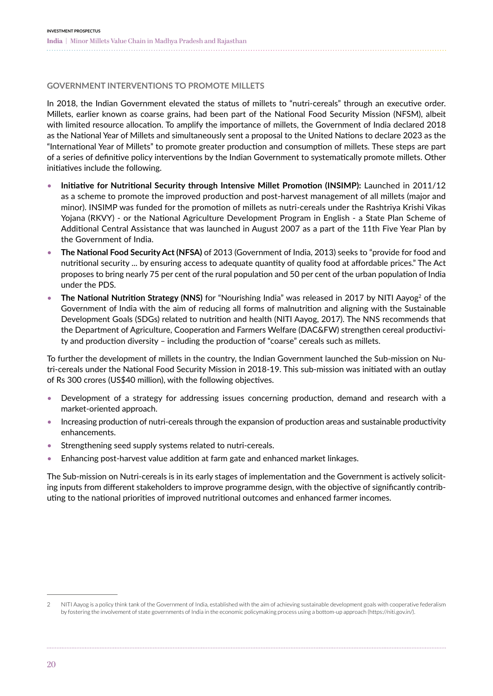#### **GOVERNMENT INTERVENTIONS TO PROMOTE MILLETS**

In 2018, the Indian Government elevated the status of millets to "nutri-cereals" through an executive order. Millets, earlier known as coarse grains, had been part of the National Food Security Mission (NFSM), albeit with limited resource allocation. To amplify the importance of millets, the Government of India declared 2018 as the National Year of Millets and simultaneously sent a proposal to the United Nations to declare 2023 as the "International Year of Millets" to promote greater production and consumption of millets. These steps are part of a series of definitive policy interventions by the Indian Government to systematically promote millets. Other initiatives include the following.

- **Initiative for Nutritional Security through Intensive Millet Promotion (INSIMP):** Launched in 2011/12 as a scheme to promote the improved production and post-harvest management of all millets (major and minor). INSIMP was funded for the promotion of millets as nutri-cereals under the Rashtriya Krishi Vikas Yojana (RKVY) - or the National Agriculture Development Program in English - a State Plan Scheme of Additional Central Assistance that was launched in August 2007 as a part of the 11th Five Year Plan by the Government of India.
- **The National Food Security Act (NFSA)** of 2013 (Government of India, 2013) seeks to "provide for food and nutritional security ... by ensuring access to adequate quantity of quality food at affordable prices." The Act proposes to bring nearly 75 per cent of the rural population and 50 per cent of the urban population of India under the PDS.
- **The National Nutrition Strategy (NNS)** for "Nourishing India" was released in 2017 by NITI Aayog<sup>2</sup> of the Government of India with the aim of reducing all forms of malnutrition and aligning with the Sustainable Development Goals (SDGs) related to nutrition and health (NITI Aayog, 2017). The NNS recommends that the Department of Agriculture, Cooperation and Farmers Welfare (DAC&FW) strengthen cereal productivity and production diversity – including the production of "coarse" cereals such as millets.

To further the development of millets in the country, the Indian Government launched the Sub-mission on Nutri-cereals under the National Food Security Mission in 2018-19. This sub-mission was initiated with an outlay of Rs 300 crores (US\$40 million), with the following objectives.

- Development of a strategy for addressing issues concerning production, demand and research with a market-oriented approach.
- Increasing production of nutri-cereals through the expansion of production areas and sustainable productivity enhancements.
- Strengthening seed supply systems related to nutri-cereals.
- Enhancing post-harvest value addition at farm gate and enhanced market linkages.

The Sub-mission on Nutri-cereals is in its early stages of implementation and the Government is actively soliciting inputs from different stakeholders to improve programme design, with the objective of significantly contributing to the national priorities of improved nutritional outcomes and enhanced farmer incomes.

<sup>2</sup> NITI Aayog is a policy think tank of the Government of India, established with the aim of achieving sustainable development goals with cooperative federalism by fostering the involvement of state governments of India in the economic policymaking process using a bottom-up approach (https://niti.gov.in/).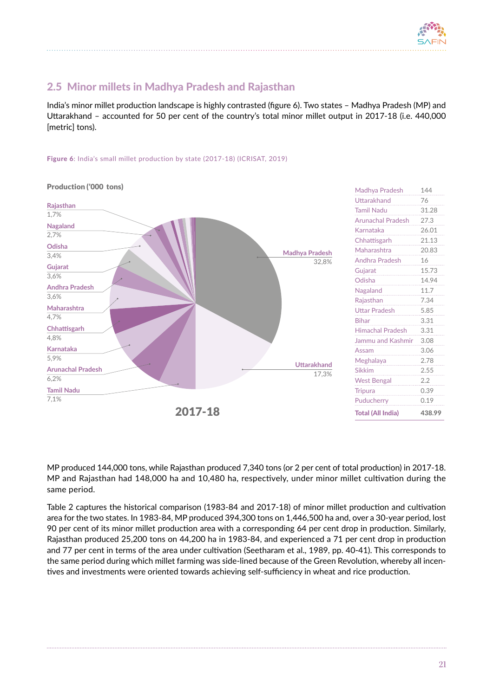

## <span id="page-22-0"></span>2.5 Minor millets in Madhya Pradesh and Rajasthan

India's minor millet production landscape is highly contrasted (figure 6). Two states – Madhya Pradesh (MP) and Uttarakhand – accounted for 50 per cent of the country's total minor millet output in 2017-18 (i.e. 440,000 [metric] tons).

#### Figure 6: India's small millet production by state (2017-18) (ICRISAT, 2019)



Uttarakhand 76 Tamil Nadu 31.28 Arunachal Pradesh 27.3 Karnataka 26.01 Chhattisgarh 21.13 Maharashtra 20.83 Andhra Pradesh 16 Guiarat 15.73 Odisha 14.94 Nagaland 11.7 Rajasthan 7.34 Uttar Pradesh 5.85 Bihar 3.31 Himachal Pradesh 3.31 Jammu and Kashmir 3.08 Assam 3.06 Meghalaya 2.78 Sikkim 2.55 West Bengal 2.2 Tripura 0.39 Puducherry 0.19 Total (All India) 438.99

MP produced 144,000 tons, while Rajasthan produced 7,340 tons (or 2 per cent of total production) in 2017-18. MP and Rajasthan had 148,000 ha and 10,480 ha, respectively, under minor millet cultivation during the same period.

Table 2 captures the historical comparison (1983-84 and 2017-18) of minor millet production and cultivation area for the two states. In 1983-84, MP produced 394,300 tons on 1,446,500 ha and, over a 30-year period, lost 90 per cent of its minor millet production area with a corresponding 64 per cent drop in production. Similarly, Rajasthan produced 25,200 tons on 44,200 ha in 1983-84, and experienced a 71 per cent drop in production and 77 per cent in terms of the area under cultivation (Seetharam et al., 1989, pp. 40-41). This corresponds to the same period during which millet farming was side-lined because of the Green Revolution, whereby all incentives and investments were oriented towards achieving self-sufficiency in wheat and rice production.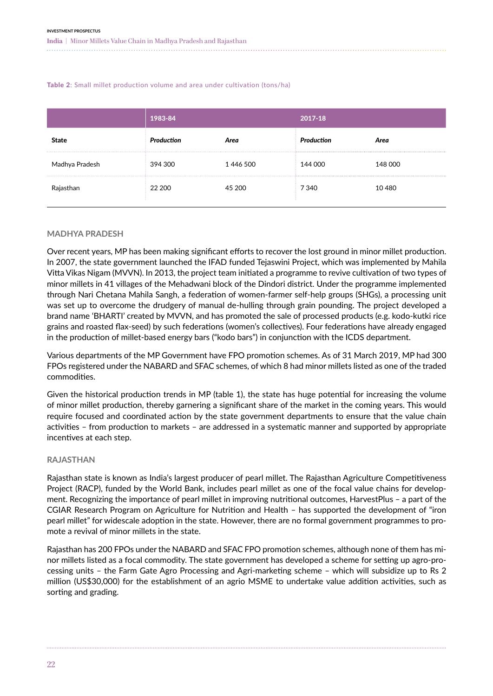#### <span id="page-23-0"></span>Table 2: Small millet production volume and area under cultivation (tons/ha)

|                | 1983-84    |          | 2017-18    |         |  |
|----------------|------------|----------|------------|---------|--|
| <b>State</b>   | Production | Area     | Production | Area    |  |
| Madhya Pradesh | 394 300    | 1446 500 | 144 000    | 148 000 |  |
| Rajasthan      | 22 200     | 45 200   | 7 340      | 10480   |  |

#### **MADHYA PRADESH**

Over recent years, MP has been making significant efforts to recover the lost ground in minor millet production. In 2007, the state government launched the IFAD funded Tejaswini Project, which was implemented by Mahila Vitta Vikas Nigam (MVVN). In 2013, the project team initiated a programme to revive cultivation of two types of minor millets in 41 villages of the Mehadwani block of the Dindori district. Under the programme implemented through Nari Chetana Mahila Sangh, a federation of women-farmer self-help groups (SHGs), a processing unit was set up to overcome the drudgery of manual de-hulling through grain pounding. The project developed a brand name 'BHARTI' created by MVVN, and has promoted the sale of processed products (e.g. kodo-kutki rice grains and roasted flax-seed) by such federations (women's collectives). Four federations have already engaged in the production of millet-based energy bars ("kodo bars") in conjunction with the ICDS department.

Various departments of the MP Government have FPO promotion schemes. As of 31 March 2019, MP had 300 FPOs registered under the NABARD and SFAC schemes, of which 8 had minor millets listed as one of the traded commodities.

Given the historical production trends in MP (table 1), the state has huge potential for increasing the volume of minor millet production, thereby garnering a significant share of the market in the coming years. This would require focused and coordinated action by the state government departments to ensure that the value chain activities – from production to markets – are addressed in a systematic manner and supported by appropriate incentives at each step.

#### **RAJASTHAN**

Rajasthan state is known as India's largest producer of pearl millet. The Rajasthan Agriculture Competitiveness Project (RACP), funded by the World Bank, includes pearl millet as one of the focal value chains for development. Recognizing the importance of pearl millet in improving nutritional outcomes, HarvestPlus – a part of the CGIAR Research Program on Agriculture for Nutrition and Health – has supported the development of "iron pearl millet" for widescale adoption in the state. However, there are no formal government programmes to promote a revival of minor millets in the state.

Rajasthan has 200 FPOs under the NABARD and SFAC FPO promotion schemes, although none of them has minor millets listed as a focal commodity. The state government has developed a scheme for setting up agro-processing units – the Farm Gate Agro Processing and Agri-marketing scheme – which will subsidize up to Rs 2 million (US\$30,000) for the establishment of an agrio MSME to undertake value addition activities, such as sorting and grading.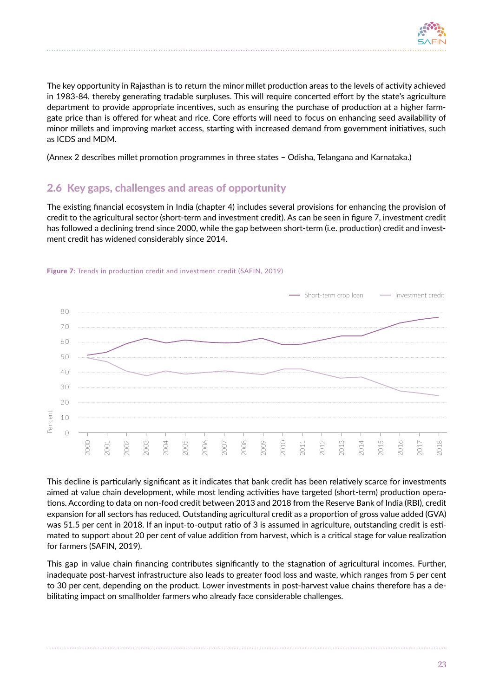

<span id="page-24-0"></span>The key opportunity in Rajasthan is to return the minor millet production areas to the levels of activity achieved in 1983-84, thereby generating tradable surpluses. This will require concerted effort by the state's agriculture department to provide appropriate incentives, such as ensuring the purchase of production at a higher farmgate price than is offered for wheat and rice. Core efforts will need to focus on enhancing seed availability of minor millets and improving market access, starting with increased demand from government initiatives, such as ICDS and MDM.

(Annex 2 describes millet promotion programmes in three states – Odisha, Telangana and Karnataka.)

## 2.6 Key gaps, challenges and areas of opportunity

The existing financial ecosystem in India (chapter 4) includes several provisions for enhancing the provision of credit to the agricultural sector (short-term and investment credit). As can be seen in figure 7, investment credit has followed a declining trend since 2000, while the gap between short-term (i.e. production) credit and investment credit has widened considerably since 2014.



#### Figure 7: Trends in production credit and investment credit (SAFIN, 2019)

This decline is particularly significant as it indicates that bank credit has been relatively scarce for investments aimed at value chain development, while most lending activities have targeted (short-term) production operations. According to data on non-food credit between 2013 and 2018 from the Reserve Bank of India (RBI), credit expansion for all sectors has reduced. Outstanding agricultural credit as a proportion of gross value added (GVA) was 51.5 per cent in 2018. If an input-to-output ratio of 3 is assumed in agriculture, outstanding credit is estimated to support about 20 per cent of value addition from harvest, which is a critical stage for value realization for farmers (SAFIN, 2019).

This gap in value chain financing contributes significantly to the stagnation of agricultural incomes. Further, inadequate post-harvest infrastructure also leads to greater food loss and waste, which ranges from 5 per cent to 30 per cent, depending on the product. Lower investments in post-harvest value chains therefore has a debilitating impact on smallholder farmers who already face considerable challenges.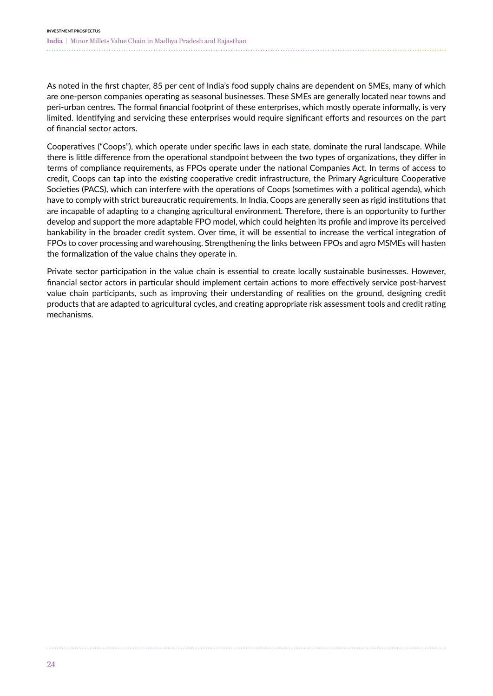As noted in the first chapter, 85 per cent of India's food supply chains are dependent on SMEs, many of which are one-person companies operating as seasonal businesses. These SMEs are generally located near towns and peri-urban centres. The formal financial footprint of these enterprises, which mostly operate informally, is very limited. Identifying and servicing these enterprises would require significant efforts and resources on the part of financial sector actors.

Cooperatives ("Coops"), which operate under specific laws in each state, dominate the rural landscape. While there is little difference from the operational standpoint between the two types of organizations, they differ in terms of compliance requirements, as FPOs operate under the national Companies Act. In terms of access to credit, Coops can tap into the existing cooperative credit infrastructure, the Primary Agriculture Cooperative Societies (PACS), which can interfere with the operations of Coops (sometimes with a political agenda), which have to comply with strict bureaucratic requirements. In India, Coops are generally seen as rigid institutions that are incapable of adapting to a changing agricultural environment. Therefore, there is an opportunity to further develop and support the more adaptable FPO model, which could heighten its profile and improve its perceived bankability in the broader credit system. Over time, it will be essential to increase the vertical integration of FPOs to cover processing and warehousing. Strengthening the links between FPOs and agro MSMEs will hasten the formalization of the value chains they operate in.

Private sector participation in the value chain is essential to create locally sustainable businesses. However, financial sector actors in particular should implement certain actions to more effectively service post-harvest value chain participants, such as improving their understanding of realities on the ground, designing credit products that are adapted to agricultural cycles, and creating appropriate risk assessment tools and credit rating mechanisms.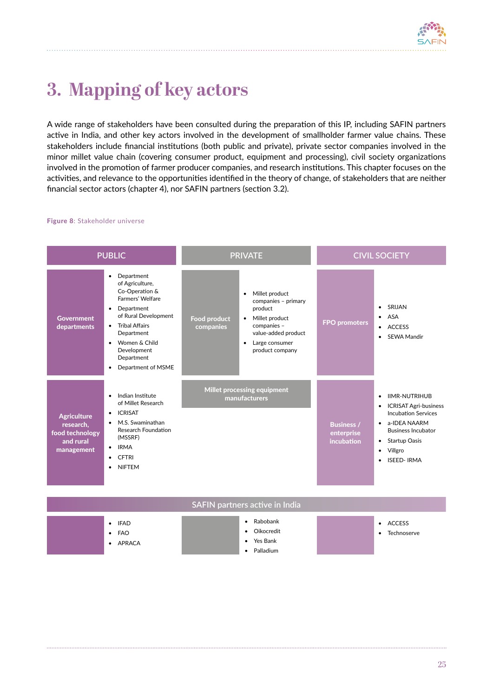

## <span id="page-26-0"></span>**3. Mapping of key actors**

A wide range of stakeholders have been consulted during the preparation of this IP, including SAFIN partners active in India, and other key actors involved in the development of smallholder farmer value chains. These stakeholders include financial institutions (both public and private), private sector companies involved in the minor millet value chain (covering consumer product, equipment and processing), civil society organizations involved in the promotion of farmer producer companies, and research institutions. This chapter focuses on the activities, and relevance to the opportunities identified in the theory of change, of stakeholders that are neither financial sector actors (chapter 4), nor SAFIN partners (section 3.2).

#### Figure 8: Stakeholder universe

| <b>PUBLIC</b>                                                                 |                                                                                                                                                                                                                                             |                                              | <b>PRIVATE</b>                                                                                                                                                                       | <b>CIVIL SOCIETY</b>                          |                                                                                                                                                                                                                                                            |  |
|-------------------------------------------------------------------------------|---------------------------------------------------------------------------------------------------------------------------------------------------------------------------------------------------------------------------------------------|----------------------------------------------|--------------------------------------------------------------------------------------------------------------------------------------------------------------------------------------|-----------------------------------------------|------------------------------------------------------------------------------------------------------------------------------------------------------------------------------------------------------------------------------------------------------------|--|
| <b>Government</b><br>departments                                              | Department<br>$\bullet$<br>of Agriculture,<br>Co-Operation &<br>Farmers' Welfare<br>• Department<br>of Rural Development<br>• Tribal Affairs<br>Department<br>• Women & Child<br>Development<br>Department<br>Department of MSME<br>٠       | Food product<br>companies                    | Millet product<br>$\bullet$<br>companies - primary<br>product<br>Millet product<br>$\bullet$<br>companies -<br>value-added product<br>Large consumer<br>$\bullet$<br>product company | <b>FPO promoters</b>                          | SRIJAN<br>$\bullet$<br>ASA<br>$\bullet$<br><b>ACCESS</b><br>$\bullet$<br><b>SEWA Mandir</b>                                                                                                                                                                |  |
| <b>Agriculture</b><br>research,<br>food technology<br>and rural<br>management | Indian Institute<br>$\bullet$<br>of Millet Research<br><b>ICRISAT</b><br>$\bullet$<br>M.S. Swaminathan<br>$\bullet$<br><b>Research Foundation</b><br>(MSSRF)<br><b>IRMA</b><br>$\bullet$<br><b>CFTRI</b><br>$\bullet$<br><b>NIFTEM</b><br>٠ | Millet processing equipment<br>manufacturers |                                                                                                                                                                                      | <b>Business /</b><br>enterprise<br>incubation | <b>IIMR-NUTRIHUB</b><br>$\bullet$<br><b>ICRISAT Agri-business</b><br>$\bullet$<br><b>Incubation Services</b><br>• a-IDEA NAARM<br><b>Business Incubator</b><br><b>Startup Oasis</b><br>$\bullet$<br>Villgro<br>$\bullet$<br><b>ISEED-IRMA</b><br>$\bullet$ |  |
|                                                                               |                                                                                                                                                                                                                                             |                                              | SAFIN partners active in India                                                                                                                                                       |                                               |                                                                                                                                                                                                                                                            |  |
|                                                                               | • IFAD<br><b>FAO</b><br>$\bullet$<br>APRACA                                                                                                                                                                                                 |                                              | Rabobank<br>٠<br>Oikocredit<br>$\bullet$<br>Yes Bank<br>٠<br>Palladium<br>$\bullet$                                                                                                  |                                               | <b>ACCESS</b><br>$\bullet$<br>Technoserve                                                                                                                                                                                                                  |  |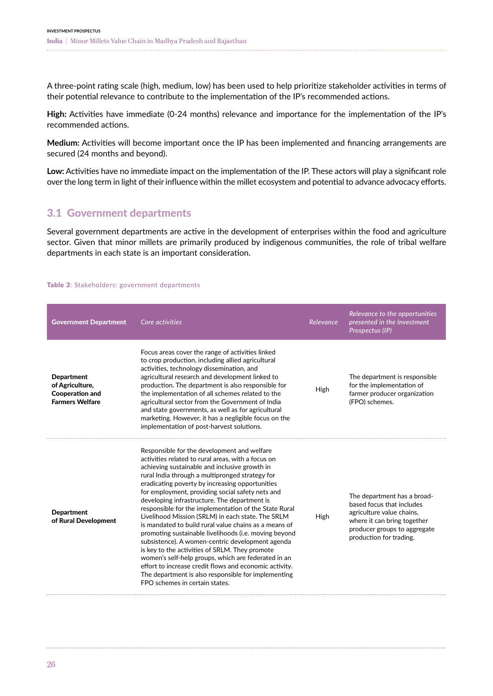<span id="page-27-0"></span>A three-point rating scale (high, medium, low) has been used to help prioritize stakeholder activities in terms of their potential relevance to contribute to the implementation of the IP's recommended actions.

High: Activities have immediate (0-24 months) relevance and importance for the implementation of the IP's recommended actions.

**Medium:** Activities will become important once the IP has been implemented and financing arrangements are secured (24 months and beyond).

**Low:** Activities have no immediate impact on the implementation of the IP. These actors will play a significant role over the long term in light of their influence within the millet ecosystem and potential to advance advocacy efforts.

### 3.1 Government departments

Several government departments are active in the development of enterprises within the food and agriculture sector. Given that minor millets are primarily produced by indigenous communities, the role of tribal welfare departments in each state is an important consideration.

#### Table 3: Stakeholders: government departments

| <b>Government Department</b>                                                             | Core activities                                                                                                                                                                                                                                                                                                                                                                                                                                                                                                                                                                                                                                                                                                                                                                                                                                                                                              | Relevance | Relevance to the opportunities<br>presented in the Investment<br>Prospectus (IP)                                                                                                |
|------------------------------------------------------------------------------------------|--------------------------------------------------------------------------------------------------------------------------------------------------------------------------------------------------------------------------------------------------------------------------------------------------------------------------------------------------------------------------------------------------------------------------------------------------------------------------------------------------------------------------------------------------------------------------------------------------------------------------------------------------------------------------------------------------------------------------------------------------------------------------------------------------------------------------------------------------------------------------------------------------------------|-----------|---------------------------------------------------------------------------------------------------------------------------------------------------------------------------------|
| <b>Department</b><br>of Agriculture,<br><b>Cooperation and</b><br><b>Farmers Welfare</b> | Focus areas cover the range of activities linked<br>to crop production, including allied agricultural<br>activities, technology dissemination, and<br>agricultural research and development linked to<br>production. The department is also responsible for<br>the implementation of all schemes related to the<br>agricultural sector from the Government of India<br>and state governments, as well as for agricultural<br>marketing. However, it has a negligible focus on the<br>implementation of post-harvest solutions.                                                                                                                                                                                                                                                                                                                                                                               | High      | The department is responsible<br>for the implementation of<br>farmer producer organization<br>(FPO) schemes.                                                                    |
| <b>Department</b><br>of Rural Development                                                | Responsible for the development and welfare<br>activities related to rural areas, with a focus on<br>achieving sustainable and inclusive growth in<br>rural India through a multipronged strategy for<br>eradicating poverty by increasing opportunities<br>for employment, providing social safety nets and<br>developing infrastructure. The department is<br>responsible for the implementation of the State Rural<br>Livelihood Mission (SRLM) in each state. The SRLM<br>is mandated to build rural value chains as a means of<br>promoting sustainable livelihoods (i.e. moving beyond<br>subsistence). A women-centric development agenda<br>is key to the activities of SRLM. They promote<br>women's self-help groups, which are federated in an<br>effort to increase credit flows and economic activity.<br>The department is also responsible for implementing<br>FPO schemes in certain states. | High      | The department has a broad-<br>based focus that includes<br>agriculture value chains,<br>where it can bring together<br>producer groups to aggregate<br>production for trading. |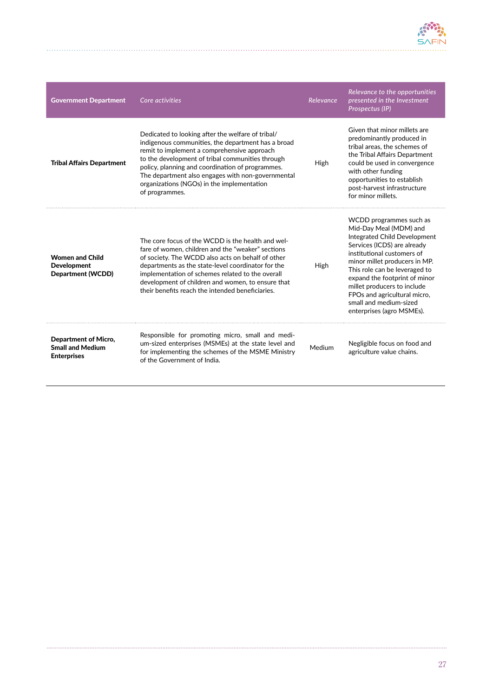

| <b>Government Department</b>                                          | Core activities                                                                                                                                                                                                                                                                                                                                                                     | Relevance | Relevance to the opportunities<br>presented in the Investment<br>Prospectus (IP)                                                                                                                                                                                                                                                                                        |
|-----------------------------------------------------------------------|-------------------------------------------------------------------------------------------------------------------------------------------------------------------------------------------------------------------------------------------------------------------------------------------------------------------------------------------------------------------------------------|-----------|-------------------------------------------------------------------------------------------------------------------------------------------------------------------------------------------------------------------------------------------------------------------------------------------------------------------------------------------------------------------------|
| <b>Tribal Affairs Department</b>                                      | Dedicated to looking after the welfare of tribal/<br>indigenous communities, the department has a broad<br>remit to implement a comprehensive approach<br>to the development of tribal communities through<br>policy, planning and coordination of programmes.<br>The department also engages with non-governmental<br>organizations (NGOs) in the implementation<br>of programmes. | High      | Given that minor millets are<br>predominantly produced in<br>tribal areas, the schemes of<br>the Tribal Affairs Department<br>could be used in convergence<br>with other funding<br>opportunities to establish<br>post-harvest infrastructure<br>for minor millets.                                                                                                     |
| <b>Women and Child</b><br><b>Development</b><br>Department (WCDD)     | The core focus of the WCDD is the health and wel-<br>fare of women, children and the "weaker" sections<br>of society. The WCDD also acts on behalf of other<br>departments as the state-level coordinator for the<br>implementation of schemes related to the overall<br>development of children and women, to ensure that<br>their benefits reach the intended beneficiaries.      | High      | WCDD programmes such as<br>Mid-Day Meal (MDM) and<br>Integrated Child Development<br>Services (ICDS) are already<br>institutional customers of<br>minor millet producers in MP.<br>This role can be leveraged to<br>expand the footprint of minor<br>millet producers to include<br>FPOs and agricultural micro,<br>small and medium-sized<br>enterprises (agro MSMEs). |
| Department of Micro,<br><b>Small and Medium</b><br><b>Enterprises</b> | Responsible for promoting micro, small and medi-<br>um-sized enterprises (MSMEs) at the state level and<br>for implementing the schemes of the MSME Ministry<br>of the Government of India.                                                                                                                                                                                         | Medium    | Negligible focus on food and<br>agriculture value chains.                                                                                                                                                                                                                                                                                                               |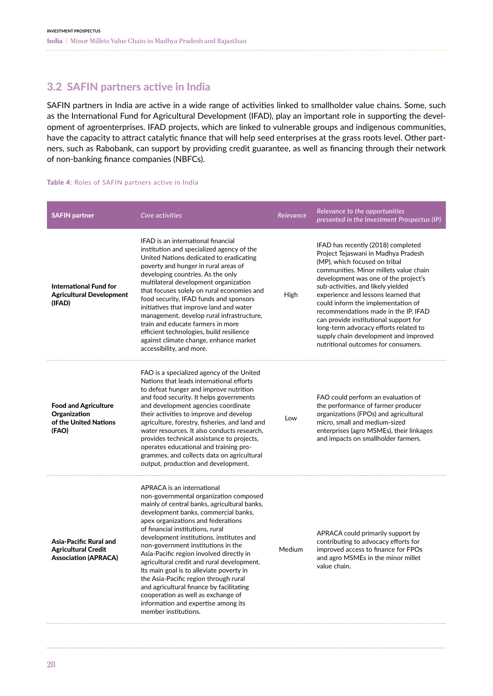### <span id="page-29-0"></span>3.2 SAFIN partners active in India

SAFIN partners in India are active in a wide range of activities linked to smallholder value chains. Some, such as the International Fund for Agricultural Development (IFAD), play an important role in supporting the development of agroenterprises. IFAD projects, which are linked to vulnerable groups and indigenous communities, have the capacity to attract catalytic finance that will help seed enterprises at the grass roots level. Other partners, such as Rabobank, can support by providing credit guarantee, as well as financing through their network of non-banking finance companies (NBFCs).

#### Table 4: Roles of SAFIN partners active in India

| <b>SAFIN partner</b>                                                                | Core activities                                                                                                                                                                                                                                                                                                                                                                                                                                                                                                                                                                                                                                          | Relevance | Relevance to the opportunities<br>presented in the Investment Prospectus (IP)                                                                                                                                                                                                                                                                                                                                                                                                                                             |
|-------------------------------------------------------------------------------------|----------------------------------------------------------------------------------------------------------------------------------------------------------------------------------------------------------------------------------------------------------------------------------------------------------------------------------------------------------------------------------------------------------------------------------------------------------------------------------------------------------------------------------------------------------------------------------------------------------------------------------------------------------|-----------|---------------------------------------------------------------------------------------------------------------------------------------------------------------------------------------------------------------------------------------------------------------------------------------------------------------------------------------------------------------------------------------------------------------------------------------------------------------------------------------------------------------------------|
| <b>International Fund for</b><br><b>Agricultural Development</b><br>(IFAD)          | <b>IFAD</b> is an international financial<br>institution and specialized agency of the<br>United Nations dedicated to eradicating<br>poverty and hunger in rural areas of<br>developing countries. As the only<br>multilateral development organization<br>that focuses solely on rural economies and<br>food security, IFAD funds and sponsors<br>initiatives that improve land and water<br>management, develop rural infrastructure,<br>train and educate farmers in more<br>efficient technologies, build resilience<br>against climate change, enhance market<br>accessibility, and more.                                                           | High      | IFAD has recently (2018) completed<br>Project Tejaswani in Madhya Pradesh<br>(MP), which focused on tribal<br>communities. Minor millets value chain<br>development was one of the project's<br>sub-activities, and likely yielded<br>experience and lessons learned that<br>could inform the implementation of<br>recommendations made in the IP. IFAD<br>can provide institutional support for<br>long-term advocacy efforts related to<br>supply chain development and improved<br>nutritional outcomes for consumers. |
| <b>Food and Agriculture</b><br>Organization<br>of the United Nations<br>(FAO)       | FAO is a specialized agency of the United<br>Nations that leads international efforts<br>to defeat hunger and improve nutrition<br>and food security. It helps governments<br>and development agencies coordinate<br>their activities to improve and develop<br>agriculture, forestry, fisheries, and land and<br>water resources. It also conducts research,<br>provides technical assistance to projects,<br>operates educational and training pro-<br>grammes, and collects data on agricultural<br>output, production and development.                                                                                                               | Low       | FAO could perform an evaluation of<br>the performance of farmer producer<br>organizations (FPOs) and agricultural<br>micro, small and medium-sized<br>enterprises (agro MSMEs), their linkages<br>and impacts on smallholder farmers.                                                                                                                                                                                                                                                                                     |
| Asia-Pacific Rural and<br><b>Agricultural Credit</b><br><b>Association (APRACA)</b> | APRACA is an international<br>non-governmental organization composed<br>mainly of central banks, agricultural banks,<br>development banks, commercial banks,<br>apex organizations and federations<br>of financial institutions, rural<br>development institutions, institutes and<br>non-government institutions in the<br>Asia-Pacific region involved directly in<br>agricultural credit and rural development.<br>Its main goal is to alleviate poverty in<br>the Asia-Pacific region through rural<br>and agricultural finance by facilitating<br>cooperation as well as exchange of<br>information and expertise among its<br>member institutions. | Medium    | APRACA could primarily support by<br>contributing to advocacy efforts for<br>improved access to finance for FPOs<br>and agro MSMEs in the minor millet<br>value chain.                                                                                                                                                                                                                                                                                                                                                    |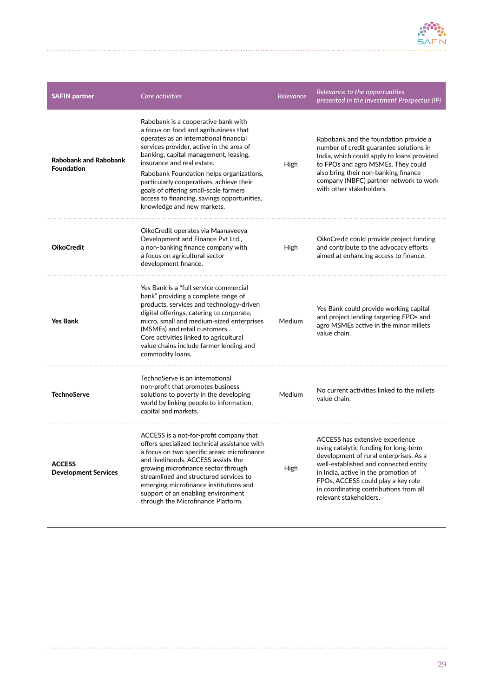

| <b>SAFIN partner</b>                              | Core activities                                                                                                                                                                                                                                                                                                                                                                                                                                         | Relevance   | Relevance to the opportunities<br>presented in the Investment Prospectus (IP)                                                                                                                                                                                                                                 |
|---------------------------------------------------|---------------------------------------------------------------------------------------------------------------------------------------------------------------------------------------------------------------------------------------------------------------------------------------------------------------------------------------------------------------------------------------------------------------------------------------------------------|-------------|---------------------------------------------------------------------------------------------------------------------------------------------------------------------------------------------------------------------------------------------------------------------------------------------------------------|
| <b>Rabobank and Rabobank</b><br><b>Foundation</b> | Rabobank is a cooperative bank with<br>a focus on food and agribusiness that<br>operates as an international financial<br>services provider, active in the area of<br>banking, capital management, leasing,<br>insurance and real estate.<br>Rabobank Foundation helps organizations,<br>particularly cooperatives, achieve their<br>goals of offering small-scale farmers<br>access to financing, savings opportunities,<br>knowledge and new markets. | High        | Rabobank and the foundation provide a<br>number of credit guarantee solutions in<br>India, which could apply to loans provided<br>to FPOs and agro MSMEs. They could<br>also bring their non-banking finance<br>company (NBFC) partner network to work<br>with other stakeholders.                            |
| <b>OikoCredit</b>                                 | OikoCredit operates via Maanaveeya<br>Development and Finance Pvt Ltd.,<br>a non-banking finance company with<br>a focus on agricultural sector<br>development finance.                                                                                                                                                                                                                                                                                 | High        | OikoCredit could provide project funding<br>and contribute to the advocacy efforts<br>aimed at enhancing access to finance.                                                                                                                                                                                   |
| <b>Yes Bank</b>                                   | Yes Bank is a "full service commercial<br>bank" providing a complete range of<br>products, services and technology-driven<br>digital offerings, catering to corporate,<br>micro, small and medium-sized enterprises<br>(MSMEs) and retail customers.<br>Core activities linked to agricultural<br>value chains include farmer lending and<br>commodity loans.                                                                                           | Medium      | Yes Bank could provide working capital<br>and project lending targeting FPOs and<br>agro MSMEs active in the minor millets<br>value chain.                                                                                                                                                                    |
| <b>TechnoServe</b>                                | TechnoServe is an international<br>non-profit that promotes business<br>solutions to poverty in the developing<br>world by linking people to information,<br>capital and markets.                                                                                                                                                                                                                                                                       | Medium      | No current activities linked to the millets<br>value chain.                                                                                                                                                                                                                                                   |
| <b>ACCESS</b><br><b>Development Services</b>      | ACCESS is a not-for-profit company that<br>offers specialized technical assistance with<br>a focus on two specific areas: microfinance<br>and livelihoods. ACCESS assists the<br>growing microfinance sector through<br>streamlined and structured services to<br>emerging microfinance institutions and<br>support of an enabling environment<br>through the Microfinance Platform.                                                                    | <b>High</b> | ACCESS has extensive experience<br>using catalytic funding for long-term<br>development of rural enterprises. As a<br>well-established and connected entity<br>in India, active in the promotion of<br>FPOs, ACCESS could play a key role<br>in coordinating contributions from all<br>relevant stakeholders. |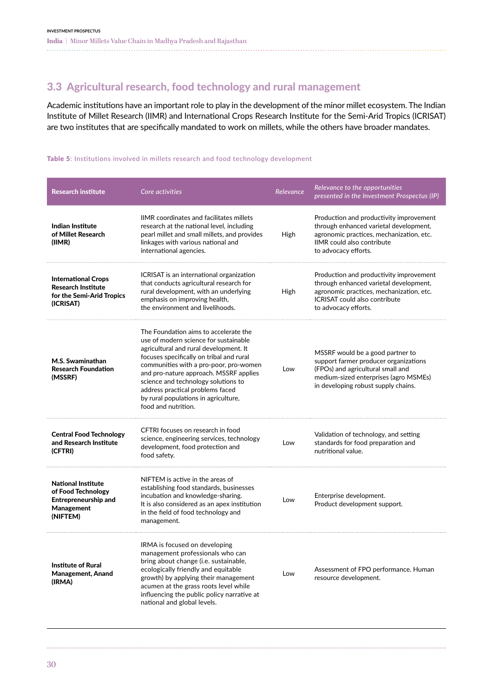## <span id="page-31-0"></span>3.3 Agricultural research, food technology and rural management

Academic institutions have an important role to play in the development of the minor millet ecosystem. The Indian Institute of Millet Research (IIMR) and International Crops Research Institute for the Semi-Arid Tropics (ICRISAT) are two institutes that are specifically mandated to work on millets, while the others have broader mandates.

#### Table 5: Institutions involved in millets research and food technology development

| <b>Research institute</b>                                                                                | Core activities                                                                                                                                                                                                                                                                                                                                                                                    | Relevance | Relevance to the opportunities<br>presented in the Investment Prospectus (IP)                                                                                                                  |
|----------------------------------------------------------------------------------------------------------|----------------------------------------------------------------------------------------------------------------------------------------------------------------------------------------------------------------------------------------------------------------------------------------------------------------------------------------------------------------------------------------------------|-----------|------------------------------------------------------------------------------------------------------------------------------------------------------------------------------------------------|
| Indian Institute<br>of Millet Research<br>(IIMR)                                                         | <b>IIMR</b> coordinates and facilitates millets<br>research at the national level, including<br>pearl millet and small millets, and provides<br>linkages with various national and<br>international agencies.                                                                                                                                                                                      | High      | Production and productivity improvement<br>through enhanced varietal development,<br>agronomic practices, mechanization, etc.<br><b>IIMR</b> could also contribute<br>to advocacy efforts.     |
| <b>International Crops</b><br><b>Research Institute</b><br>for the Semi-Arid Tropics<br>(ICRISAT)        | ICRISAT is an international organization<br>that conducts agricultural research for<br>rural development, with an underlying<br>emphasis on improving health,<br>the environment and livelihoods.                                                                                                                                                                                                  | High      | Production and productivity improvement<br>through enhanced varietal development,<br>agronomic practices, mechanization, etc.<br>ICRISAT could also contribute<br>to advocacy efforts.         |
| M.S. Swaminathan<br><b>Research Foundation</b><br>(MSSRF)                                                | The Foundation aims to accelerate the<br>use of modern science for sustainable<br>agricultural and rural development. It<br>focuses specifically on tribal and rural<br>communities with a pro-poor, pro-women<br>and pro-nature approach. MSSRF applies<br>science and technology solutions to<br>address practical problems faced<br>by rural populations in agriculture,<br>food and nutrition. | Low       | MSSRF would be a good partner to<br>support farmer producer organizations<br>(FPOs) and agricultural small and<br>medium-sized enterprises (agro MSMEs)<br>in developing robust supply chains. |
| <b>Central Food Technology</b><br>and Research Institute<br>(CFTRI)                                      | CFTRI focuses on research in food<br>science, engineering services, technology<br>development, food protection and<br>food safety.                                                                                                                                                                                                                                                                 | Low       | Validation of technology, and setting<br>standards for food preparation and<br>nutritional value.                                                                                              |
| <b>National Institute</b><br>of Food Technology<br><b>Entrepreneurship and</b><br>Management<br>(NIFTEM) | NIFTEM is active in the areas of<br>establishing food standards, businesses<br>incubation and knowledge-sharing.<br>It is also considered as an apex institution<br>in the field of food technology and<br>management.                                                                                                                                                                             | Low       | Enterprise development.<br>Product development support.                                                                                                                                        |
| <b>Institute of Rural</b><br><b>Management, Anand</b><br>(IRMA)                                          | IRMA is focused on developing<br>management professionals who can<br>bring about change (i.e. sustainable,<br>ecologically friendly and equitable<br>growth) by applying their management<br>acumen at the grass roots level while<br>influencing the public policy narrative at<br>national and global levels.                                                                                    | Low       | Assessment of FPO performance. Human<br>resource development.                                                                                                                                  |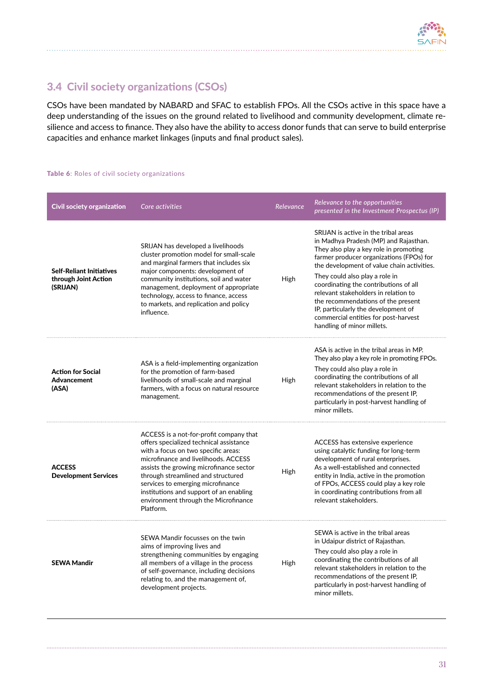

## <span id="page-32-0"></span>3.4 Civil society organizations (CSOs)

CSOs have been mandated by NABARD and SFAC to establish FPOs. All the CSOs active in this space have a deep understanding of the issues on the ground related to livelihood and community development, climate resilience and access to finance. They also have the ability to access donor funds that can serve to build enterprise capacities and enhance market linkages (inputs and final product sales).

#### Table 6: Roles of civil society organizations

| <b>Civil society organization</b>                                   | Core activities                                                                                                                                                                                                                                                                                                                                                                         | Relevance | Relevance to the opportunities<br>presented in the Investment Prospectus (IP)                                                                                                                                                                                                                                                                                                                                                                                                           |
|---------------------------------------------------------------------|-----------------------------------------------------------------------------------------------------------------------------------------------------------------------------------------------------------------------------------------------------------------------------------------------------------------------------------------------------------------------------------------|-----------|-----------------------------------------------------------------------------------------------------------------------------------------------------------------------------------------------------------------------------------------------------------------------------------------------------------------------------------------------------------------------------------------------------------------------------------------------------------------------------------------|
| <b>Self-Reliant Initiatives</b><br>through Joint Action<br>(SRIJAN) | SRIJAN has developed a livelihoods<br>cluster promotion model for small-scale<br>and marginal farmers that includes six<br>major components: development of<br>community institutions, soil and water<br>management, deployment of appropriate<br>technology, access to finance, access<br>to markets, and replication and policy<br>influence.                                         | High      | SRIJAN is active in the tribal areas<br>in Madhya Pradesh (MP) and Rajasthan.<br>They also play a key role in promoting<br>farmer producer organizations (FPOs) for<br>the development of value chain activities.<br>They could also play a role in<br>coordinating the contributions of all<br>relevant stakeholders in relation to<br>the recommendations of the present<br>IP, particularly the development of<br>commercial entities for post-harvest<br>handling of minor millets. |
| <b>Action for Social</b><br>Advancement<br>(ASA)                    | ASA is a field-implementing organization<br>for the promotion of farm-based<br>livelihoods of small-scale and marginal<br>farmers, with a focus on natural resource<br>management.                                                                                                                                                                                                      | High      | ASA is active in the tribal areas in MP.<br>They also play a key role in promoting FPOs.<br>They could also play a role in<br>coordinating the contributions of all<br>relevant stakeholders in relation to the<br>recommendations of the present IP,<br>particularly in post-harvest handling of<br>minor millets.                                                                                                                                                                     |
| <b>ACCESS</b><br><b>Development Services</b>                        | ACCESS is a not-for-profit company that<br>offers specialized technical assistance<br>with a focus on two specific areas:<br>microfinance and livelihoods. ACCESS<br>assists the growing microfinance sector<br>through streamlined and structured<br>services to emerging microfinance<br>institutions and support of an enabling<br>environment through the Microfinance<br>Platform. | High      | ACCESS has extensive experience<br>using catalytic funding for long-term<br>development of rural enterprises.<br>As a well-established and connected<br>entity in India, active in the promotion<br>of FPOs, ACCESS could play a key role<br>in coordinating contributions from all<br>relevant stakeholders.                                                                                                                                                                           |
| <b>SEWA Mandir</b>                                                  | SEWA Mandir focusses on the twin<br>aims of improving lives and<br>strengthening communities by engaging<br>all members of a village in the process<br>of self-governance, including decisions<br>relating to, and the management of,<br>development projects.                                                                                                                          | High      | SEWA is active in the tribal areas<br>in Udaipur district of Rajasthan.<br>They could also play a role in<br>coordinating the contributions of all<br>relevant stakeholders in relation to the<br>recommendations of the present IP,<br>particularly in post-harvest handling of<br>minor millets.                                                                                                                                                                                      |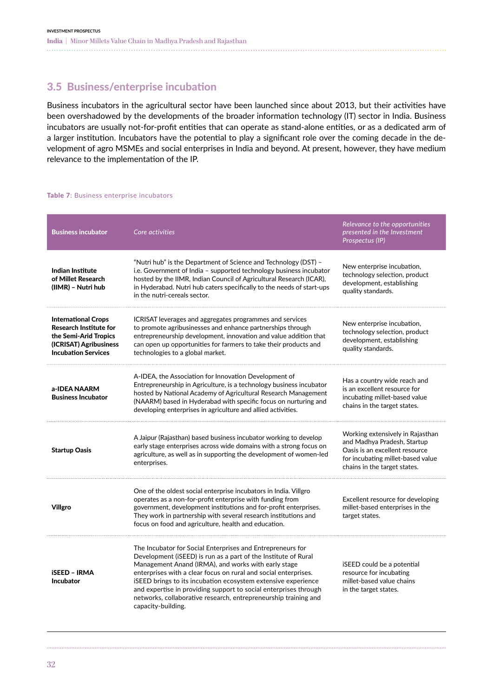### <span id="page-33-0"></span>3.5 Business/enterprise incubation

Business incubators in the agricultural sector have been launched since about 2013, but their activities have been overshadowed by the developments of the broader information technology (IT) sector in India. Business incubators are usually not-for-profit entities that can operate as stand-alone entities, or as a dedicated arm of a larger institution. Incubators have the potential to play a significant role over the coming decade in the development of agro MSMEs and social enterprises in India and beyond. At present, however, they have medium relevance to the implementation of the IP.

#### Table 7: Business enterprise incubators

| <b>Business incubator</b>                                                                                                                    | Core activities                                                                                                                                                                                                                                                                                                                                                                                                                                                                      | Relevance to the opportunities<br>presented in the Investment<br>Prospectus (IP)                                                                                       |
|----------------------------------------------------------------------------------------------------------------------------------------------|--------------------------------------------------------------------------------------------------------------------------------------------------------------------------------------------------------------------------------------------------------------------------------------------------------------------------------------------------------------------------------------------------------------------------------------------------------------------------------------|------------------------------------------------------------------------------------------------------------------------------------------------------------------------|
| <b>Indian Institute</b><br>of Millet Research<br>(IIMR) - Nutri hub                                                                          | "Nutri hub" is the Department of Science and Technology (DST) -<br>i.e. Government of India – supported technology business incubator<br>hosted by the IIMR, Indian Council of Agricultural Research (ICAR),<br>in Hyderabad. Nutri hub caters specifically to the needs of start-ups<br>in the nutri-cereals sector.                                                                                                                                                                | New enterprise incubation,<br>technology selection, product<br>development, establishing<br>quality standards.                                                         |
| <b>International Crops</b><br><b>Research Institute for</b><br>the Semi-Arid Tropics<br>(ICRISAT) Agribusiness<br><b>Incubation Services</b> | ICRISAT leverages and aggregates programmes and services<br>to promote agribusinesses and enhance partnerships through<br>entrepreneurship development, innovation and value addition that<br>can open up opportunities for farmers to take their products and<br>technologies to a global market.                                                                                                                                                                                   | New enterprise incubation,<br>technology selection, product<br>development, establishing<br>quality standards.                                                         |
| a-IDEA NAARM<br><b>Business Incubator</b>                                                                                                    | A-IDEA, the Association for Innovation Development of<br>Entrepreneurship in Agriculture, is a technology business incubator<br>hosted by National Academy of Agricultural Research Management<br>(NAARM) based in Hyderabad with specific focus on nurturing and<br>developing enterprises in agriculture and allied activities.                                                                                                                                                    | Has a country wide reach and<br>is an excellent resource for<br>incubating millet-based value<br>chains in the target states.                                          |
| <b>Startup Oasis</b>                                                                                                                         | A Jaipur (Rajasthan) based business incubator working to develop<br>early stage enterprises across wide domains with a strong focus on<br>agriculture, as well as in supporting the development of women-led<br>enterprises.                                                                                                                                                                                                                                                         | Working extensively in Rajasthan<br>and Madhya Pradesh, Startup<br>Oasis is an excellent resource<br>for incubating millet-based value<br>chains in the target states. |
| Villgro                                                                                                                                      | One of the oldest social enterprise incubators in India. Villgro<br>operates as a non-for-profit enterprise with funding from<br>government, development institutions and for-profit enterprises.<br>They work in partnership with several research institutions and<br>focus on food and agriculture, health and education.                                                                                                                                                         | Excellent resource for developing<br>millet-based enterprises in the<br>target states.                                                                                 |
| <b>iSEED - IRMA</b><br><b>Incubator</b>                                                                                                      | The Incubator for Social Enterprises and Entrepreneurs for<br>Development (iSEED) is run as a part of the Institute of Rural<br>Management Anand (IRMA), and works with early stage<br>enterprises with a clear focus on rural and social enterprises.<br>ISEED brings to its incubation ecosystem extensive experience<br>and expertise in providing support to social enterprises through<br>networks, collaborative research, entrepreneurship training and<br>capacity-building. | iSEED could be a potential<br>resource for incubating<br>millet-based value chains<br>in the target states.                                                            |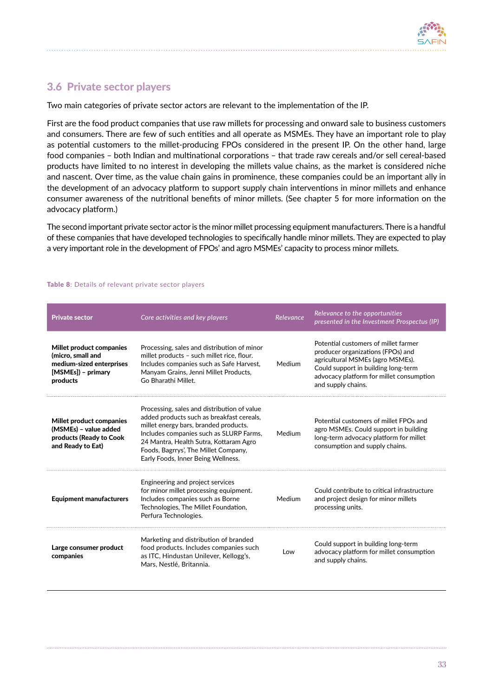## <span id="page-34-0"></span>3.6 Private sector players

Two main categories of private sector actors are relevant to the implementation of the IP.

First are the food product companies that use raw millets for processing and onward sale to business customers and consumers. There are few of such entities and all operate as MSMEs. They have an important role to play as potential customers to the millet-producing FPOs considered in the present IP. On the other hand, large food companies – both Indian and multinational corporations – that trade raw cereals and/or sell cereal-based products have limited to no interest in developing the millets value chains, as the market is considered niche and nascent. Over time, as the value chain gains in prominence, these companies could be an important ally in the development of an advocacy platform to support supply chain interventions in minor millets and enhance consumer awareness of the nutritional benefits of minor millets. (See chapter 5 for more information on the advocacy platform.)

The second important private sector actor is the minor millet processing equipment manufacturers. There is a handful of these companies that have developed technologies to specifically handle minor millets. They are expected to play a very important role in the development of FPOs' and agro MSMEs' capacity to process minor millets.

| <b>Private sector</b>                                                                                       | Core activities and key players                                                                                                                                                                                                                                                                      | Relevance | Relevance to the opportunities<br>presented in the Investment Prospectus (IP)                                                                                                                                          |
|-------------------------------------------------------------------------------------------------------------|------------------------------------------------------------------------------------------------------------------------------------------------------------------------------------------------------------------------------------------------------------------------------------------------------|-----------|------------------------------------------------------------------------------------------------------------------------------------------------------------------------------------------------------------------------|
| Millet product companies<br>(micro, small and<br>medium-sized enterprises<br>[MSMEs]) - primary<br>products | Processing, sales and distribution of minor<br>millet products - such millet rice, flour.<br>Includes companies such as Safe Harvest.<br>Manyam Grains, Jenni Millet Products,<br>Go Bharathi Millet.                                                                                                | Medium    | Potential customers of millet farmer<br>producer organizations (FPOs) and<br>agricultural MSMEs (agro MSMEs).<br>Could support in building long-term<br>advocacy platform for millet consumption<br>and supply chains. |
| Millet product companies<br>(MSMEs) - value added<br>products (Ready to Cook<br>and Ready to Eat)           | Processing, sales and distribution of value<br>added products such as breakfast cereals,<br>millet energy bars, branded products.<br>Includes companies such as SLURP Farms,<br>24 Mantra, Health Sutra, Kottaram Agro<br>Foods, Bagrrys', The Millet Company,<br>Early Foods, Inner Being Wellness. | Medium    | Potential customers of millet FPOs and<br>agro MSMEs. Could support in building<br>long-term advocacy platform for millet<br>consumption and supply chains.                                                            |
| <b>Equipment manufacturers</b>                                                                              | Engineering and project services<br>for minor millet processing equipment.<br>Includes companies such as Borne<br>Technologies, The Millet Foundation,<br>Perfura Technologies.                                                                                                                      | Medium    | Could contribute to critical infrastructure<br>and project design for minor millets<br>processing units.                                                                                                               |
| Large consumer product<br>companies                                                                         | Marketing and distribution of branded<br>food products. Includes companies such<br>as ITC, Hindustan Unilever, Kellogg's,<br>Mars, Nestlé, Britannia.                                                                                                                                                | Low       | Could support in building long-term<br>advocacy platform for millet consumption<br>and supply chains.                                                                                                                  |

#### Table 8: Details of relevant private sector players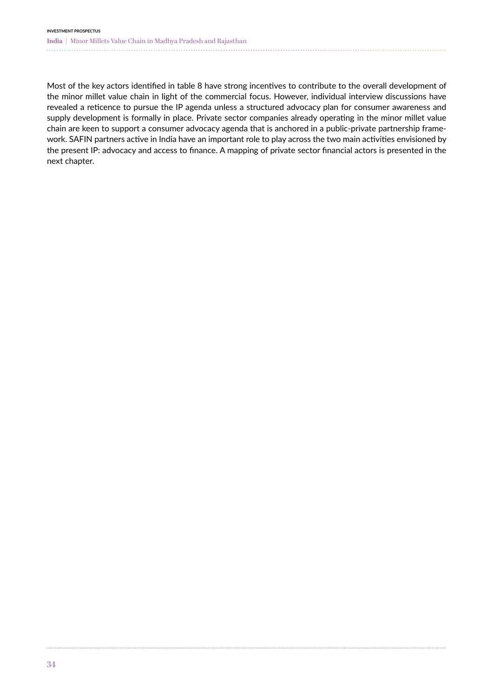#### **INVESTMENT PROSPECTUS India |** Minor Millets Value Chain in Madhya Pradesh and Rajasthan

Most of the key actors identified in table 8 have strong incentives to contribute to the overall development of the minor millet value chain in light of the commercial focus. However, individual interview discussions have revealed a reticence to pursue the IP agenda unless a structured advocacy plan for consumer awareness and supply development is formally in place. Private sector companies already operating in the minor millet value chain are keen to support a consumer advocacy agenda that is anchored in a public-private partnership framework. SAFIN partners active in India have an important role to play across the two main activities envisioned by the present IP: advocacy and access to finance. A mapping of private sector financial actors is presented in the next chapter.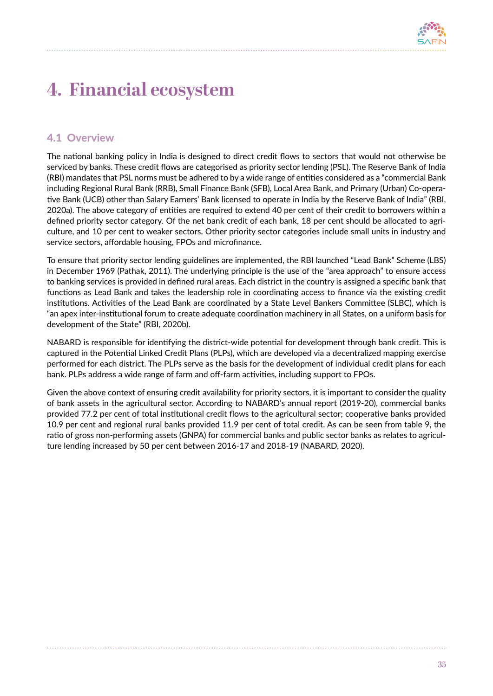

# **4. Financial ecosystem**

# 4.1 Overview

The national banking policy in India is designed to direct credit flows to sectors that would not otherwise be serviced by banks. These credit flows are categorised as priority sector lending (PSL). The Reserve Bank of India (RBI) mandates that PSL norms must be adhered to by a wide range of entities considered as a "commercial Bank including Regional Rural Bank (RRB), Small Finance Bank (SFB), Local Area Bank, and Primary (Urban) Co-operative Bank (UCB) other than Salary Earners' Bank licensed to operate in India by the Reserve Bank of India" (RBI, 2020a). The above category of entities are required to extend 40 per cent of their credit to borrowers within a defined priority sector category. Of the net bank credit of each bank, 18 per cent should be allocated to agriculture, and 10 per cent to weaker sectors. Other priority sector categories include small units in industry and service sectors, affordable housing, FPOs and microfinance.

To ensure that priority sector lending guidelines are implemented, the RBI launched "Lead Bank" Scheme (LBS) in December 1969 (Pathak, 2011). The underlying principle is the use of the "area approach" to ensure access to banking services is provided in defined rural areas. Each district in the country is assigned a specific bank that functions as Lead Bank and takes the leadership role in coordinating access to finance via the existing credit institutions. Activities of the Lead Bank are coordinated by a State Level Bankers Committee (SLBC), which is "an apex inter-institutional forum to create adequate coordination machinery in all States, on a uniform basis for development of the State" (RBI, 2020b).

NABARD is responsible for identifying the district-wide potential for development through bank credit. This is captured in the Potential Linked Credit Plans (PLPs), which are developed via a decentralized mapping exercise performed for each district. The PLPs serve as the basis for the development of individual credit plans for each bank. PLPs address a wide range of farm and off-farm activities, including support to FPOs.

Given the above context of ensuring credit availability for priority sectors, it is important to consider the quality of bank assets in the agricultural sector. According to NABARD's annual report (2019-20), commercial banks provided 77.2 per cent of total institutional credit flows to the agricultural sector; cooperative banks provided 10.9 per cent and regional rural banks provided 11.9 per cent of total credit. As can be seen from table 9, the ratio of gross non-performing assets (GNPA) for commercial banks and public sector banks as relates to agriculture lending increased by 50 per cent between 2016-17 and 2018-19 (NABARD, 2020).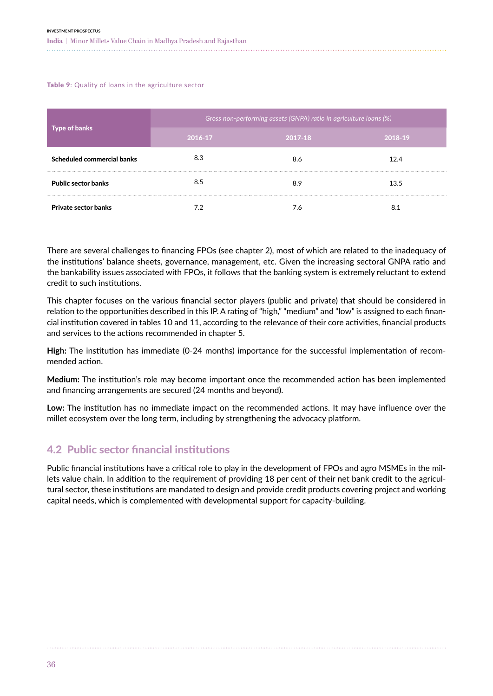Table 9: Quality of loans in the agriculture sector

| Gross non-performing assets (GNPA) ratio in agriculture loans (%) |         |         |  |  |  |  |
|-------------------------------------------------------------------|---------|---------|--|--|--|--|
| 2016-17                                                           | 2017-18 | 2018-19 |  |  |  |  |
| 8.3                                                               | 8.6     | 12.4    |  |  |  |  |
| 8.5                                                               | 8.9     | 13.5    |  |  |  |  |
| 7.2                                                               | 7.6     | 8.1     |  |  |  |  |
|                                                                   |         |         |  |  |  |  |

There are several challenges to financing FPOs (see chapter 2), most of which are related to the inadequacy of the institutions' balance sheets, governance, management, etc. Given the increasing sectoral GNPA ratio and the bankability issues associated with FPOs, it follows that the banking system is extremely reluctant to extend credit to such institutions.

This chapter focuses on the various financial sector players (public and private) that should be considered in relation to the opportunities described in this IP. A rating of "high," "medium" and "low" is assigned to each financial institution covered in tables 10 and 11, according to the relevance of their core activities, financial products and services to the actions recommended in chapter 5.

**High:** The institution has immediate (0-24 months) importance for the successful implementation of recommended action.

**Medium:** The institution's role may become important once the recommended action has been implemented and financing arrangements are secured (24 months and beyond).

**Low:** The institution has no immediate impact on the recommended actions. It may have influence over the millet ecosystem over the long term, including by strengthening the advocacy platform.

# 4.2 Public sector financial institutions

Public financial institutions have a critical role to play in the development of FPOs and agro MSMEs in the millets value chain. In addition to the requirement of providing 18 per cent of their net bank credit to the agricultural sector, these institutions are mandated to design and provide credit products covering project and working capital needs, which is complemented with developmental support for capacity-building.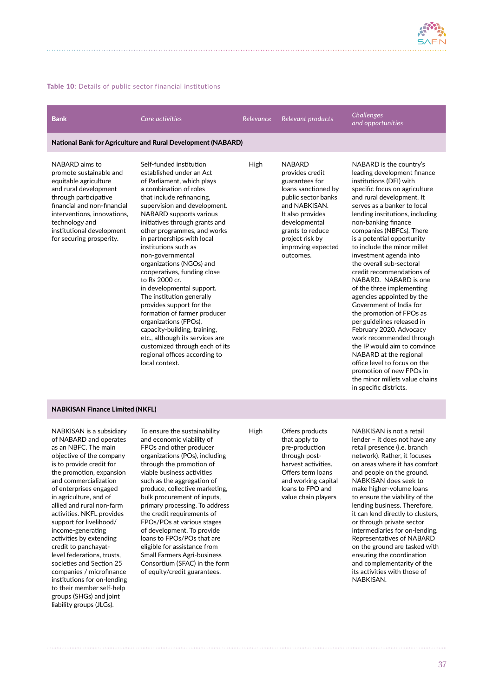

#### Table 10: Details of public sector financial institutions

| <b>Bank</b>                                                                                                                                                                                                                                                   | Core activities                                                                                                                                                                                                                                                                                                                                                                                                                                                                                                                                                                                                                                                                                                                           | <b>Relevance</b> | <b>Relevant products</b>                                                                                                                                                                                                         | Challenges<br>and opportunities                                                                                                                                                                                                                                                                                                                                                                                                                                                                                                                                                                                                                                                                                                                                                                                                       |
|---------------------------------------------------------------------------------------------------------------------------------------------------------------------------------------------------------------------------------------------------------------|-------------------------------------------------------------------------------------------------------------------------------------------------------------------------------------------------------------------------------------------------------------------------------------------------------------------------------------------------------------------------------------------------------------------------------------------------------------------------------------------------------------------------------------------------------------------------------------------------------------------------------------------------------------------------------------------------------------------------------------------|------------------|----------------------------------------------------------------------------------------------------------------------------------------------------------------------------------------------------------------------------------|---------------------------------------------------------------------------------------------------------------------------------------------------------------------------------------------------------------------------------------------------------------------------------------------------------------------------------------------------------------------------------------------------------------------------------------------------------------------------------------------------------------------------------------------------------------------------------------------------------------------------------------------------------------------------------------------------------------------------------------------------------------------------------------------------------------------------------------|
|                                                                                                                                                                                                                                                               | <b>National Bank for Agriculture and Rural Development (NABARD)</b>                                                                                                                                                                                                                                                                                                                                                                                                                                                                                                                                                                                                                                                                       |                  |                                                                                                                                                                                                                                  |                                                                                                                                                                                                                                                                                                                                                                                                                                                                                                                                                                                                                                                                                                                                                                                                                                       |
| NABARD aims to<br>promote sustainable and<br>equitable agriculture<br>and rural development<br>through participative<br>financial and non-financial<br>interventions, innovations,<br>technology and<br>institutional development<br>for securing prosperity. | Self-funded institution<br>established under an Act<br>of Parliament, which plays<br>a combination of roles<br>that include refinancing.<br>supervision and development.<br><b>NABARD</b> supports various<br>initiatives through grants and<br>other programmes, and works<br>in partnerships with local<br>institutions such as<br>non-governmental<br>organizations (NGOs) and<br>cooperatives, funding close<br>to Rs 2000 cr.<br>in developmental support.<br>The institution generally<br>provides support for the<br>formation of farmer producer<br>organizations (FPOs),<br>capacity-building, training,<br>etc., although its services are<br>customized through each of its<br>regional offices according to<br>local context. | High             | <b>NABARD</b><br>provides credit<br>guarantees for<br>loans sanctioned by<br>public sector banks<br>and NABKISAN.<br>It also provides<br>developmental<br>grants to reduce<br>project risk by<br>improving expected<br>outcomes. | NABARD is the country's<br>leading development finance<br>institutions (DFI) with<br>specific focus on agriculture<br>and rural development. It<br>serves as a banker to local<br>lending institutions, including<br>non-banking finance<br>companies (NBFCs). There<br>is a potential opportunity<br>to include the minor millet<br>investment agenda into<br>the overall sub-sectoral<br>credit recommendations of<br>NABARD. NABARD is one<br>of the three implementing<br>agencies appointed by the<br>Government of India for<br>the promotion of FPOs as<br>per guidelines released in<br>February 2020. Advocacy<br>work recommended through<br>the IP would aim to convince<br>NABARD at the regional<br>office level to focus on the<br>promotion of new FPOs in<br>the minor millets value chains<br>in specific districts. |

#### NABKISAN Finance Limited (NKFL)

NABKISAN is a subsidiary of NABARD and operates as an NBFC. The main objective of the company is to provide credit for the promotion, expansion and commercialization of enterprises engaged in agriculture, and of allied and rural non-farm activities. NKFL provides support for livelihood/ income-generating activities by extending credit to panchayatlevel federations, trusts, societies and Section 25 companies / microfinance institutions for on-lending to their member self-help groups (SHGs) and joint liability groups (JLGs).

To ensure the sustainability and economic viability of FPOs and other producer organizations (POs), including through the promotion of viable business activities such as the aggregation of produce, collective marketing, bulk procurement of inputs, primary processing. To address the credit requirements of FPOs/POs at various stages of development. To provide loans to FPOs/POs that are eligible for assistance from Small Farmers Agri-business Consortium (SFAC) in the form of equity/credit guarantees.

High Offers products that apply to pre-production through postharvest activities. Offers term loans and working capital loans to FPO and value chain players

NABKISAN is not a retail lender – it does not have any retail presence (i.e. branch network). Rather, it focuses on areas where it has comfort and people on the ground. NABKISAN does seek to make higher-volume loans to ensure the viability of the lending business. Therefore, it can lend directly to clusters, or through private sector intermediaries for on-lending. Representatives of NABARD on the ground are tasked with ensuring the coordination and complementarity of the its activities with those of NABKISAN.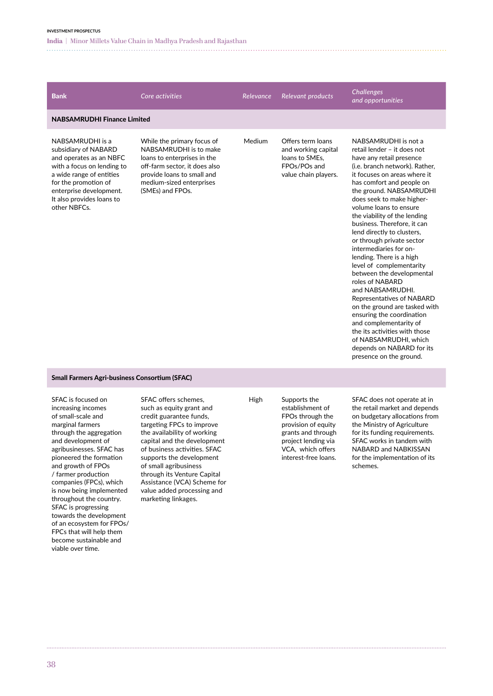**India |** Minor Millets Value Chain in Madhya Pradesh and Rajasthan 

| <b>Bank</b>                                                                                                                                                                                                                   | Core activities                                                                                                                                                                                    | Relevance | Relevant products                                                                                  | <b>Challenges</b><br>and opportunities                                                                                                                                                                                                                                                                                                                                                                                                                                                                                                                                                                                                                                                                                                                                                  |
|-------------------------------------------------------------------------------------------------------------------------------------------------------------------------------------------------------------------------------|----------------------------------------------------------------------------------------------------------------------------------------------------------------------------------------------------|-----------|----------------------------------------------------------------------------------------------------|-----------------------------------------------------------------------------------------------------------------------------------------------------------------------------------------------------------------------------------------------------------------------------------------------------------------------------------------------------------------------------------------------------------------------------------------------------------------------------------------------------------------------------------------------------------------------------------------------------------------------------------------------------------------------------------------------------------------------------------------------------------------------------------------|
| <b>NABSAMRUDHI Finance Limited</b>                                                                                                                                                                                            |                                                                                                                                                                                                    |           |                                                                                                    |                                                                                                                                                                                                                                                                                                                                                                                                                                                                                                                                                                                                                                                                                                                                                                                         |
| NABSAMRUDHI is a<br>subsidiary of NABARD<br>and operates as an NBFC<br>with a focus on lending to<br>a wide range of entities<br>for the promotion of<br>enterprise development.<br>It also provides loans to<br>other NBFCs. | While the primary focus of<br>NABSAMRUDHI is to make<br>loans to enterprises in the<br>off-farm sector, it does also<br>provide loans to small and<br>medium-sized enterprises<br>(SMEs) and FPOs. | Medium    | Offers term loans<br>and working capital<br>loans to SMEs.<br>FPOs/POs and<br>value chain players. | NABSAMRUDHI is not a<br>retail lender - it does not<br>have any retail presence<br>(i.e. branch network). Rather,<br>it focuses on areas where it<br>has comfort and people on<br>the ground. NABSAMRUDHI<br>does seek to make higher-<br>volume loans to ensure<br>the viability of the lending<br>business. Therefore, it can<br>lend directly to clusters,<br>or through private sector<br>intermediaries for on-<br>lending. There is a high<br>level of complementarity<br>between the developmental<br>roles of NABARD<br>and NABSAMRUDHI.<br>Representatives of NABARD<br>on the ground are tasked with<br>ensuring the coordination<br>and complementarity of<br>the its activities with those<br>of NABSAMRUDHI, which<br>depends on NABARD for its<br>presence on the ground. |
| Small Farmors Agri-business Consertium (SEAC)                                                                                                                                                                                 |                                                                                                                                                                                                    |           |                                                                                                    |                                                                                                                                                                                                                                                                                                                                                                                                                                                                                                                                                                                                                                                                                                                                                                                         |

#### Small Farmers Agri-business Consortium (SFAC)

SFAC is focused on increasing incomes of small-scale and marginal farmers through the aggregation and development of agribusinesses. SFAC has pioneered the formation and growth of FPOs / farmer production companies (FPCs), which is now being implemented throughout the country. SFAC is progressing towards the development of an ecosystem for FPOs/ FPCs that will help them become sustainable and viable over time.

SFAC offers schemes, such as equity grant and credit guarantee funds, targeting FPCs to improve the availability of working capital and the development of business activities. SFAC supports the development of small agribusiness through its Venture Capital Assistance (VCA) Scheme for value added processing and marketing linkages.

High Supports the establishment of FPOs through the provision of equity grants and through project lending via VCA, which offers interest-free loans.

SFAC does not operate at in the retail market and depends on budgetary allocations from the Ministry of Agriculture for its funding requirements. SFAC works in tandem with NABARD and NABKISSAN for the implementation of its schemes.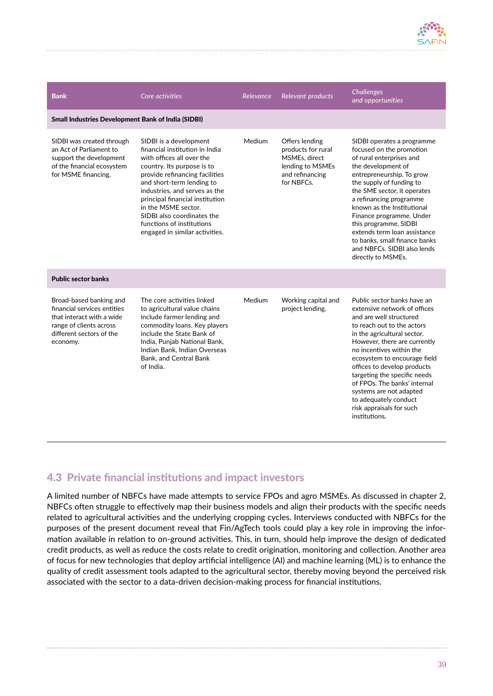

| <b>Bank</b>                                                                                                                                            | Core activities                                                                                                                                                                                                                                                                                                                                                            | Relevance | Relevant products                                                                                          | <b>Challenges</b><br>and opportunities                                                                                                                                                                                                                                                                                                                                                                                                          |
|--------------------------------------------------------------------------------------------------------------------------------------------------------|----------------------------------------------------------------------------------------------------------------------------------------------------------------------------------------------------------------------------------------------------------------------------------------------------------------------------------------------------------------------------|-----------|------------------------------------------------------------------------------------------------------------|-------------------------------------------------------------------------------------------------------------------------------------------------------------------------------------------------------------------------------------------------------------------------------------------------------------------------------------------------------------------------------------------------------------------------------------------------|
| <b>Small Industries Development Bank of India (SIDBI)</b>                                                                                              |                                                                                                                                                                                                                                                                                                                                                                            |           |                                                                                                            |                                                                                                                                                                                                                                                                                                                                                                                                                                                 |
| SIDBI was created through<br>an Act of Parliament to<br>support the development<br>of the financial ecosystem<br>for MSME financing.                   | SIDBI is a development<br>financial institution in India<br>with offices all over the<br>country. Its purpose is to<br>provide refinancing facilities<br>and short-term lending to<br>industries, and serves as the<br>principal financial institution<br>in the MSME sector.<br>SIDBI also coordinates the<br>functions of institutions<br>engaged in similar activities. | Medium    | Offers lending<br>products for rural<br>MSMEs. direct<br>lending to MSMEs<br>and refinancing<br>for NBFCs. | SIDBI operates a programme<br>focused on the promotion<br>of rural enterprises and<br>the development of<br>entrepreneurship. To grow<br>the supply of funding to<br>the SME sector, it operates<br>a refinancing programme<br>known as the Institutional<br>Finance programme. Under<br>this programme, SIDBI<br>extends term loan assistance<br>to banks, small finance banks<br>and NBFCs. SIDBI also lends<br>directly to MSMEs.            |
| <b>Public sector banks</b>                                                                                                                             |                                                                                                                                                                                                                                                                                                                                                                            |           |                                                                                                            |                                                                                                                                                                                                                                                                                                                                                                                                                                                 |
| Broad-based banking and<br>financial services entities<br>that interact with a wide<br>range of clients across<br>different sectors of the<br>economy. | The core activities linked<br>to agricultural value chains<br>include farmer lending and<br>commodity loans. Key players<br>include the State Bank of<br>India, Punjab National Bank,<br>Indian Bank, Indian Overseas<br><b>Bank, and Central Bank</b><br>of India.                                                                                                        | Medium    | Working capital and<br>project lending.                                                                    | Public sector banks have an<br>extensive network of offices<br>and are well structured<br>to reach out to the actors<br>in the agricultural sector.<br>However, there are currently<br>no incentives within the<br>ecosystem to encourage field<br>offices to develop products<br>targeting the specific needs<br>of FPOs. The banks' internal<br>systems are not adapted<br>to adequately conduct<br>risk appraisals for such<br>institutions. |

## 4.3 Private financial institutions and impact investors

A limited number of NBFCs have made attempts to service FPOs and agro MSMEs. As discussed in chapter 2, NBFCs often struggle to effectively map their business models and align their products with the specific needs related to agricultural activities and the underlying cropping cycles. Interviews conducted with NBFCs for the purposes of the present document reveal that Fin/AgTech tools could play a key role in improving the information available in relation to on-ground activities. This, in turn, should help improve the design of dedicated credit products, as well as reduce the costs relate to credit origination, monitoring and collection. Another area of focus for new technologies that deploy artificial intelligence (AI) and machine learning (ML) is to enhance the quality of credit assessment tools adapted to the agricultural sector, thereby moving beyond the perceived risk associated with the sector to a data-driven decision-making process for financial institutions.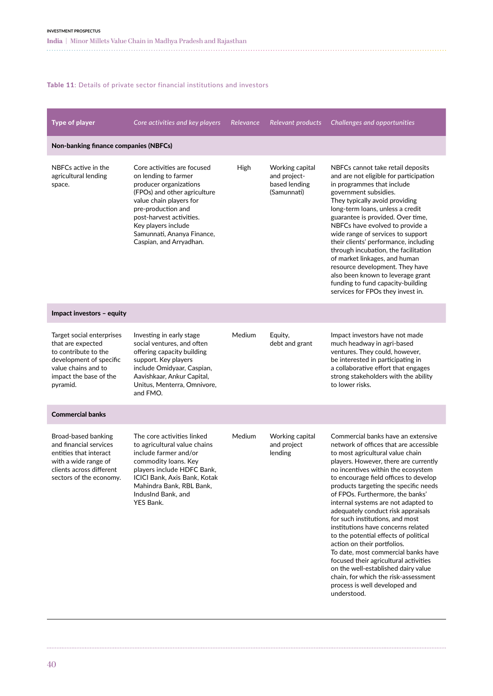#### Table 11: Details of private sector financial institutions and investors

| <b>Type of player</b>                                                                                                                                          | Core activities and key players                                                                                                                                                                                                                                            | Relevance | Relevant products                                               | Challenges and opportunities                                                                                                                                                                                                                                                                                                                                                                                                                                                                                                                                                                                                                                                                                                                                       |
|----------------------------------------------------------------------------------------------------------------------------------------------------------------|----------------------------------------------------------------------------------------------------------------------------------------------------------------------------------------------------------------------------------------------------------------------------|-----------|-----------------------------------------------------------------|--------------------------------------------------------------------------------------------------------------------------------------------------------------------------------------------------------------------------------------------------------------------------------------------------------------------------------------------------------------------------------------------------------------------------------------------------------------------------------------------------------------------------------------------------------------------------------------------------------------------------------------------------------------------------------------------------------------------------------------------------------------------|
| Non-banking finance companies (NBFCs)                                                                                                                          |                                                                                                                                                                                                                                                                            |           |                                                                 |                                                                                                                                                                                                                                                                                                                                                                                                                                                                                                                                                                                                                                                                                                                                                                    |
| NBFCs active in the<br>agricultural lending<br>space.                                                                                                          | Core activities are focused<br>on lending to farmer<br>producer organizations<br>(FPOs) and other agriculture<br>value chain players for<br>pre-production and<br>post-harvest activities.<br>Key players include<br>Samunnati, Ananya Finance,<br>Caspian, and Arryadhan. | High      | Working capital<br>and project-<br>based lending<br>(Samunnati) | NBFCs cannot take retail deposits<br>and are not eligible for participation<br>in programmes that include<br>government subsidies.<br>They typically avoid providing<br>long-term loans, unless a credit<br>guarantee is provided. Over time,<br>NBFCs have evolved to provide a<br>wide range of services to support<br>their clients' performance, including<br>through incubation, the facilitation<br>of market linkages, and human<br>resource development. They have<br>also been known to leverage grant<br>funding to fund capacity-building<br>services for FPOs they invest in.                                                                                                                                                                          |
| Impact investors - equity                                                                                                                                      |                                                                                                                                                                                                                                                                            |           |                                                                 |                                                                                                                                                                                                                                                                                                                                                                                                                                                                                                                                                                                                                                                                                                                                                                    |
| Target social enterprises<br>that are expected<br>to contribute to the<br>development of specific<br>value chains and to<br>impact the base of the<br>pyramid. | Investing in early stage<br>social ventures, and often<br>offering capacity building<br>support. Key players<br>include Omidyaar, Caspian,<br>Aavishkaar, Ankur Capital,<br>Unitus, Menterra, Omnivore,<br>and FMO.                                                        | Medium    | Equity,<br>debt and grant                                       | Impact investors have not made<br>much headway in agri-based<br>ventures. They could, however,<br>be interested in participating in<br>a collaborative effort that engages<br>strong stakeholders with the ability<br>to lower risks.                                                                                                                                                                                                                                                                                                                                                                                                                                                                                                                              |
| <b>Commercial banks</b>                                                                                                                                        |                                                                                                                                                                                                                                                                            |           |                                                                 |                                                                                                                                                                                                                                                                                                                                                                                                                                                                                                                                                                                                                                                                                                                                                                    |
| Broad-based banking<br>and financial services<br>entities that interact<br>with a wide range of<br>clients across different<br>sectors of the economy.         | The core activities linked<br>to agricultural value chains<br>include farmer and/or<br>commodity loans. Key<br>players include HDFC Bank,<br>ICICI Bank, Axis Bank, Kotak<br>Mahindra Bank, RBL Bank,<br>IndusInd Bank, and<br><b>YES Bank.</b>                            | Medium    | Working capital<br>and project<br>lending                       | Commercial banks have an extensive<br>network of offices that are accessible<br>to most agricultural value chain<br>players. However, there are currently<br>no incentives within the ecosystem<br>to encourage field offices to develop<br>products targeting the specific needs<br>of FPOs. Furthermore, the banks'<br>internal systems are not adapted to<br>adequately conduct risk appraisals<br>for such institutions, and most<br>institutions have concerns related<br>to the potential effects of political<br>action on their portfolios.<br>To date, most commercial banks have<br>focused their agricultural activities<br>on the well-established dairy value<br>chain, for which the risk-assessment<br>process is well developed and<br>understood. |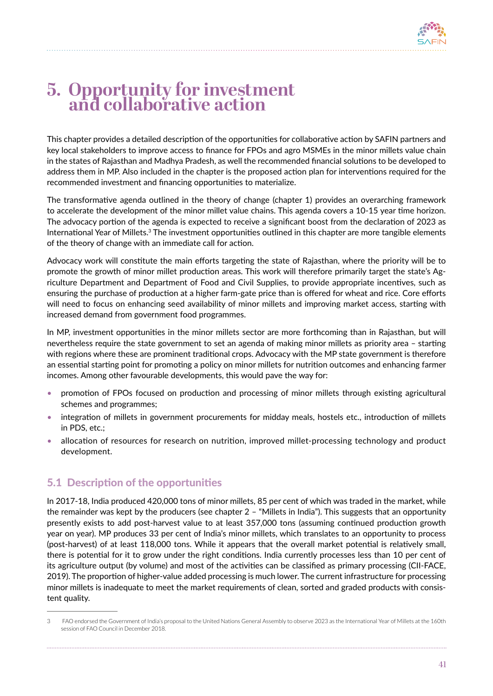# **5. Opportunity for investment and collaborative action**

This chapter provides a detailed description of the opportunities for collaborative action by SAFIN partners and key local stakeholders to improve access to finance for FPOs and agro MSMEs in the minor millets value chain in the states of Rajasthan and Madhya Pradesh, as well the recommended financial solutions to be developed to address them in MP. Also included in the chapter is the proposed action plan for interventions required for the recommended investment and financing opportunities to materialize.

The transformative agenda outlined in the theory of change (chapter 1) provides an overarching framework to accelerate the development of the minor millet value chains. This agenda covers a 10-15 year time horizon. The advocacy portion of the agenda is expected to receive a significant boost from the declaration of 2023 as International Year of Millets.3 The investment opportunities outlined in this chapter are more tangible elements of the theory of change with an immediate call for action.

Advocacy work will constitute the main efforts targeting the state of Rajasthan, where the priority will be to promote the growth of minor millet production areas. This work will therefore primarily target the state's Agriculture Department and Department of Food and Civil Supplies, to provide appropriate incentives, such as ensuring the purchase of production at a higher farm-gate price than is offered for wheat and rice. Core efforts will need to focus on enhancing seed availability of minor millets and improving market access, starting with increased demand from government food programmes.

In MP, investment opportunities in the minor millets sector are more forthcoming than in Rajasthan, but will nevertheless require the state government to set an agenda of making minor millets as priority area – starting with regions where these are prominent traditional crops. Advocacy with the MP state government is therefore an essential starting point for promoting a policy on minor millets for nutrition outcomes and enhancing farmer incomes. Among other favourable developments, this would pave the way for:

- promotion of FPOs focused on production and processing of minor millets through existing agricultural schemes and programmes;
- integration of millets in government procurements for midday meals, hostels etc., introduction of millets in PDS, etc.;
- allocation of resources for research on nutrition, improved millet-processing technology and product development.

# 5.1 Description of the opportunities

In 2017-18, India produced 420,000 tons of minor millets, 85 per cent of which was traded in the market, while the remainder was kept by the producers (see chapter 2 – "Millets in India"). This suggests that an opportunity presently exists to add post-harvest value to at least 357,000 tons (assuming continued production growth year on year). MP produces 33 per cent of India's minor millets, which translates to an opportunity to process (post-harvest) of at least 118,000 tons. While it appears that the overall market potential is relatively small, there is potential for it to grow under the right conditions. India currently processes less than 10 per cent of its agriculture output (by volume) and most of the activities can be classified as primary processing (CII-FACE, 2019). The proportion of higher-value added processing is much lower. The current infrastructure for processing minor millets is inadequate to meet the market requirements of clean, sorted and graded products with consistent quality.

<sup>3</sup>  FAO endorsed the Government of India's proposal to the United Nations General Assembly to observe 2023 as the International Year of Millets at the 160th session of FAO Council in December 2018.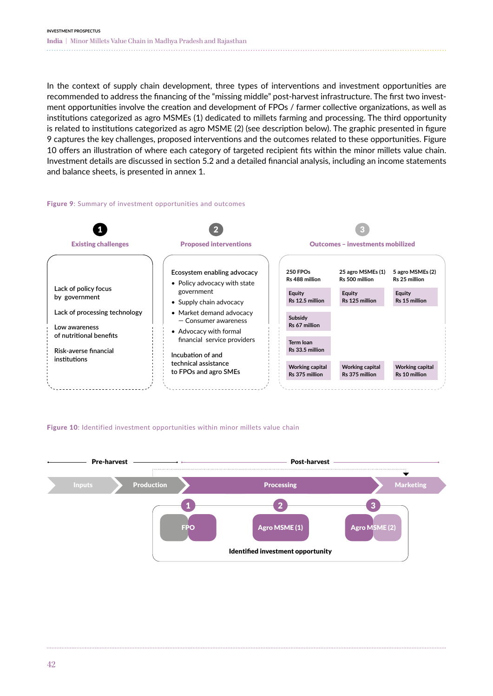In the context of supply chain development, three types of interventions and investment opportunities are recommended to address the financing of the "missing middle" post-harvest infrastructure. The first two investment opportunities involve the creation and development of FPOs / farmer collective organizations, as well as institutions categorized as agro MSMEs (1) dedicated to millets farming and processing. The third opportunity is related to institutions categorized as agro MSME (2) (see description below). The graphic presented in figure 9 captures the key challenges, proposed interventions and the outcomes related to these opportunities. Figure 10 offers an illustration of where each category of targeted recipient fits within the minor millets value chain. Investment details are discussed in section 5.2 and a detailed financial analysis, including an income statements and balance sheets, is presented in annex 1.

#### Figure 9: Summary of investment opportunities and outcomes



#### Figure 10: Identified investment opportunities within minor millets value chain

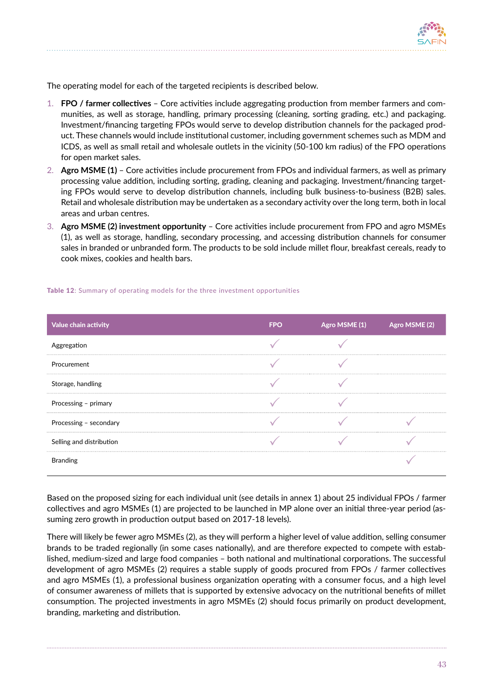

The operating model for each of the targeted recipients is described below.

- 1. **FPO / farmer collectives**  Core activities include aggregating production from member farmers and communities, as well as storage, handling, primary processing (cleaning, sorting grading, etc.) and packaging. Investment/financing targeting FPOs would serve to develop distribution channels for the packaged product. These channels would include institutional customer, including government schemes such as MDM and ICDS, as well as small retail and wholesale outlets in the vicinity (50-100 km radius) of the FPO operations for open market sales.
- 2. **Agro MSME (1)** Core activities include procurement from FPOs and individual farmers, as well as primary processing value addition, including sorting, grading, cleaning and packaging. Investment/financing targeting FPOs would serve to develop distribution channels, including bulk business-to-business (B2B) sales. Retail and wholesale distribution may be undertaken as a secondary activity over the long term, both in local areas and urban centres.
- 3. **Agro MSME (2) investment opportunity** Core activities include procurement from FPO and agro MSMEs (1), as well as storage, handling, secondary processing, and accessing distribution channels for consumer sales in branded or unbranded form. The products to be sold include millet flour, breakfast cereals, ready to cook mixes, cookies and health bars.

| Value chain activity     | FPO | Agro MSME (1) | Agro MSME (2) |
|--------------------------|-----|---------------|---------------|
| Aggregation              |     |               |               |
| Procurement              |     |               |               |
| Storage, handling        |     |               |               |
| Processing - primary     |     |               |               |
| Processing - secondary   |     |               |               |
| Selling and distribution |     |               |               |
| Branding                 |     |               |               |

#### Table 12: Summary of operating models for the three investment opportunities

Based on the proposed sizing for each individual unit (see details in annex 1) about 25 individual FPOs / farmer collectives and agro MSMEs (1) are projected to be launched in MP alone over an initial three-year period (assuming zero growth in production output based on 2017-18 levels).

There will likely be fewer agro MSMEs (2), as they will perform a higher level of value addition, selling consumer brands to be traded regionally (in some cases nationally), and are therefore expected to compete with established, medium-sized and large food companies – both national and multinational corporations. The successful development of agro MSMEs (2) requires a stable supply of goods procured from FPOs / farmer collectives and agro MSMEs (1), a professional business organization operating with a consumer focus, and a high level of consumer awareness of millets that is supported by extensive advocacy on the nutritional benefits of millet consumption. The projected investments in agro MSMEs (2) should focus primarily on product development, branding, marketing and distribution.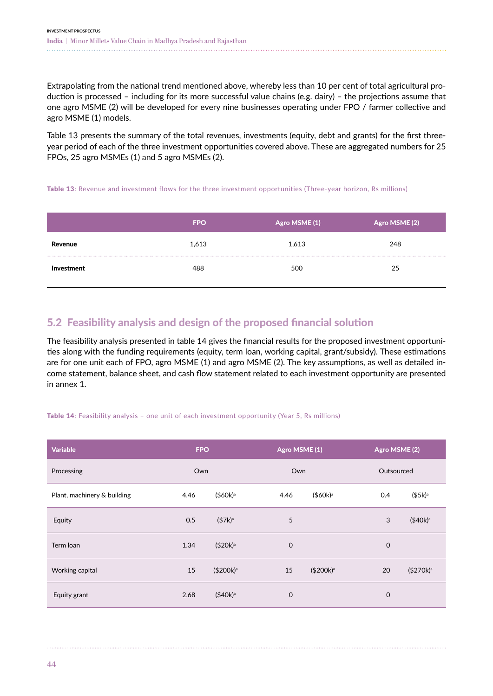Extrapolating from the national trend mentioned above, whereby less than 10 per cent of total agricultural production is processed – including for its more successful value chains (e.g. dairy) – the projections assume that one agro MSME (2) will be developed for every nine businesses operating under FPO / farmer collective and agro MSME (1) models.

Table 13 presents the summary of the total revenues, investments (equity, debt and grants) for the first threeyear period of each of the three investment opportunities covered above. These are aggregated numbers for 25 FPOs, 25 agro MSMEs (1) and 5 agro MSMEs (2).

#### Table 13: Revenue and investment flows for the three investment opportunities (Three-year horizon, Rs millions)

|                | <b>FPO</b> | $\overline{\phantom{a}}$ Agro MSME (1) $\overline{\phantom{a}}$ | Agro MSME (2) |
|----------------|------------|-----------------------------------------------------------------|---------------|
| <b>Kevenue</b> | 1,613      | 1,613                                                           | 248           |
|                |            | 500                                                             | 25            |

# 5.2 Feasibility analysis and design of the proposed financial solution

The feasibility analysis presented in table 14 gives the financial results for the proposed investment opportunities along with the funding requirements (equity, term loan, working capital, grant/subsidy). These estimations are for one unit each of FPO, agro MSME (1) and agro MSME (2). The key assumptions, as well as detailed income statement, balance sheet, and cash flow statement related to each investment opportunity are presented in annex 1.

#### Table 14: Feasibility analysis – one unit of each investment opportunity (Year 5, Rs millions)

| Variable                    | <b>FPO</b> |                       | Agro MSME (1) |                       |             | Agro MSME (2)         |  |  |
|-----------------------------|------------|-----------------------|---------------|-----------------------|-------------|-----------------------|--|--|
| Processing                  | Own        |                       | Own           |                       | Outsourced  |                       |  |  |
| Plant, machinery & building | 4.46       | $($60k)^a$            | 4.46          | $($60k)^a$            | 0.4         | $($5k)^a$             |  |  |
| Equity                      | 0.5        | $($7k)^a$             | 5             |                       | 3           | (\$40k) <sup>a</sup>  |  |  |
| Term loan                   | 1.34       | $($20k)^a$            | $\mathbf 0$   |                       | $\mathbf 0$ |                       |  |  |
| Working capital             | 15         | (\$200k) <sup>a</sup> | 15            | (\$200k) <sup>a</sup> | 20          | (\$270k) <sup>a</sup> |  |  |
| Equity grant                | 2.68       | $($40k)^a$            | 0             |                       | $\mathbf 0$ |                       |  |  |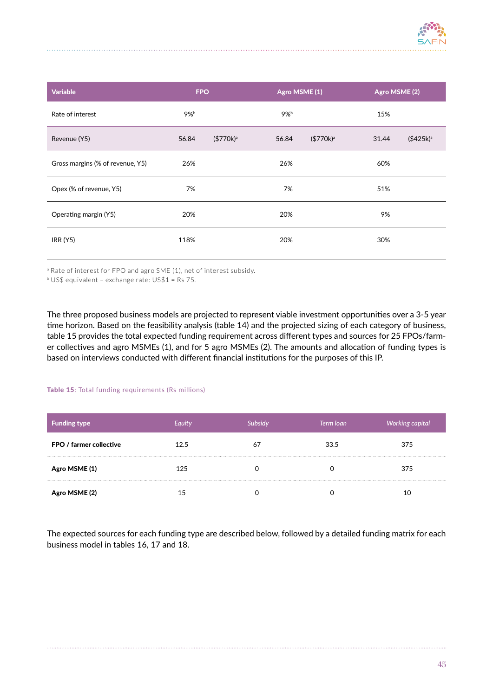

| <b>Variable</b>                  | <b>FPO</b> |             |       | Agro MSME (1) | Agro MSME (2) |               |
|----------------------------------|------------|-------------|-------|---------------|---------------|---------------|
| Rate of interest                 | $9\%$      |             | 9%b   |               | 15%           |               |
| Revenue (Y5)                     | 56.84      | $($770k)^a$ | 56.84 | $($770k)^a$   | 31.44         | $($425k)^{a}$ |
| Gross margins (% of revenue, Y5) | 26%        |             | 26%   |               | 60%           |               |
| Opex (% of revenue, Y5)          | 7%         |             | 7%    |               | 51%           |               |
| Operating margin (Y5)            | 20%        |             | 20%   |               | 9%            |               |
| IRR(Y5)                          | 118%       |             | 20%   |               | 30%           |               |

<sup>a</sup> Rate of interest for FPO and agro SME (1), net of interest subsidy.

<sup>b</sup> US\$ equivalent – exchange rate: US\$1 = Rs 75.

The three proposed business models are projected to represent viable investment opportunities over a 3-5 year time horizon. Based on the feasibility analysis (table 14) and the projected sizing of each category of business, table 15 provides the total expected funding requirement across different types and sources for 25 FPOs/farmer collectives and agro MSMEs (1), and for 5 agro MSMEs (2). The amounts and allocation of funding types is based on interviews conducted with different financial institutions for the purposes of this IP.

#### Table 15: Total funding requirements (Rs millions)

| <b>Funding type</b>     | Equity | Subsidy | Term loan | Working capital |
|-------------------------|--------|---------|-----------|-----------------|
| FPO / farmer collective | 12.5   | 67      | 33.5      | 375             |
| Agro MSME (1)           | 125    |         |           | 375             |
| Agro MSME (2)           | 15     |         |           |                 |

The expected sources for each funding type are described below, followed by a detailed funding matrix for each business model in tables 16, 17 and 18.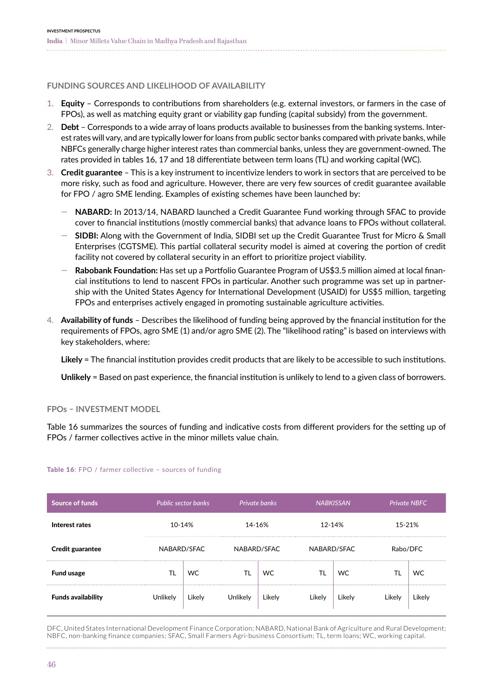**FUNDING SOURCES AND LIKELIHOOD OF AVAILABILITY**

- 1. **Equity** Corresponds to contributions from shareholders (e.g. external investors, or farmers in the case of FPOs), as well as matching equity grant or viability gap funding (capital subsidy) from the government.
- 2. **Debt** Corresponds to a wide array of loans products available to businesses from the banking systems. Interest rates will vary, and are typically lower for loans from public sector banks compared with private banks, while NBFCs generally charge higher interest rates than commercial banks, unless they are government-owned. The rates provided in tables 16, 17 and 18 differentiate between term loans (TL) and working capital (WC).
- 3. **Credit guarantee** This is a key instrument to incentivize lenders to work in sectors that are perceived to be more risky, such as food and agriculture. However, there are very few sources of credit guarantee available for FPO / agro SME lending. Examples of existing schemes have been launched by:
	- ҅ **NABARD:** In 2013/14, NABARD launched a Credit Guarantee Fund working through SFAC to provide cover to financial institutions (mostly commercial banks) that advance loans to FPOs without collateral.
	- ҅ **SIDBI:** Along with the Government of India, SIDBI set up the Credit Guarantee Trust for Micro & Small Enterprises (CGTSME). This partial collateral security model is aimed at covering the portion of credit facility not covered by collateral security in an effort to prioritize project viability.
	- ҅ **Rabobank Foundation:** Has set up a Portfolio Guarantee Program of US\$3.5 million aimed at local financial institutions to lend to nascent FPOs in particular. Another such programme was set up in partnership with the United States Agency for International Development (USAID) for US\$5 million, targeting FPOs and enterprises actively engaged in promoting sustainable agriculture activities.
- 4. **Availability of funds** Describes the likelihood of funding being approved by the financial institution for the requirements of FPOs, agro SME (1) and/or agro SME (2). The "likelihood rating" is based on interviews with key stakeholders, where:

**Likely** = The financial institution provides credit products that are likely to be accessible to such institutions.

**Unlikely** = Based on past experience, the financial institution is unlikely to lend to a given class of borrowers.

**FPOs – INVESTMENT MODEL**

Table 16 summarizes the sources of funding and indicative costs from different providers for the setting up of FPOs / farmer collectives active in the minor millets value chain.

| <b>Source of funds</b>    |             | <b>Public sector banks</b> |             | Private banks<br><b>NABKISSAN</b> |             |           | <b>Private NBFC</b> |           |
|---------------------------|-------------|----------------------------|-------------|-----------------------------------|-------------|-----------|---------------------|-----------|
| Interest rates            | 10-14%      |                            |             | 14-16%                            |             | 12-14%    |                     | 15-21%    |
| <b>Credit guarantee</b>   | NABARD/SFAC |                            | NABARD/SFAC |                                   | NABARD/SFAC |           | Rabo/DFC            |           |
| <b>Fund usage</b>         |             | WC                         |             | WC.                               |             | <b>WC</b> |                     | <b>WC</b> |
| <b>Funds availability</b> | Unlikely    | Likely                     | Unlikely    | Lıkely                            | Likely      | Lıkely    | Likely              | Lıkely    |

#### Table 16: FPO / farmer collective - sources of funding

DFC, United States International Development Finance Corporation; NABARD, National Bank of Agriculture and Rural Development; NBFC, non-banking finance companies; SFAC, Small Farmers Agri-business Consortium; TL, term loans; WC, working capital.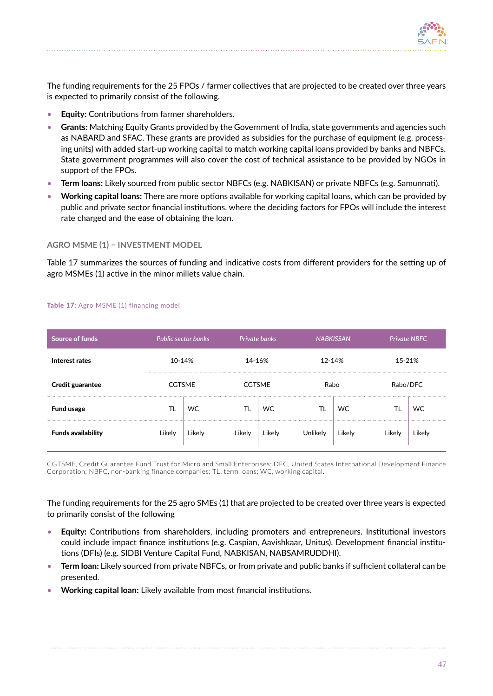

The funding requirements for the 25 FPOs / farmer collectives that are projected to be created over three years is expected to primarily consist of the following.

- **Equity:** Contributions from farmer shareholders.
- **Grants:** Matching Equity Grants provided by the Government of India, state governments and agencies such as NABARD and SFAC. These grants are provided as subsidies for the purchase of equipment (e.g. processing units) with added start-up working capital to match working capital loans provided by banks and NBFCs. State government programmes will also cover the cost of technical assistance to be provided by NGOs in support of the FPOs.
- **Term loans:** Likely sourced from public sector NBFCs (e.g. NABKISAN) or private NBFCs (e.g. Samunnati).
- **Working capital loans:** There are more options available for working capital loans, which can be provided by public and private sector financial institutions, where the deciding factors for FPOs will include the interest rate charged and the ease of obtaining the loan.

## **AGRO MSME (1) – INVESTMENT MODEL**

Table 17 summarizes the sources of funding and indicative costs from different providers for the setting up of agro MSMEs (1) active in the minor millets value chain.

| Source of funds           |               | Public sector banks | Private banks |               |                 | <b>NABKISSAN</b> |        | <b>Private NBFC</b> |  |
|---------------------------|---------------|---------------------|---------------|---------------|-----------------|------------------|--------|---------------------|--|
| Interest rates            |               | 10-14%              |               | 14-16%        |                 | 12-14%           |        | 15-21%              |  |
| Credit guarantee          | <b>CGTSME</b> |                     |               | <b>CGTSME</b> |                 | Rabo             |        | Rabo/DFC            |  |
| <b>Fund usage</b>         |               | WC.                 |               | WC            | TL              | WC               | TL     | WC                  |  |
| <b>Funds availability</b> | Likely        | Likely              | Likely        | Likely        | <b>Unlikely</b> | Likely           | Likely | Likely              |  |

#### Table 17: Agro MSME (1) financing model

CGTSME, Credit Guarantee Fund Trust for Micro and Small Enterprises; DFC, United States International Development Finance Corporation; NBFC, non-banking finance companies; TL, term loans; WC, working capital.

The funding requirements for the 25 agro SMEs (1) that are projected to be created over three years is expected to primarily consist of the following

- **Equity:** Contributions from shareholders, including promoters and entrepreneurs. Institutional investors could include impact finance institutions (e.g. Caspian, Aavishkaar, Unitus). Development financial institutions (DFIs) (e.g. SIDBI Venture Capital Fund, NABKISAN, NABSAMRUDDHI).
- **Term loan:** Likely sourced from private NBFCs, or from private and public banks if sufficient collateral can be presented.
- **Working capital loan:** Likely available from most financial institutions.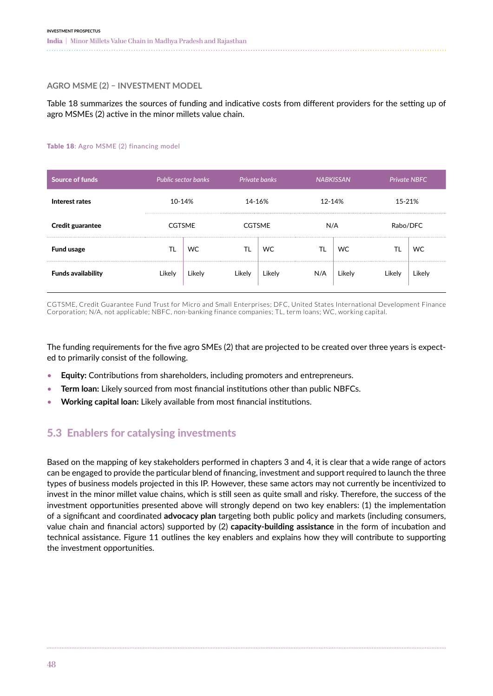### **AGRO MSME (2) – INVESTMENT MODEL**

Table 18 summarizes the sources of funding and indicative costs from different providers for the setting up of agro MSMEs (2) active in the minor millets value chain.

#### Table 18: Agro MSME (2) financing model

| <b>Source of funds</b>    |               | <b>Public sector banks</b> | Private banks<br><b>NABKISSAN</b> |               |     | <b>Private NBFC</b> |        |          |
|---------------------------|---------------|----------------------------|-----------------------------------|---------------|-----|---------------------|--------|----------|
| Interest rates            | 10-14%        |                            | 14-16%                            |               |     | 12-14%              |        | 15-21%   |
| <b>Credit guarantee</b>   | <b>CGTSME</b> |                            |                                   | <b>CGTSME</b> |     | N/A                 |        | Rabo/DFC |
| <b>Fund usage</b>         | TL            | <b>WC</b>                  | TL                                | WC            |     | WC                  |        | WC       |
| <b>Funds availability</b> | Likely        | Likely                     | Likely                            | Likely        | N/A | Likely              | Likely | Likely   |

CGTSME, Credit Guarantee Fund Trust for Micro and Small Enterprises; DFC, United States International Development Finance Corporation; N/A, not applicable; NBFC, non-banking finance companies; TL, term loans; WC, working capital.

The funding requirements for the five agro SMEs (2) that are projected to be created over three years is expected to primarily consist of the following.

- **Equity:** Contributions from shareholders, including promoters and entrepreneurs.
- **Term loan:** Likely sourced from most financial institutions other than public NBFCs.
- **Working capital loan:** Likely available from most financial institutions.

## 5.3 Enablers for catalysing investments

Based on the mapping of key stakeholders performed in chapters 3 and 4, it is clear that a wide range of actors can be engaged to provide the particular blend of financing, investment and support required to launch the three types of business models projected in this IP. However, these same actors may not currently be incentivized to invest in the minor millet value chains, which is still seen as quite small and risky. Therefore, the success of the investment opportunities presented above will strongly depend on two key enablers: (1) the implementation of a significant and coordinated **advocacy plan** targeting both public policy and markets (including consumers, value chain and financial actors) supported by (2) **capacity-building assistance** in the form of incubation and technical assistance. Figure 11 outlines the key enablers and explains how they will contribute to supporting the investment opportunities.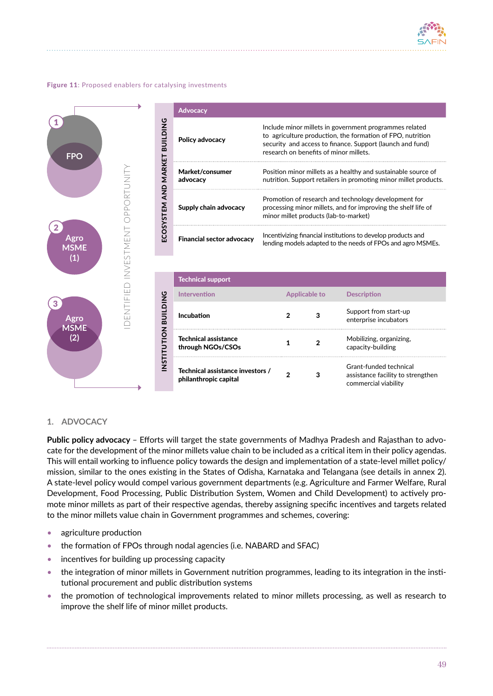

#### Figure 11: Proposed enablers for catalysing investments



#### **1. ADVOCACY**

**Public policy advocacy** – Efforts will target the state governments of Madhya Pradesh and Rajasthan to advocate for the development of the minor millets value chain to be included as a critical item in their policy agendas. This will entail working to influence policy towards the design and implementation of a state-level millet policy/ mission, similar to the ones existing in the States of Odisha, Karnataka and Telangana (see details in annex 2). A state-level policy would compel various government departments (e.g. Agriculture and Farmer Welfare, Rural Development, Food Processing, Public Distribution System, Women and Child Development) to actively promote minor millets as part of their respective agendas, thereby assigning specific incentives and targets related to the minor millets value chain in Government programmes and schemes, covering:

- agriculture production
- the formation of FPOs through nodal agencies (i.e. NABARD and SFAC)
- incentives for building up processing capacity
- the integration of minor millets in Government nutrition programmes, leading to its integration in the institutional procurement and public distribution systems
- the promotion of technological improvements related to minor millets processing, as well as research to improve the shelf life of minor millet products.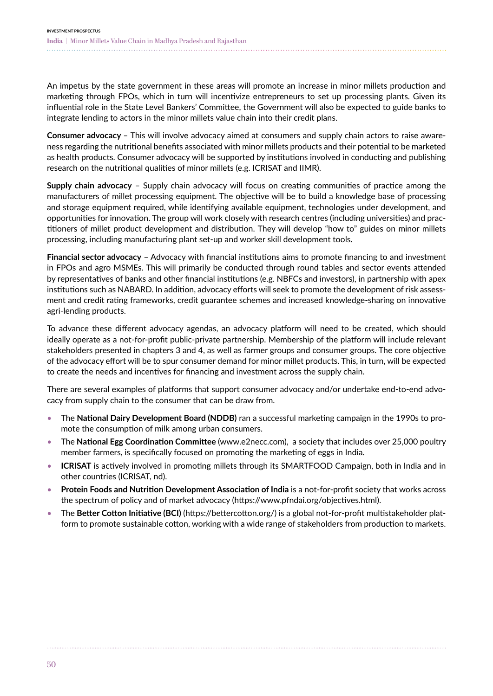An impetus by the state government in these areas will promote an increase in minor millets production and marketing through FPOs, which in turn will incentivize entrepreneurs to set up processing plants. Given its influential role in the State Level Bankers' Committee, the Government will also be expected to guide banks to integrate lending to actors in the minor millets value chain into their credit plans.

**Consumer advocacy** – This will involve advocacy aimed at consumers and supply chain actors to raise awareness regarding the nutritional benefits associated with minor millets products and their potential to be marketed as health products. Consumer advocacy will be supported by institutions involved in conducting and publishing research on the nutritional qualities of minor millets (e.g. ICRISAT and IIMR).

**Supply chain advocacy** – Supply chain advocacy will focus on creating communities of practice among the manufacturers of millet processing equipment. The objective will be to build a knowledge base of processing and storage equipment required, while identifying available equipment, technologies under development, and opportunities for innovation. The group will work closely with research centres (including universities) and practitioners of millet product development and distribution. They will develop "how to" guides on minor millets processing, including manufacturing plant set-up and worker skill development tools.

**Financial sector advocacy** – Advocacy with financial institutions aims to promote financing to and investment in FPOs and agro MSMEs. This will primarily be conducted through round tables and sector events attended by representatives of banks and other financial institutions (e.g. NBFCs and investors), in partnership with apex institutions such as NABARD. In addition, advocacy efforts will seek to promote the development of risk assessment and credit rating frameworks, credit guarantee schemes and increased knowledge-sharing on innovative agri-lending products.

To advance these different advocacy agendas, an advocacy platform will need to be created, which should ideally operate as a not-for-profit public-private partnership. Membership of the platform will include relevant stakeholders presented in chapters 3 and 4, as well as farmer groups and consumer groups. The core objective of the advocacy effort will be to spur consumer demand for minor millet products. This, in turn, will be expected to create the needs and incentives for financing and investment across the supply chain.

There are several examples of platforms that support consumer advocacy and/or undertake end-to-end advocacy from supply chain to the consumer that can be draw from.

- The **National Dairy Development Board (NDDB)** ran a successful marketing campaign in the 1990s to promote the consumption of milk among urban consumers.
- The **National Egg Coordination Committee** (www.e2necc.com), a society that includes over 25,000 poultry member farmers, is specifically focused on promoting the marketing of eggs in India.
- **ICRISAT** is actively involved in promoting millets through its SMARTFOOD Campaign, both in India and in other countries (ICRISAT, nd).
- **Protein Foods and Nutrition Development Association of India** is a not-for-profit society that works across the spectrum of policy and of market advocacy (https://www.pfndai.org/objectives.html).
- The **Better Cotton Initiative (BCI)** (https://bettercotton.org/) is a global not-for-profit multistakeholder platform to promote sustainable cotton, working with a wide range of stakeholders from production to markets.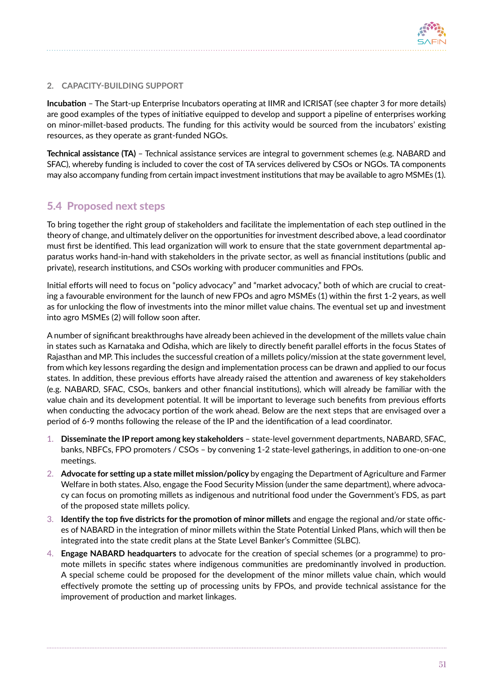

## **2. CAPACITY-BUILDING SUPPORT**

**Incubation** – The Start-up Enterprise Incubators operating at IIMR and ICRISAT (see chapter 3 for more details) are good examples of the types of initiative equipped to develop and support a pipeline of enterprises working on minor-millet-based products. The funding for this activity would be sourced from the incubators' existing resources, as they operate as grant-funded NGOs.

**Technical assistance (TA)** – Technical assistance services are integral to government schemes (e.g. NABARD and SFAC), whereby funding is included to cover the cost of TA services delivered by CSOs or NGOs. TA components may also accompany funding from certain impact investment institutions that may be available to agro MSMEs (1).

## 5.4 Proposed next steps

To bring together the right group of stakeholders and facilitate the implementation of each step outlined in the theory of change, and ultimately deliver on the opportunities for investment described above, a lead coordinator must first be identified. This lead organization will work to ensure that the state government departmental apparatus works hand-in-hand with stakeholders in the private sector, as well as financial institutions (public and private), research institutions, and CSOs working with producer communities and FPOs.

Initial efforts will need to focus on "policy advocacy" and "market advocacy," both of which are crucial to creating a favourable environment for the launch of new FPOs and agro MSMEs (1) within the first 1-2 years, as well as for unlocking the flow of investments into the minor millet value chains. The eventual set up and investment into agro MSMEs (2) will follow soon after.

A number of significant breakthroughs have already been achieved in the development of the millets value chain in states such as Karnataka and Odisha, which are likely to directly benefit parallel efforts in the focus States of Rajasthan and MP. This includes the successful creation of a millets policy/mission at the state government level, from which key lessons regarding the design and implementation process can be drawn and applied to our focus states. In addition, these previous efforts have already raised the attention and awareness of key stakeholders (e.g. NABARD, SFAC, CSOs, bankers and other financial institutions), which will already be familiar with the value chain and its development potential. It will be important to leverage such benefits from previous efforts when conducting the advocacy portion of the work ahead. Below are the next steps that are envisaged over a period of 6-9 months following the release of the IP and the identification of a lead coordinator.

- 1. **Disseminate the IP report among key stakeholders** state-level government departments, NABARD, SFAC, banks, NBFCs, FPO promoters / CSOs – by convening 1-2 state-level gatherings, in addition to one-on-one meetings.
- 2. **Advocate for setting up a state millet mission/policy** by engaging the Department of Agriculture and Farmer Welfare in both states. Also, engage the Food Security Mission (under the same department), where advocacy can focus on promoting millets as indigenous and nutritional food under the Government's FDS, as part of the proposed state millets policy.
- 3. **Identify the top five districts for the promotion of minor millets** and engage the regional and/or state offices of NABARD in the integration of minor millets within the State Potential Linked Plans, which will then be integrated into the state credit plans at the State Level Banker's Committee (SLBC).
- 4. **Engage NABARD headquarters** to advocate for the creation of special schemes (or a programme) to promote millets in specific states where indigenous communities are predominantly involved in production. A special scheme could be proposed for the development of the minor millets value chain, which would effectively promote the setting up of processing units by FPOs, and provide technical assistance for the improvement of production and market linkages.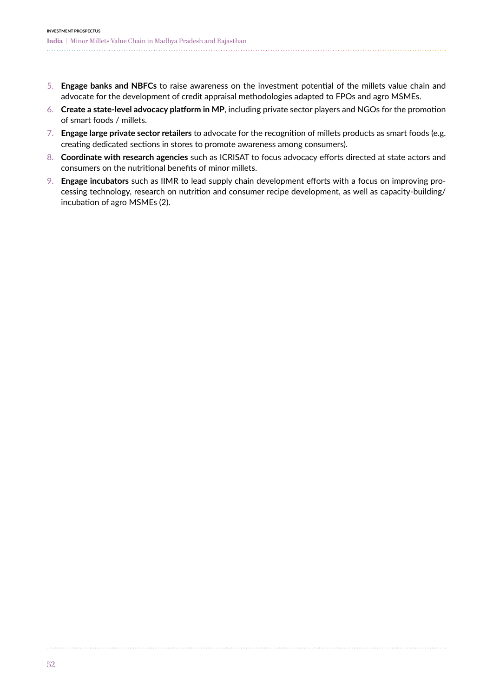- 5. **Engage banks and NBFCs** to raise awareness on the investment potential of the millets value chain and advocate for the development of credit appraisal methodologies adapted to FPOs and agro MSMEs.
- 6. **Create a state-level advocacy platform in MP**, including private sector players and NGOs for the promotion of smart foods / millets.
- 7. **Engage large private sector retailers** to advocate for the recognition of millets products as smart foods (e.g. creating dedicated sections in stores to promote awareness among consumers).
- 8. **Coordinate with research agencies** such as ICRISAT to focus advocacy efforts directed at state actors and consumers on the nutritional benefits of minor millets.
- 9. **Engage incubators** such as IIMR to lead supply chain development efforts with a focus on improving processing technology, research on nutrition and consumer recipe development, as well as capacity-building/ incubation of agro MSMEs (2).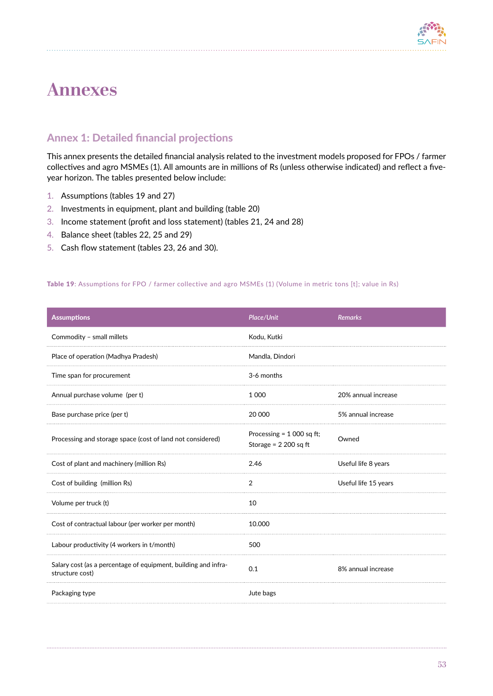

# **Annexes**

# Annex 1: Detailed financial projections

This annex presents the detailed financial analysis related to the investment models proposed for FPOs / farmer collectives and agro MSMEs (1). All amounts are in millions of Rs (unless otherwise indicated) and reflect a fiveyear horizon. The tables presented below include:

- 1. Assumptions (tables 19 and 27)
- 2. Investments in equipment, plant and building (table 20)
- 3. Income statement (profit and loss statement) (tables 21, 24 and 28)
- 4. Balance sheet (tables 22, 25 and 29)
- 5. Cash flow statement (tables 23, 26 and 30).

#### Table 19: Assumptions for FPO / farmer collective and agro MSMEs (1) (Volume in metric tons [t]; value in Rs)

| <b>Assumptions</b>                                                                | Place/Unit                                            | <b>Remarks</b>       |
|-----------------------------------------------------------------------------------|-------------------------------------------------------|----------------------|
| Commodity - small millets                                                         | Kodu, Kutki                                           |                      |
| Place of operation (Madhya Pradesh)                                               | Mandla, Dindori                                       |                      |
| Time span for procurement                                                         | 3-6 months                                            |                      |
| Annual purchase volume (per t)                                                    | 1 0 0 0                                               | 20% annual increase  |
| Base purchase price (per t)                                                       | 20 000                                                | 5% annual increase   |
| Processing and storage space (cost of land not considered)                        | Processing = $1000$ sq ft;<br>Storage = $2,200$ sq ft | Owned                |
| Cost of plant and machinery (million Rs)                                          | 2.46                                                  | Useful life 8 years  |
| Cost of building (million Rs)                                                     | $\overline{2}$                                        | Useful life 15 years |
| Volume per truck (t)                                                              | 10                                                    |                      |
| Cost of contractual labour (per worker per month)                                 | 10.000                                                |                      |
| Labour productivity (4 workers in t/month)                                        | 500                                                   |                      |
| Salary cost (as a percentage of equipment, building and infra-<br>structure cost) | 0.1                                                   | 8% annual increase   |
| Packaging type                                                                    | Jute bags                                             |                      |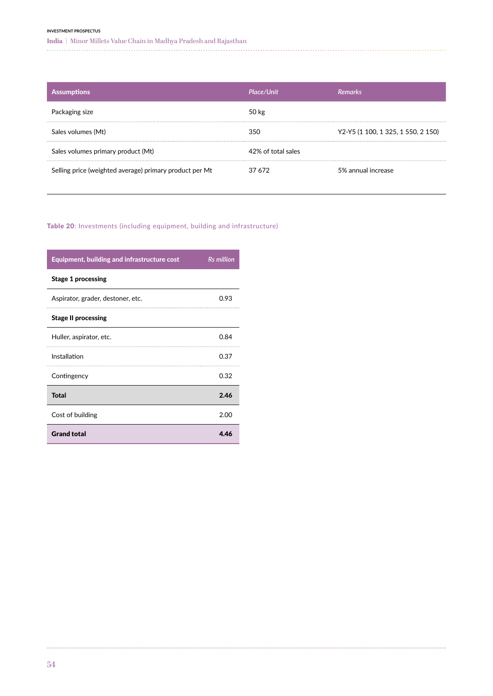#### **INVESTMENT PROSPECTUS**

**India |** Minor Millets Value Chain in Madhya Pradesh and Rajasthan

| <b>Assumptions</b>                                      | Place/Unit         | <b>Remarks</b>                     |
|---------------------------------------------------------|--------------------|------------------------------------|
| Packaging size                                          | 50 kg              |                                    |
| Sales volumes (Mt)                                      | 350                | Y2-Y5 (1 100, 1 325, 1 550, 2 150) |
| Sales volumes primary product (Mt)                      | 42% of total sales |                                    |
| Selling price (weighted average) primary product per Mt | 37 672             | 5% annual increase                 |

## Table 20: Investments (including equipment, building and infrastructure)

| Equipment, building and infrastructure cost | <b>Rs</b> million |
|---------------------------------------------|-------------------|
| <b>Stage 1 processing</b>                   |                   |
| Aspirator, grader, destoner, etc.           | 0.93              |
| <b>Stage II processing</b>                  |                   |
| Huller, aspirator, etc.                     | 0.84              |
| Installation                                | 0.37              |
| Contingency                                 | 0.32              |
| <b>Total</b>                                | 2.46              |
| Cost of building                            | 2.00              |
| <b>Grand total</b>                          | 4.46              |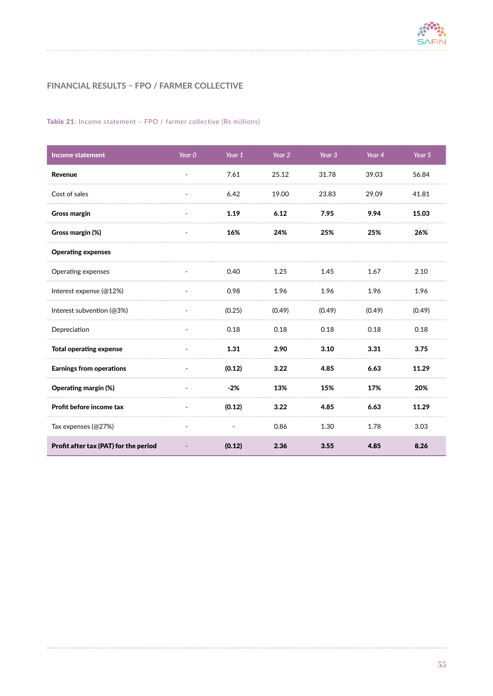

## **FINANCIAL RESULTS – FPO / FARMER COLLECTIVE**

### Table 21: Income statement – FPO / farmer collective (Rs millions)

| <b>Income statement</b>               | Year 0                   | Year 1 | Year 2 | Year 3 | Year 4 | Year 5 |
|---------------------------------------|--------------------------|--------|--------|--------|--------|--------|
| Revenue                               |                          | 7.61   | 25.12  | 31.78  | 39.03  | 56.84  |
| Cost of sales                         |                          | 6.42   | 19.00  | 23.83  | 29.09  | 41.81  |
| <b>Gross margin</b>                   | $\overline{\phantom{a}}$ | 1.19   | 6.12   | 7.95   | 9.94   | 15.03  |
| Gross margin (%)                      |                          | 16%    | 24%    | 25%    | 25%    | 26%    |
| <b>Operating expenses</b>             |                          |        |        |        |        |        |
| Operating expenses                    |                          | 0.40   | 1.25   | 1.45   | 1.67   | 2.10   |
| Interest expense (@12%)               |                          | 0.98   | 1.96   | 1.96   | 1.96   | 1.96   |
| Interest subvention (@3%)             |                          | (0.25) | (0.49) | (0.49) | (0.49) | (0.49) |
| Depreciation                          |                          | 0.18   | 0.18   | 0.18   | 0.18   | 0.18   |
| <b>Total operating expense</b>        |                          | 1.31   | 2.90   | 3.10   | 3.31   | 3.75   |
| <b>Earnings from operations</b>       |                          | (0.12) | 3.22   | 4.85   | 6.63   | 11.29  |
| Operating margin (%)                  |                          | $-2%$  | 13%    | 15%    | 17%    | 20%    |
| Profit before income tax              |                          | (0.12) | 3.22   | 4.85   | 6.63   | 11.29  |
| Tax expenses (@27%)                   |                          |        | 0.86   | 1.30   | 1.78   | 3.03   |
| Profit after tax (PAT) for the period |                          | (0.12) | 2.36   | 3.55   | 4.85   | 8.26   |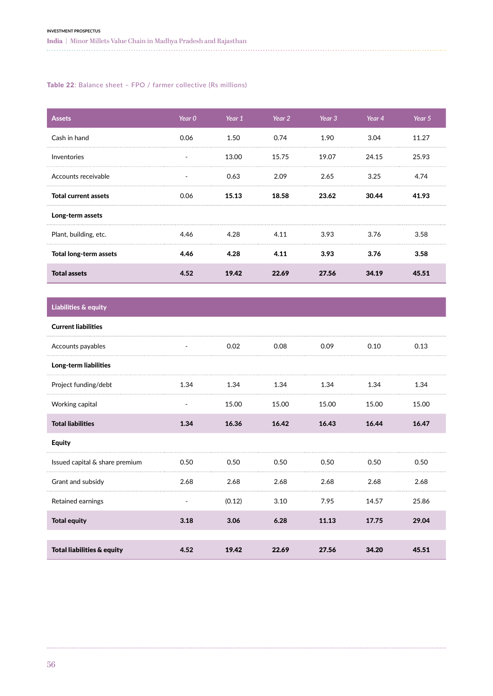#### Table 22: Balance sheet – FPO / farmer collective (Rs millions)

| <b>Assets</b>               | Year 0 | Year 1 | Year 2 | Year 3 | Year 4 | Year 5 |
|-----------------------------|--------|--------|--------|--------|--------|--------|
| Cash in hand                | 0.06   | 1.50   | 0.74   | 1.90   | 3.04   | 11.27  |
| Inventories                 |        | 13.00  | 15.75  | 19.07  | 24.15  | 25.93  |
| Accounts receivable         |        | 0.63   | 2.09   | 2.65   | 3.25   | 4.74   |
| <b>Total current assets</b> | 0.06   | 15.13  | 18.58  | 23.62  | 30.44  | 41.93  |
| Long-term assets            |        |        |        |        |        |        |
| Plant, building, etc.       | 4.46   | 4.28   | 4.11   | 3.93   | 3.76   | 3.58   |
| Total long-term assets      | 4.46   | 4.28   | 4.11   | 3.93   | 3.76   | 3.58   |
| <b>Total assets</b>         | 4.52   | 19.42  | 22.69  | 27.56  | 34.19  | 45.51  |

# Liabilities & equity

| <b>Current liabilities</b>            |      |        |       |       |       |       |
|---------------------------------------|------|--------|-------|-------|-------|-------|
| Accounts payables                     |      | 0.02   | 0.08  | 0.09  | 0.10  | 0.13  |
| Long-term liabilities                 |      |        |       |       |       |       |
| Project funding/debt                  | 1.34 | 1.34   | 1.34  | 1.34  | 1.34  | 1.34  |
| Working capital                       |      | 15.00  | 15.00 | 15.00 | 15.00 | 15.00 |
| <b>Total liabilities</b>              | 1.34 | 16.36  | 16.42 | 16.43 | 16.44 | 16.47 |
| <b>Equity</b>                         |      |        |       |       |       |       |
| Issued capital & share premium        | 0.50 | 0.50   | 0.50  | 0.50  | 0.50  | 0.50  |
| Grant and subsidy                     | 2.68 | 2.68   | 2.68  | 2.68  | 2.68  | 2.68  |
| Retained earnings                     |      | (0.12) | 3.10  | 7.95  | 14.57 | 25.86 |
| <b>Total equity</b>                   | 3.18 | 3.06   | 6.28  | 11.13 | 17.75 | 29.04 |
|                                       |      |        |       |       |       |       |
| <b>Total liabilities &amp; equity</b> | 4.52 | 19.42  | 22.69 | 27.56 | 34.20 | 45.51 |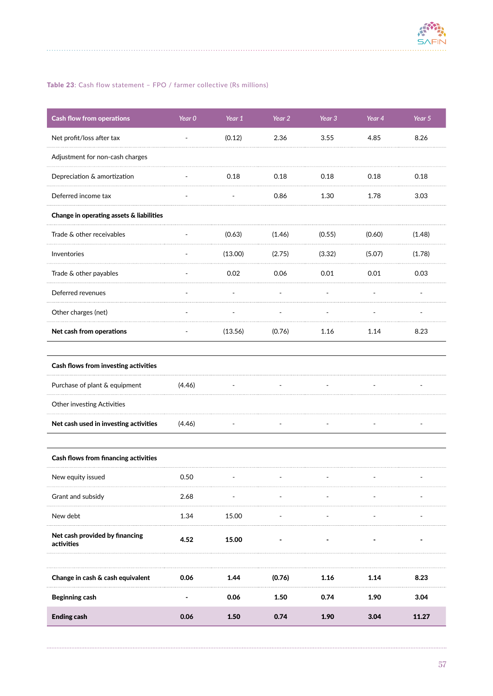

### Table 23: Cash flow statement – FPO / farmer collective (Rs millions)

| <b>Cash flow from operations</b>             | Year 0 | Year 1  | Year 2 | Year 3           | Year 4 | Year 5 |
|----------------------------------------------|--------|---------|--------|------------------|--------|--------|
| Net profit/loss after tax                    |        | (0.12)  | 2.36   | 3.55             | 4.85   | 8.26   |
| Adjustment for non-cash charges              |        |         |        |                  |        |        |
| Depreciation & amortization                  |        | 0.18    | 0.18   | 0.18             | 0.18   | 0.18   |
| Deferred income tax                          |        |         | 0.86   | 1.30             | 1.78   | 3.03   |
| Change in operating assets & liabilities     |        |         |        |                  |        |        |
| Trade & other receivables                    |        | (0.63)  | (1.46) | (0.55)           | (0.60) | (1.48) |
| Inventories                                  |        | (13.00) | (2.75) | (3.32)<br>.<br>. | (5.07) | (1.78) |
| Trade & other payables                       |        | 0.02    | 0.06   | 0.01             | 0.01   | 0.03   |
| Deferred revenues                            |        |         |        |                  |        |        |
| Other charges (net)                          |        |         |        |                  |        |        |
| Net cash from operations                     |        | (13.56) | (0.76) | 1.16             | 1.14   | 8.23   |
| Cash flows from investing activities         |        |         |        |                  |        |        |
| Purchase of plant & equipment                | (4.46) |         |        |                  |        |        |
| Other investing Activities                   |        |         |        |                  |        |        |
| Net cash used in investing activities        | (4.46) |         |        |                  |        |        |
| Cash flows from financing activities         |        |         |        |                  |        |        |
| New equity issued                            | 0.50   |         |        |                  |        |        |
| Grant and subsidy                            | 2.68   |         |        |                  |        |        |
| New debt                                     | 1.34   | 15.00   |        |                  |        |        |
| Net cash provided by financing<br>activities | 4.52   | 15.00   |        |                  |        |        |
| Change in cash & cash equivalent             | 0.06   | 1.44    | (0.76) | 1.16             | 1.14   | 8.23   |
| <b>Beginning cash</b>                        |        | 0.06    | 1.50   | 0.74             | 1.90   | 3.04   |
| <b>Ending cash</b>                           | 0.06   | 1.50    | 0.74   | 1.90             | 3.04   | 11.27  |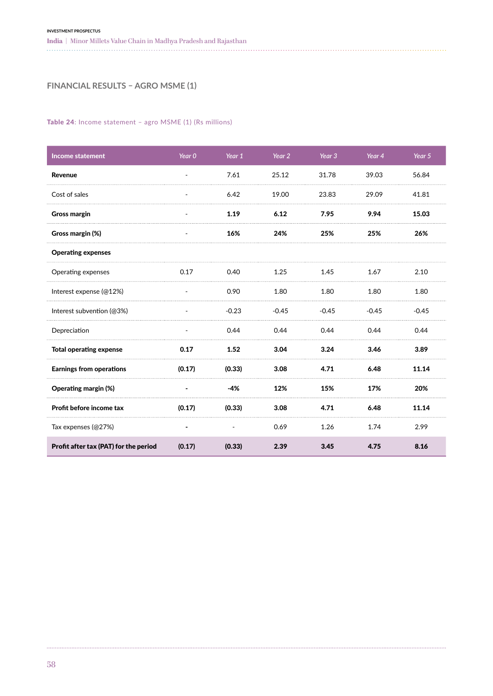## **FINANCIAL RESULTS – AGRO MSME (1)**

### Table 24: Income statement - agro MSME (1) (Rs millions)

| <b>Income statement</b>               | Year <sub>0</sub>        | Year 1                   | Year 2  | Year <sub>3</sub> | Year 4  | Year 5  |
|---------------------------------------|--------------------------|--------------------------|---------|-------------------|---------|---------|
| Revenue                               |                          | 7.61                     | 25.12   | 31.78             | 39.03   | 56.84   |
| Cost of sales                         |                          | 6.42                     | 19.00   | 23.83             | 29.09   | 41.81   |
| <b>Gross margin</b>                   | $\overline{\phantom{a}}$ | 1.19                     | 6.12    | 7.95              | 9.94    | 15.03   |
| Gross margin (%)                      |                          | 16%                      | 24%     | 25%               | 25%     | 26%     |
| <b>Operating expenses</b>             |                          |                          |         |                   |         |         |
| Operating expenses                    | 0.17                     | 0.40                     | 1.25    | 1.45              | 1.67    | 2.10    |
| Interest expense (@12%)               |                          | 0.90                     | 1.80    | 1.80              | 1.80    | 1.80    |
| Interest subvention (@3%)             |                          | $-0.23$                  | $-0.45$ | $-0.45$           | $-0.45$ | $-0.45$ |
| Depreciation                          | $\overline{\phantom{a}}$ | 0.44                     | 0.44    | 0.44              | 0.44    | 0.44    |
| <b>Total operating expense</b>        | 0.17                     | 1.52                     | 3.04    | 3.24              | 3.46    | 3.89    |
| <b>Earnings from operations</b>       | (0.17)                   | (0.33)                   | 3.08    | 4.71              | 6.48    | 11.14   |
| Operating margin (%)                  |                          | $-4%$                    | 12%     | 15%               | 17%     | 20%     |
| Profit before income tax              | (0.17)                   | (0.33)                   | 3.08    | 4.71              | 6.48    | 11.14   |
| Tax expenses (@27%)                   |                          | $\overline{\phantom{a}}$ | 0.69    | 1.26              | 1.74    | 2.99    |
| Profit after tax (PAT) for the period | (0.17)                   | (0.33)                   | 2.39    | 3.45              | 4.75    | 8.16    |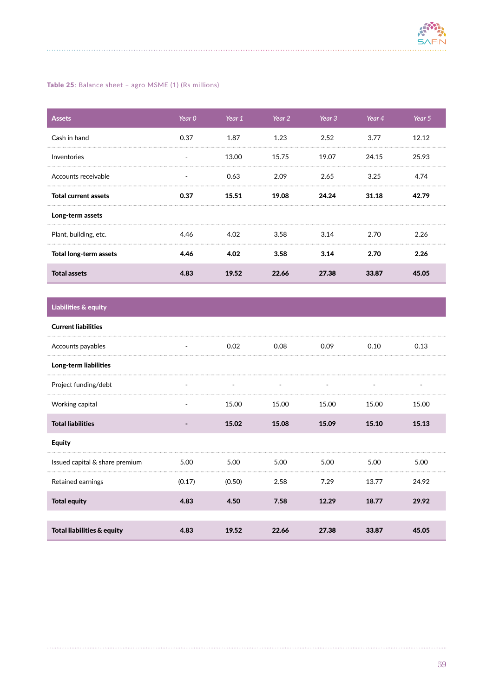

## Table 25: Balance sheet - agro MSME (1) (Rs millions)

| <b>Assets</b>               | Year 0 | Year 1 | Year 2 | Year 3 | Year 4 | Year 5 |
|-----------------------------|--------|--------|--------|--------|--------|--------|
| Cash in hand                | 0.37   | 1.87   | 1.23   | 2.52   | 3.77   | 12.12  |
| Inventories                 |        | 13.00  | 15.75  | 19.07  | 24.15  | 25.93  |
| Accounts receivable         |        | 0.63   | 2.09   | 2.65   | 3.25   | 4.74   |
| <b>Total current assets</b> | 0.37   | 15.51  | 19.08  | 24.24  | 31.18  | 42.79  |
| Long-term assets            |        |        |        |        |        |        |
| Plant, building, etc.       | 4.46   | 4.02   | 3.58   | 3.14   | 2.70   | 2.26   |
| Total long-term assets      | 4.46   | 4.02   | 3.58   | 3.14   | 2.70   | 2.26   |
| <b>Total assets</b>         | 4.83   | 19.52  | 22.66  | 27.38  | 33.87  | 45.05  |

# Liabilities & equity

| <b>Current liabilities</b>            |        |        |       |       |       |       |
|---------------------------------------|--------|--------|-------|-------|-------|-------|
| Accounts payables                     | -      | 0.02   | 0.08  | 0.09  | 0.10  | 0.13  |
| Long-term liabilities                 |        |        |       |       |       |       |
| Project funding/debt                  |        |        |       |       |       |       |
| Working capital                       |        | 15.00  | 15.00 | 15.00 | 15.00 | 15.00 |
| <b>Total liabilities</b>              |        | 15.02  | 15.08 | 15.09 | 15.10 | 15.13 |
| <b>Equity</b>                         |        |        |       |       |       |       |
| Issued capital & share premium        | 5.00   | 5.00   | 5.00  | 5.00  | 5.00  | 5.00  |
| Retained earnings                     | (0.17) | (0.50) | 2.58  | 7.29  | 13.77 | 24.92 |
| <b>Total equity</b>                   | 4.83   | 4.50   | 7.58  | 12.29 | 18.77 | 29.92 |
|                                       |        |        |       |       |       |       |
| <b>Total liabilities &amp; equity</b> | 4.83   | 19.52  | 22.66 | 27.38 | 33.87 | 45.05 |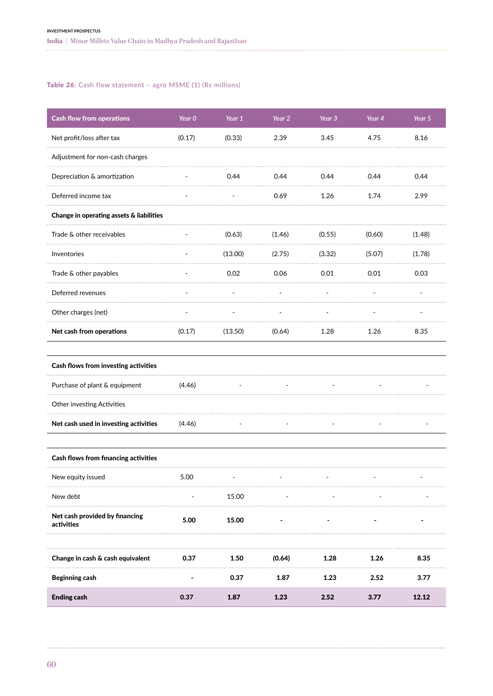### Table 26: Cash flow statement – agro MSME (1) (Rs millions)

| <b>Cash flow from operations</b>             | Year 0 | Year 1  | Year 2 | Year 3 | Year 4 | Year 5 |
|----------------------------------------------|--------|---------|--------|--------|--------|--------|
| Net profit/loss after tax                    | (0.17) | (0.33)  | 2.39   | 3.45   | 4.75   | 8.16   |
| Adjustment for non-cash charges              |        |         |        |        |        |        |
| Depreciation & amortization                  |        | 0.44    | 0.44   | 0.44   | 0.44   | 0.44   |
| Deferred income tax                          |        |         | 0.69   | 1.26   | 1.74   | 2.99   |
| Change in operating assets & liabilities     |        |         |        |        |        |        |
| Trade & other receivables                    |        | (0.63)  | (1.46) | (0.55) | (0.60) | (1.48) |
| Inventories                                  |        | (13.00) | (2.75) | (3.32) | (5.07) | (1.78) |
| Trade & other payables                       |        | 0.02    | 0.06   | 0.01   | 0.01   | 0.03   |
| Deferred revenues                            |        |         |        |        |        |        |
| Other charges (net)                          |        |         |        |        |        |        |
| Net cash from operations                     | (0.17) | (13.50) | (0.64) | 1.28   | 1.26   | 8.35   |
| Cash flows from investing activities         |        |         |        |        |        |        |
| Purchase of plant & equipment                | (4.46) |         |        |        |        |        |
| Other investing Activities                   |        |         |        |        |        |        |
| Net cash used in investing activities        | (4.46) |         |        |        |        |        |
| Cash flows from financing activities         |        |         |        |        |        |        |
| New equity issued                            | 5.00   |         |        |        |        |        |
| New debt                                     |        | 15.00   |        |        |        |        |
| Net cash provided by financing<br>activities | 5.00   | 15.00   |        |        |        |        |
|                                              |        |         |        |        |        |        |
| Change in cash & cash equivalent             | 0.37   | 1.50    | (0.64) | 1.28   | 1.26   | 8.35   |
| <b>Beginning cash</b>                        |        | 0.37    | 1.87   | 1.23   | 2.52   | 3.77   |
| <b>Ending cash</b>                           | 0.37   | 1.87    | 1.23   | 2.52   | 3.77   | 12.12  |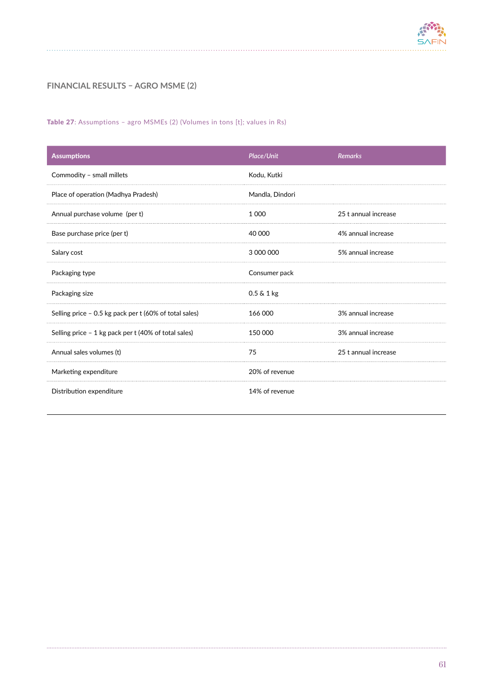

# **FINANCIAL RESULTS – AGRO MSME (2)**

### Table 27: Assumptions – agro MSMEs (2) (Volumes in tons [t]; values in Rs)

| <b>Assumptions</b>                                     | Place/Unit            | <b>Remarks</b>       |
|--------------------------------------------------------|-----------------------|----------------------|
| Commodity - small millets                              | Kodu, Kutki           |                      |
| Place of operation (Madhya Pradesh)                    | Mandla, Dindori       |                      |
| Annual purchase volume (per t)                         | 1 0 0 0               | 25 t annual increase |
| Base purchase price (per t)                            | 40 000                | 4% annual increase   |
| Salary cost                                            | 3 000 000             | 5% annual increase   |
| Packaging type                                         | Consumer pack         |                      |
| Packaging size                                         | $0.5 \& 1 \text{ kg}$ |                      |
| Selling price - 0.5 kg pack per t (60% of total sales) | 166 000               | 3% annual increase   |
| Selling price - 1 kg pack per t (40% of total sales)   | 150 000               | 3% annual increase   |
| Annual sales volumes (t)                               | 75                    | 25 t annual increase |
| Marketing expenditure                                  | 20% of revenue        |                      |
| Distribution expenditure                               | 14% of revenue        |                      |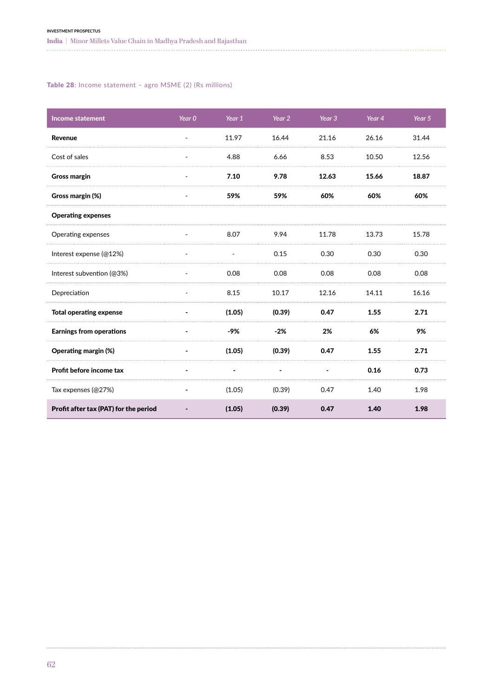**India |** Minor Millets Value Chain in Madhya Pradesh and Rajasthan

### Table 28: Income statement – agro MSME (2) (Rs millions)

| <b>Income statement</b>               | Year $0$                 | Year 1 | Year 2 | Year 3 | Year 4 | Year 5 |
|---------------------------------------|--------------------------|--------|--------|--------|--------|--------|
| Revenue                               |                          | 11.97  | 16.44  | 21.16  | 26.16  | 31.44  |
| Cost of sales                         |                          | 4.88   | 6.66   | 8.53   | 10.50  | 12.56  |
| <b>Gross margin</b>                   | $\overline{\phantom{a}}$ | 7.10   | 9.78   | 12.63  | 15.66  | 18.87  |
| Gross margin (%)                      |                          | 59%    | 59%    | 60%    | 60%    | 60%    |
| <b>Operating expenses</b>             |                          |        |        |        |        |        |
| Operating expenses                    |                          | 8.07   | 9.94   | 11.78  | 13.73  | 15.78  |
| Interest expense (@12%)               |                          |        | 0.15   | 0.30   | 0.30   | 0.30   |
| Interest subvention (@3%)             |                          | 0.08   | 0.08   | 0.08   | 0.08   | 0.08   |
| Depreciation                          |                          | 8.15   | 10.17  | 12.16  | 14.11  | 16.16  |
| <b>Total operating expense</b>        |                          | (1.05) | (0.39) | 0.47   | 1.55   | 2.71   |
| <b>Earnings from operations</b>       |                          | -9%    | $-2%$  | 2%     | 6%     | 9%     |
| Operating margin (%)                  |                          | (1.05) | (0.39) | 0.47   | 1.55   | 2.71   |
| Profit before income tax              |                          |        |        |        | 0.16   | 0.73   |
| Tax expenses (@27%)                   |                          | (1.05) | (0.39) | 0.47   | 1.40   | 1.98   |
| Profit after tax (PAT) for the period |                          | (1.05) | (0.39) | 0.47   | 1.40   | 1.98   |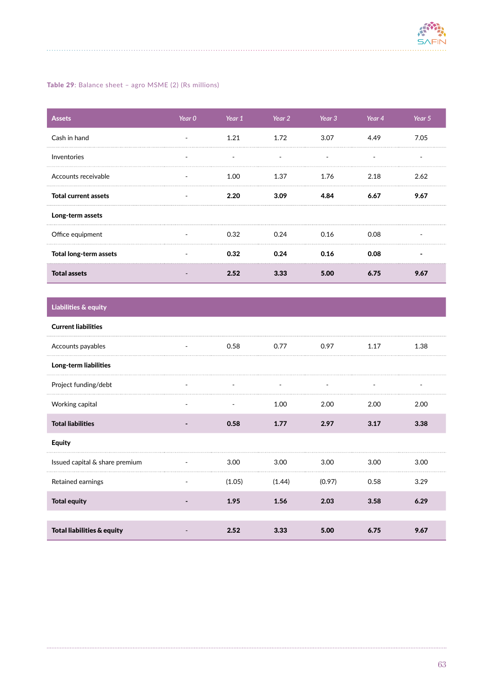

## Table 29: Balance sheet – agro MSME (2) (Rs millions)

| <b>Assets</b>               | Year 0 | Year 1 | Year 2 | Year 3 | Year 4 | Year 5 |
|-----------------------------|--------|--------|--------|--------|--------|--------|
| Cash in hand                |        | 1.21   | 1.72   | 3.07   | 4.49   | 7.05   |
| Inventories                 |        |        |        |        |        |        |
| Accounts receivable         |        | 1.00   | 1.37   | 1.76   | 2.18   | 2.62   |
| <b>Total current assets</b> |        | 2.20   | 3.09   | 4.84   | 6.67   | 9.67   |
| Long-term assets            |        |        |        |        |        |        |
| Office equipment            |        | 0.32   | 0.24   | 0.16   | 0.08   |        |
| Total long-term assets      |        | 0.32   | 0.24   | 0.16   | 0.08   |        |
| <b>Total assets</b>         |        | 2.52   |        | 5.00   | 6.75   | 9.67   |

# Liabilities & equity

| <b>Current liabilities</b>     |        |        |        |      |      |
|--------------------------------|--------|--------|--------|------|------|
| Accounts payables              | 0.58   | 0.77   | 0.97   | 1.17 | 1.38 |
| Long-term liabilities          |        |        |        |      |      |
| Project funding/debt           |        |        |        |      |      |
| Working capital                |        | 1.00   | 2.00   | 2.00 | 2.00 |
| <b>Total liabilities</b>       | 0.58   | 1.77   | 2.97   | 3.17 | 3.38 |
| <b>Equity</b>                  |        |        |        |      |      |
| Issued capital & share premium | 3.00   | 3.00   | 3.00   | 3.00 | 3.00 |
| Retained earnings              | (1.05) | (1.44) | (0.97) | 0.58 | 3.29 |
| <b>Total equity</b>            | 1.95   | 1.56   | 2.03   | 3.58 | 6.29 |
|                                |        |        |        |      |      |
| Total liabilities & equity     | 2.52   | 3.33   | 5.00   | 6.75 | 9.67 |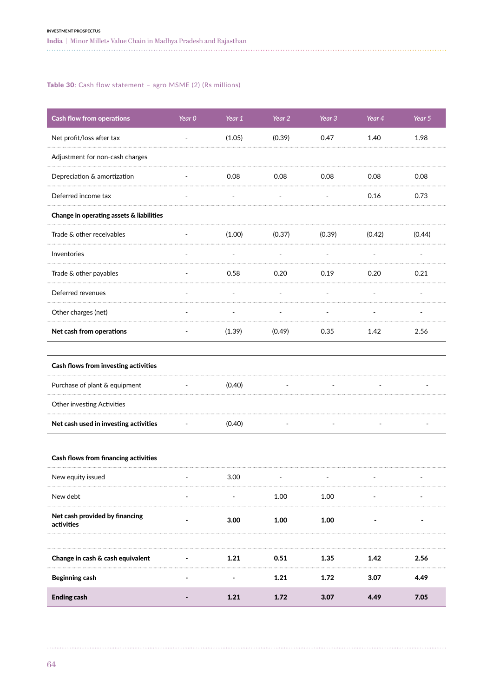### Table 30: Cash flow statement – agro MSME (2) (Rs millions)

| <b>Cash flow from operations</b>             | Year 0                   | Year 1 | Year 2 | Year 3 | Year 4 | Year 5 |
|----------------------------------------------|--------------------------|--------|--------|--------|--------|--------|
| Net profit/loss after tax                    |                          | (1.05) | (0.39) | 0.47   | 1.40   | 1.98   |
| Adjustment for non-cash charges              |                          |        |        |        |        |        |
| Depreciation & amortization                  |                          | 0.08   | 0.08   | 0.08   | 0.08   | 0.08   |
| Deferred income tax                          |                          |        |        |        | 0.16   | 0.73   |
| Change in operating assets & liabilities     |                          |        |        |        |        |        |
| Trade & other receivables                    |                          | (1.00) | (0.37) | (0.39) | (0.42) | (0.44) |
| Inventories                                  |                          |        |        |        |        |        |
| Trade & other payables                       |                          | 0.58   | 0.20   | 0.19   | 0.20   | 0.21   |
| Deferred revenues                            |                          |        |        |        |        |        |
| Other charges (net)                          |                          |        |        |        |        |        |
| Net cash from operations                     |                          | (1.39) | (0.49) | 0.35   | 1.42   | 2.56   |
| Cash flows from investing activities         |                          |        |        |        |        |        |
| Purchase of plant & equipment                | $\overline{\phantom{a}}$ | (0.40) |        |        |        |        |
| Other investing Activities                   |                          |        |        |        |        |        |
| Net cash used in investing activities        | $\overline{\phantom{a}}$ | (0.40) |        |        |        |        |
| <b>Cash flows from financing activities</b>  |                          |        |        |        |        |        |
| New equity issued                            |                          | 3.00   |        |        |        |        |
| New debt                                     |                          |        | 1.00   | 1.00   |        |        |
| Net cash provided by financing<br>activities |                          | 3.00   | 1.00   | 1.00   |        |        |
| Change in cash & cash equivalent             |                          | 1.21   | 0.51   | 1.35   | 1.42   | 2.56   |
| <b>Beginning cash</b>                        |                          |        | 1.21   | 1.72   | 3.07   | 4.49   |
| <b>Ending cash</b>                           |                          | 1.21   | 1.72   | 3.07   | 4.49   | 7.05   |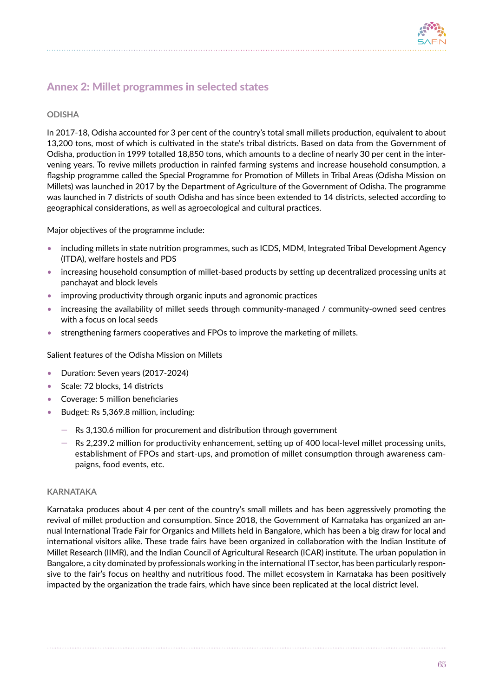

# Annex 2: Millet programmes in selected states

## **ODISHA**

In 2017-18, Odisha accounted for 3 per cent of the country's total small millets production, equivalent to about 13,200 tons, most of which is cultivated in the state's tribal districts. Based on data from the Government of Odisha, production in 1999 totalled 18,850 tons, which amounts to a decline of nearly 30 per cent in the intervening years. To revive millets production in rainfed farming systems and increase household consumption, a flagship programme called the Special Programme for Promotion of Millets in Tribal Areas (Odisha Mission on Millets) was launched in 2017 by the Department of Agriculture of the Government of Odisha. The programme was launched in 7 districts of south Odisha and has since been extended to 14 districts, selected according to geographical considerations, as well as agroecological and cultural practices.

Major objectives of the programme include:

- including millets in state nutrition programmes, such as ICDS, MDM, Integrated Tribal Development Agency (ITDA), welfare hostels and PDS
- increasing household consumption of millet-based products by setting up decentralized processing units at panchayat and block levels
- improving productivity through organic inputs and agronomic practices
- increasing the availability of millet seeds through community-managed / community-owned seed centres with a focus on local seeds
- strengthening farmers cooperatives and FPOs to improve the marketing of millets.

Salient features of the Odisha Mission on Millets

- Duration: Seven years (2017-2024)
- Scale: 72 blocks, 14 districts
- Coverage: 5 million beneficiaries
- Budget: Rs 5,369.8 million, including:
	- $-$  Rs 3,130.6 million for procurement and distribution through government
	- $-$  Rs 2,239.2 million for productivity enhancement, setting up of 400 local-level millet processing units, establishment of FPOs and start-ups, and promotion of millet consumption through awareness campaigns, food events, etc.

#### **KARNATAKA**

Karnataka produces about 4 per cent of the country's small millets and has been aggressively promoting the revival of millet production and consumption. Since 2018, the Government of Karnataka has organized an annual International Trade Fair for Organics and Millets held in Bangalore, which has been a big draw for local and international visitors alike. These trade fairs have been organized in collaboration with the Indian Institute of Millet Research (IIMR), and the Indian Council of Agricultural Research (ICAR) institute. The urban population in Bangalore, a city dominated by professionals working in the international IT sector, has been particularly responsive to the fair's focus on healthy and nutritious food. The millet ecosystem in Karnataka has been positively impacted by the organization the trade fairs, which have since been replicated at the local district level.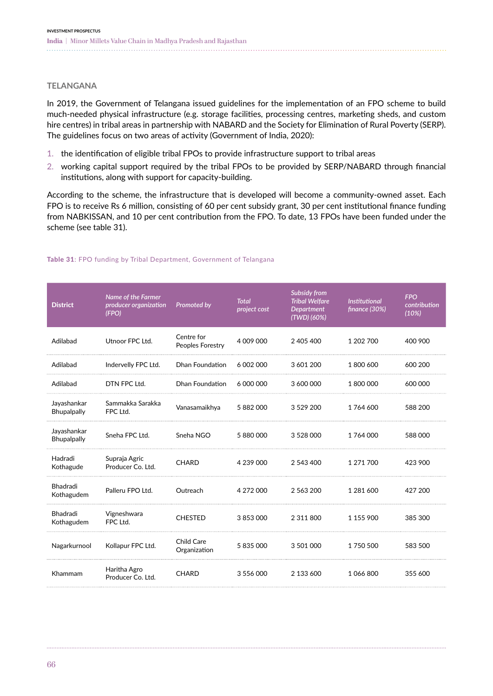## **TELANGANA**

In 2019, the Government of Telangana issued guidelines for the implementation of an FPO scheme to build much-needed physical infrastructure (e.g. storage facilities, processing centres, marketing sheds, and custom hire centres) in tribal areas in partnership with NABARD and the Society for Elimination of Rural Poverty (SERP). The guidelines focus on two areas of activity (Government of India, 2020):

- 1. the identification of eligible tribal FPOs to provide infrastructure support to tribal areas
- 2. working capital support required by the tribal FPOs to be provided by SERP/NABARD through financial institutions, along with support for capacity-building.

According to the scheme, the infrastructure that is developed will become a community-owned asset. Each FPO is to receive Rs 6 million, consisting of 60 per cent subsidy grant, 30 per cent institutional finance funding from NABKISSAN, and 10 per cent contribution from the FPO. To date, 13 FPOs have been funded under the scheme (see table 31).

| <b>District</b>                   | Name of the Farmer<br>producer organization<br>(FPO) | Promoted by                       | <b>Total</b><br>project cost | <b>Subsidy from</b><br><b>Tribal Welfare</b><br><b>Department</b><br>$(TWD)$ (60%) | <b>Institutional</b><br>finance (30%) | <b>FPO</b><br>contribution<br>(10%) |
|-----------------------------------|------------------------------------------------------|-----------------------------------|------------------------------|------------------------------------------------------------------------------------|---------------------------------------|-------------------------------------|
| Adilabad                          | Utnoor FPC Ltd.                                      | Centre for<br>Peoples Forestry    | 4 009 000                    | 2 405 400                                                                          | 1 202 700                             | 400 900                             |
| Adilabad                          | Indervelly FPC Ltd.                                  | <b>Dhan Foundation</b>            | 6 002 000                    | 3 601 200                                                                          | 1800600                               | 600 200                             |
| Adilabad                          | DTN FPC Ltd.                                         | <b>Dhan Foundation</b>            | 6 000 000                    | 3 600 000                                                                          | 1800000                               | 600 000                             |
| Jayashankar<br>Bhupalpally        | Sammakka Sarakka<br>FPC Ltd.                         | Vanasamaikhya                     | 5 882 000                    | 3 5 29 200                                                                         | 1764 600                              | 588 200                             |
| Jayashankar<br><b>Bhupalpally</b> | Sneha FPC Ltd.                                       | Sneha NGO                         | 5 880 000                    | 3 5 28 0 00                                                                        | 1764000                               | 588 000                             |
| Hadradi<br>Kothagude              | Supraja Agric<br>Producer Co. Ltd.                   | <b>CHARD</b>                      | 4 239 000                    | 2 543 400                                                                          | 1 271 700                             | 423 900                             |
| Bhadradi<br>Kothagudem            | Palleru FPO Ltd.                                     | Outreach                          | 4 272 000                    | 2 563 200                                                                          | 1 281 600                             | 427 200                             |
| Bhadradi<br>Kothagudem            | Vigneshwara<br>FPC Ltd.                              | <b>CHESTED</b>                    | 3 853 000                    | 2 3 1 1 8 0 0                                                                      | 1 155 900                             | 385 300                             |
| Nagarkurnool                      | Kollapur FPC Ltd.                                    | <b>Child Care</b><br>Organization | 5 835 000                    | 3 501 000                                                                          | 1 750 500                             | 583 500                             |
| Khammam                           | Haritha Agro<br>Producer Co. Ltd.                    | <b>CHARD</b>                      | 3 556 000                    | 2 133 600                                                                          | 1066800                               | 355 600                             |

#### Table 31: FPO funding by Tribal Department, Government of Telangana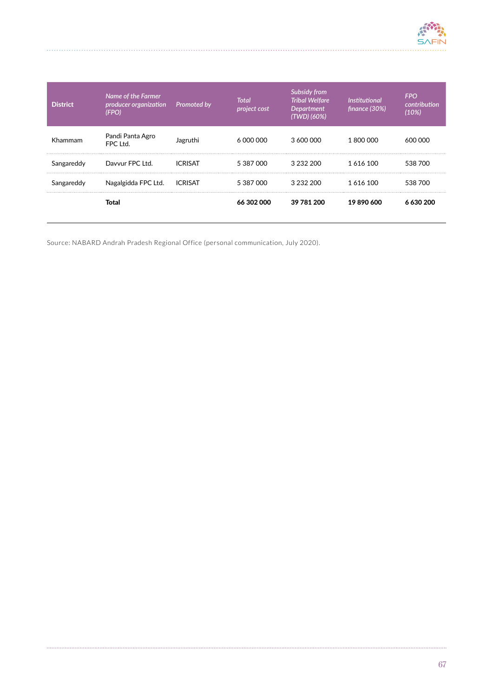

| <b>District</b> | Name of the Farmer<br>producer organization<br>(FPO) | <b>Promoted by</b> | Total<br>project cost | <b>Subsidy from</b><br><b>Tribal Welfare</b><br><b>Department</b><br>(TWD) (60%) | <b>Institutional</b><br>finance (30%) | <b>FPO</b><br>contribution<br>(10%) |
|-----------------|------------------------------------------------------|--------------------|-----------------------|----------------------------------------------------------------------------------|---------------------------------------|-------------------------------------|
| Khammam         | Pandi Panta Agro<br>FPC Ltd.                         | Jagruthi           | 6 000 000             | 3 600 000                                                                        | 1800000                               | 600,000                             |
| Sangareddy      | Davvur FPC Ltd.                                      | <b>ICRISAT</b>     | 5 387 000             | 3 232 200                                                                        | 1 616 100                             | 538 700                             |
| Sangareddy      | Nagalgidda FPC Ltd.                                  | ICRISAT            | 5 387 000             | 3 232 200                                                                        | 1616100                               | 538 700                             |
|                 | Total                                                |                    | 66 302 000            | 39 781 200                                                                       | 19890600                              | 6 630 200                           |

Source: NABARD Andrah Pradesh Regional Office (personal communication, July 2020).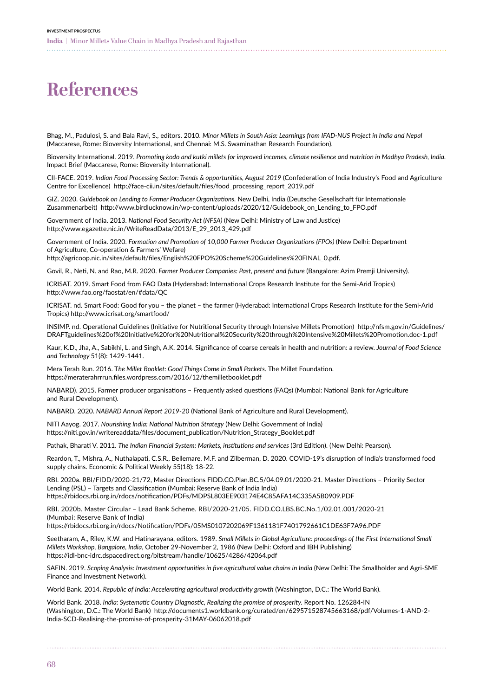# **References**

Bhag, M., Padulosi, S. and Bala Ravi, S., editors. 2010. *Minor Millets in South Asia: Learnings from IFAD-NUS Project in India and Nepal*  (Maccarese, Rome: Bioversity International, and Chennai: M.S. Swaminathan Research Foundation).

Bioversity International. 2019. *Promoting kodo and kutki millets for improved incomes, climate resilience and nutrition in Madhya Pradesh, India.* Impact Brief (Maccarese, Rome: Bioversity International).

CII-FACE. 2019. *Indian Food Processing Sector: Trends & opportunities, August 2019* (Confederation of India Industry's Food and Agriculture Centre for Excellence) http://face-cii.in/sites/default/files/food\_processing\_report\_2019.pdf

GIZ. 2020. *Guidebook on Lending to Farmer Producer Organizations.* New Delhi, India (Deutsche Gesellschaft für Internationale Zusammenarbeit) http://www.birdlucknow.in/wp-content/uploads/2020/12/Guidebook\_on\_Lending\_to\_FPO.pdf

Government of India. 2013. *National Food Security Act (NFSA)* (New Delhi: Ministry of Law and Justice) http://www.egazette.nic.in/WriteReadData/2013/E\_29\_2013\_429.pdf

Government of India. 2020. *Formation and Promotion of 10,000 Farmer Producer Organizations (FPOs)* (New Delhi: Department of Agriculture, Co-operation & Farmers' Wefare)

http://agricoop.nic.in/sites/default/files/English%20FPO%20Scheme%20Guidelines%20FINAL\_0.pdf.

Govil, R., Neti, N. and Rao, M.R. 2020. *Farmer Producer Companies: Past, present and future* (Bangalore: Azim Premji University).

ICRISAT. 2019. Smart Food from FAO Data (Hyderabad: International Crops Research Institute for the Semi-Arid Tropics) http://www.fao.org/faostat/en/#data/QC

ICRISAT. nd. Smart Food: Good for you – the planet – the farmer (Hyderabad: International Crops Research Institute for the Semi-Arid Tropics) http://www.icrisat.org/smartfood/

INSIMP. nd. Operational Guidelines (Initiative for Nutritional Security through Intensive Millets Promotion) [http://nfsm.gov.in/Guidelines/](http://nfsm.gov.in/Guidelines/DRAFTguidelines%20of%20Initiative%20for%20Nutritional%20Security%20through%20Intensive%20Millets%20Promotion.doc-1.pdf) [DRAFTguidelines%20of%20Initiative%20for%20Nutritional%20Security%20through%20Intensive%20Millets%20Promotion.doc-1.pdf](http://nfsm.gov.in/Guidelines/DRAFTguidelines%20of%20Initiative%20for%20Nutritional%20Security%20through%20Intensive%20Millets%20Promotion.doc-1.pdf)

Kaur, K.D., Jha, A., Sabikhi, L. and Singh, A.K. 2014. Significance of coarse cereals in health and nutrition: a review. *Journal of Food Science and Technology* 51(8): 1429-1441.

Mera Terah Run. 2016. T*he Millet Booklet: Good Things Come in Small Packets.* The Millet Foundation. https://meraterahrrrun.files.wordpress.com/2016/12/themilletbooklet.pdf

NABARD). 2015. Farmer producer organisations – Frequently asked questions (FAQs) (Mumbai: National Bank for Agriculture and Rural Development).

NABARD. 2020. *NABARD Annual Report 2019-20* (National Bank of Agriculture and Rural Development).

NITI Aayog. 2017. *Nourishing India: National Nutrition Strategy* (New Delhi: Government of India) https://niti.gov.in/writereaddata/files/document\_publication/Nutrition\_Strategy\_Booklet.pdf

Pathak, Bharati V. 2011. *The Indian Financial System: Markets, institutions and services* (3rd Edition). (New Delhi: Pearson).

Reardon, T., Mishra, A., Nuthalapati, C.S.R., Bellemare, M.F. and Zilberman, D. 2020. COVID-19's disruption of India's transformed food supply chains. Economic & Political Weekly 55(18): 18-22.

RBI. 2020a. RBI/FIDD/2020-21/72, Master Directions FIDD.CO.Plan.BC.5/04.09.01/2020-21. Master Directions – Priority Sector Lending (PSL) – Targets and Classification (Mumbai: Reserve Bank of India India) https://rbidocs.rbi.org.in/rdocs/notification/PDFs/MDPSL803EE903174E4C85AFA14C335A5B0909.PDF

RBI. 2020b. Master Circular – Lead Bank Scheme. RBI/2020-21/05. FIDD.CO.LBS.BC.No.1/02.01.001/2020-21 (Mumbai: Reserve Bank of India)

https://rbidocs.rbi.org.in/rdocs/Notification/PDFs/05MS0107202069F1361181F7401792661C1DE63F7A96.PDF

Seetharam, A., Riley, K.W. and Hatinarayana, editors. 1989. *Small Millets in Global Agriculture: proceedings of the First International Small Millets Workshop, Bangalore, India*, October 29-November 2, 1986 (New Delhi: Oxford and IBH Publishing) https://idl-bnc-idrc.dspacedirect.org/bitstream/handle/10625/4286/42064.pdf

SAFIN. 2019. *Scoping Analysis: Investment opportunities in five agricultural value chains in India* (New Delhi: The Smallholder and Agri-SME Finance and Investment Network).

World Bank. 2014. *Republic of India: Accelerating agricultural productivity growth* (Washington, D.C.: The World Bank).

World Bank. 2018. *India: Systematic Country Diagnostic, Realizing the promise of prosperity.* Report No. 126284-IN (Washington, D.C.: The World Bank) http://documents1.worldbank.org/curated/en/629571528745663168/pdf/Volumes-1-AND-2- India-SCD-Realising-the-promise-of-prosperity-31MAY-06062018.pdf